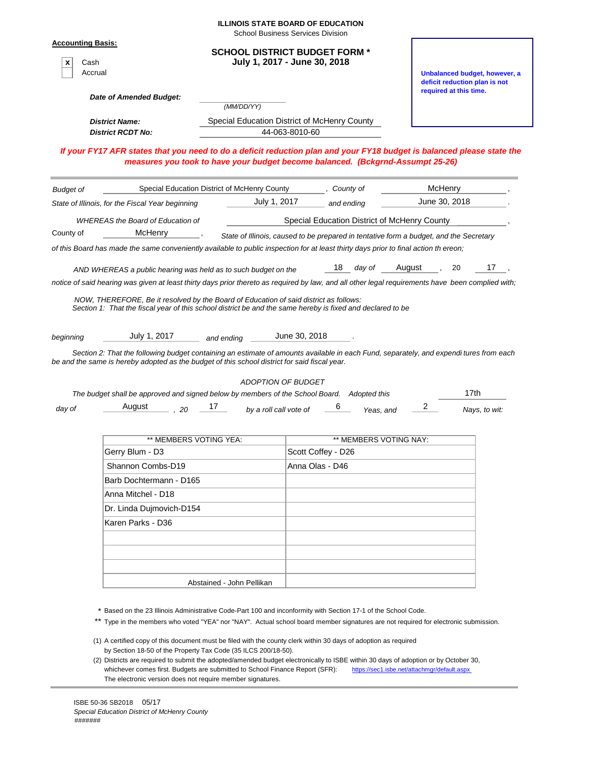| <u> Accounting Basis:</u><br><b>SCHOOL DISTRICT BUDGET FORM *</b><br>July 1, 2017 - June 30, 2018<br>Cash<br>Accrual<br>Unbalanced budget, however, a<br>deficit reduction plan is not<br>required at this time.<br>Date of Amended Budget:<br>(MM/DD/YY)<br>Special Education District of McHenry County<br><b>District Name:</b><br><b>District RCDT No:</b><br>44-063-8010-60<br>If your FY17 AFR states that you need to do a deficit reduction plan and your FY18 budget is balanced please state the<br>measures you took to have your budget become balanced. (Bckgrnd-Assumpt 25-26)<br><b>McHenry</b><br>Special Education District of McHenry County<br>, County of<br>June 30, 2018<br>July 1, 2017<br>State of Illinois, for the Fiscal Year beginning<br>and ending<br>Special Education District of McHenry County<br><b>WHEREAS the Board of Education of</b><br>McHenry<br>State of Illinois, caused to be prepared in tentative form a budget, and the Secretary<br>of this Board has made the same conveniently available to public inspection for at least thirty days prior to final action th ereon;<br>17<br>18 day of<br>August<br>20<br>AND WHEREAS a public hearing was held as to such budget on the<br>notice of said hearing was given at least thirty days prior thereto as required by law, and all other legal requirements have been complied with;<br>NOW, THEREFORE, Be it resolved by the Board of Education of said district as follows:<br>Section 1: That the fiscal year of this school district be and the same hereby is fixed and declared to be<br>July 1, 2017<br>June 30, 2018<br>and ending<br>Section 2: That the following budget containing an estimate of amounts available in each Fund, separately, and expendi tures from each<br>be and the same is hereby adopted as the budget of this school district for said fiscal year.<br>ADOPTION OF BUDGET<br>17th<br>The budget shall be approved and signed below by members of the School Board. Adopted this<br>$\overline{2}$<br>August<br>17<br>$\sim$ 20<br>by a roll call vote of<br>day of<br>Nays, to wit:<br>Yeas, and<br>** MEMBERS VOTING YEA:<br>** MEMBERS VOTING NAY:<br>Scott Coffey - D26<br>Gerry Blum - D3<br>Shannon Combs-D19<br>Anna Olas - D46<br>Barb Dochtermann - D165<br>Anna Mitchel - D18<br>Dr. Linda Dujmovich-D154<br>Karen Parks - D36<br>Abstained - John Pellikan<br>* Based on the 23 Illinois Administrative Code-Part 100 and inconformity with Section 17-1 of the School Code.<br>Type in the members who voted "YEA" nor "NAY". Actual school board member signatures are not required for electronic submission. |                  |  | <b>ILLINOIS STATE BOARD OF EDUCATION</b><br><b>School Business Services Division</b> |  |  |  |  |
|-------------------------------------------------------------------------------------------------------------------------------------------------------------------------------------------------------------------------------------------------------------------------------------------------------------------------------------------------------------------------------------------------------------------------------------------------------------------------------------------------------------------------------------------------------------------------------------------------------------------------------------------------------------------------------------------------------------------------------------------------------------------------------------------------------------------------------------------------------------------------------------------------------------------------------------------------------------------------------------------------------------------------------------------------------------------------------------------------------------------------------------------------------------------------------------------------------------------------------------------------------------------------------------------------------------------------------------------------------------------------------------------------------------------------------------------------------------------------------------------------------------------------------------------------------------------------------------------------------------------------------------------------------------------------------------------------------------------------------------------------------------------------------------------------------------------------------------------------------------------------------------------------------------------------------------------------------------------------------------------------------------------------------------------------------------------------------------------------------------------------------------------------------------------------------------------------------------------------------------------------------------------------------------------------------------------------------------------------------------------------------------------------------------------------------------------------------------------------------------------------------------------------------------------------------------------------------------------------------------------------------------------------------------|------------------|--|--------------------------------------------------------------------------------------|--|--|--|--|
|                                                                                                                                                                                                                                                                                                                                                                                                                                                                                                                                                                                                                                                                                                                                                                                                                                                                                                                                                                                                                                                                                                                                                                                                                                                                                                                                                                                                                                                                                                                                                                                                                                                                                                                                                                                                                                                                                                                                                                                                                                                                                                                                                                                                                                                                                                                                                                                                                                                                                                                                                                                                                                                             |                  |  |                                                                                      |  |  |  |  |
|                                                                                                                                                                                                                                                                                                                                                                                                                                                                                                                                                                                                                                                                                                                                                                                                                                                                                                                                                                                                                                                                                                                                                                                                                                                                                                                                                                                                                                                                                                                                                                                                                                                                                                                                                                                                                                                                                                                                                                                                                                                                                                                                                                                                                                                                                                                                                                                                                                                                                                                                                                                                                                                             |                  |  |                                                                                      |  |  |  |  |
|                                                                                                                                                                                                                                                                                                                                                                                                                                                                                                                                                                                                                                                                                                                                                                                                                                                                                                                                                                                                                                                                                                                                                                                                                                                                                                                                                                                                                                                                                                                                                                                                                                                                                                                                                                                                                                                                                                                                                                                                                                                                                                                                                                                                                                                                                                                                                                                                                                                                                                                                                                                                                                                             |                  |  |                                                                                      |  |  |  |  |
|                                                                                                                                                                                                                                                                                                                                                                                                                                                                                                                                                                                                                                                                                                                                                                                                                                                                                                                                                                                                                                                                                                                                                                                                                                                                                                                                                                                                                                                                                                                                                                                                                                                                                                                                                                                                                                                                                                                                                                                                                                                                                                                                                                                                                                                                                                                                                                                                                                                                                                                                                                                                                                                             |                  |  |                                                                                      |  |  |  |  |
|                                                                                                                                                                                                                                                                                                                                                                                                                                                                                                                                                                                                                                                                                                                                                                                                                                                                                                                                                                                                                                                                                                                                                                                                                                                                                                                                                                                                                                                                                                                                                                                                                                                                                                                                                                                                                                                                                                                                                                                                                                                                                                                                                                                                                                                                                                                                                                                                                                                                                                                                                                                                                                                             |                  |  |                                                                                      |  |  |  |  |
|                                                                                                                                                                                                                                                                                                                                                                                                                                                                                                                                                                                                                                                                                                                                                                                                                                                                                                                                                                                                                                                                                                                                                                                                                                                                                                                                                                                                                                                                                                                                                                                                                                                                                                                                                                                                                                                                                                                                                                                                                                                                                                                                                                                                                                                                                                                                                                                                                                                                                                                                                                                                                                                             |                  |  |                                                                                      |  |  |  |  |
|                                                                                                                                                                                                                                                                                                                                                                                                                                                                                                                                                                                                                                                                                                                                                                                                                                                                                                                                                                                                                                                                                                                                                                                                                                                                                                                                                                                                                                                                                                                                                                                                                                                                                                                                                                                                                                                                                                                                                                                                                                                                                                                                                                                                                                                                                                                                                                                                                                                                                                                                                                                                                                                             | <b>Budget of</b> |  |                                                                                      |  |  |  |  |
|                                                                                                                                                                                                                                                                                                                                                                                                                                                                                                                                                                                                                                                                                                                                                                                                                                                                                                                                                                                                                                                                                                                                                                                                                                                                                                                                                                                                                                                                                                                                                                                                                                                                                                                                                                                                                                                                                                                                                                                                                                                                                                                                                                                                                                                                                                                                                                                                                                                                                                                                                                                                                                                             |                  |  |                                                                                      |  |  |  |  |
|                                                                                                                                                                                                                                                                                                                                                                                                                                                                                                                                                                                                                                                                                                                                                                                                                                                                                                                                                                                                                                                                                                                                                                                                                                                                                                                                                                                                                                                                                                                                                                                                                                                                                                                                                                                                                                                                                                                                                                                                                                                                                                                                                                                                                                                                                                                                                                                                                                                                                                                                                                                                                                                             |                  |  |                                                                                      |  |  |  |  |
|                                                                                                                                                                                                                                                                                                                                                                                                                                                                                                                                                                                                                                                                                                                                                                                                                                                                                                                                                                                                                                                                                                                                                                                                                                                                                                                                                                                                                                                                                                                                                                                                                                                                                                                                                                                                                                                                                                                                                                                                                                                                                                                                                                                                                                                                                                                                                                                                                                                                                                                                                                                                                                                             | County of        |  |                                                                                      |  |  |  |  |
|                                                                                                                                                                                                                                                                                                                                                                                                                                                                                                                                                                                                                                                                                                                                                                                                                                                                                                                                                                                                                                                                                                                                                                                                                                                                                                                                                                                                                                                                                                                                                                                                                                                                                                                                                                                                                                                                                                                                                                                                                                                                                                                                                                                                                                                                                                                                                                                                                                                                                                                                                                                                                                                             |                  |  |                                                                                      |  |  |  |  |
|                                                                                                                                                                                                                                                                                                                                                                                                                                                                                                                                                                                                                                                                                                                                                                                                                                                                                                                                                                                                                                                                                                                                                                                                                                                                                                                                                                                                                                                                                                                                                                                                                                                                                                                                                                                                                                                                                                                                                                                                                                                                                                                                                                                                                                                                                                                                                                                                                                                                                                                                                                                                                                                             |                  |  |                                                                                      |  |  |  |  |
|                                                                                                                                                                                                                                                                                                                                                                                                                                                                                                                                                                                                                                                                                                                                                                                                                                                                                                                                                                                                                                                                                                                                                                                                                                                                                                                                                                                                                                                                                                                                                                                                                                                                                                                                                                                                                                                                                                                                                                                                                                                                                                                                                                                                                                                                                                                                                                                                                                                                                                                                                                                                                                                             |                  |  |                                                                                      |  |  |  |  |
|                                                                                                                                                                                                                                                                                                                                                                                                                                                                                                                                                                                                                                                                                                                                                                                                                                                                                                                                                                                                                                                                                                                                                                                                                                                                                                                                                                                                                                                                                                                                                                                                                                                                                                                                                                                                                                                                                                                                                                                                                                                                                                                                                                                                                                                                                                                                                                                                                                                                                                                                                                                                                                                             |                  |  |                                                                                      |  |  |  |  |
|                                                                                                                                                                                                                                                                                                                                                                                                                                                                                                                                                                                                                                                                                                                                                                                                                                                                                                                                                                                                                                                                                                                                                                                                                                                                                                                                                                                                                                                                                                                                                                                                                                                                                                                                                                                                                                                                                                                                                                                                                                                                                                                                                                                                                                                                                                                                                                                                                                                                                                                                                                                                                                                             | beginning        |  |                                                                                      |  |  |  |  |
|                                                                                                                                                                                                                                                                                                                                                                                                                                                                                                                                                                                                                                                                                                                                                                                                                                                                                                                                                                                                                                                                                                                                                                                                                                                                                                                                                                                                                                                                                                                                                                                                                                                                                                                                                                                                                                                                                                                                                                                                                                                                                                                                                                                                                                                                                                                                                                                                                                                                                                                                                                                                                                                             |                  |  |                                                                                      |  |  |  |  |
|                                                                                                                                                                                                                                                                                                                                                                                                                                                                                                                                                                                                                                                                                                                                                                                                                                                                                                                                                                                                                                                                                                                                                                                                                                                                                                                                                                                                                                                                                                                                                                                                                                                                                                                                                                                                                                                                                                                                                                                                                                                                                                                                                                                                                                                                                                                                                                                                                                                                                                                                                                                                                                                             |                  |  |                                                                                      |  |  |  |  |
|                                                                                                                                                                                                                                                                                                                                                                                                                                                                                                                                                                                                                                                                                                                                                                                                                                                                                                                                                                                                                                                                                                                                                                                                                                                                                                                                                                                                                                                                                                                                                                                                                                                                                                                                                                                                                                                                                                                                                                                                                                                                                                                                                                                                                                                                                                                                                                                                                                                                                                                                                                                                                                                             |                  |  |                                                                                      |  |  |  |  |
|                                                                                                                                                                                                                                                                                                                                                                                                                                                                                                                                                                                                                                                                                                                                                                                                                                                                                                                                                                                                                                                                                                                                                                                                                                                                                                                                                                                                                                                                                                                                                                                                                                                                                                                                                                                                                                                                                                                                                                                                                                                                                                                                                                                                                                                                                                                                                                                                                                                                                                                                                                                                                                                             |                  |  |                                                                                      |  |  |  |  |
|                                                                                                                                                                                                                                                                                                                                                                                                                                                                                                                                                                                                                                                                                                                                                                                                                                                                                                                                                                                                                                                                                                                                                                                                                                                                                                                                                                                                                                                                                                                                                                                                                                                                                                                                                                                                                                                                                                                                                                                                                                                                                                                                                                                                                                                                                                                                                                                                                                                                                                                                                                                                                                                             |                  |  |                                                                                      |  |  |  |  |
|                                                                                                                                                                                                                                                                                                                                                                                                                                                                                                                                                                                                                                                                                                                                                                                                                                                                                                                                                                                                                                                                                                                                                                                                                                                                                                                                                                                                                                                                                                                                                                                                                                                                                                                                                                                                                                                                                                                                                                                                                                                                                                                                                                                                                                                                                                                                                                                                                                                                                                                                                                                                                                                             |                  |  |                                                                                      |  |  |  |  |
|                                                                                                                                                                                                                                                                                                                                                                                                                                                                                                                                                                                                                                                                                                                                                                                                                                                                                                                                                                                                                                                                                                                                                                                                                                                                                                                                                                                                                                                                                                                                                                                                                                                                                                                                                                                                                                                                                                                                                                                                                                                                                                                                                                                                                                                                                                                                                                                                                                                                                                                                                                                                                                                             |                  |  |                                                                                      |  |  |  |  |
|                                                                                                                                                                                                                                                                                                                                                                                                                                                                                                                                                                                                                                                                                                                                                                                                                                                                                                                                                                                                                                                                                                                                                                                                                                                                                                                                                                                                                                                                                                                                                                                                                                                                                                                                                                                                                                                                                                                                                                                                                                                                                                                                                                                                                                                                                                                                                                                                                                                                                                                                                                                                                                                             |                  |  |                                                                                      |  |  |  |  |
|                                                                                                                                                                                                                                                                                                                                                                                                                                                                                                                                                                                                                                                                                                                                                                                                                                                                                                                                                                                                                                                                                                                                                                                                                                                                                                                                                                                                                                                                                                                                                                                                                                                                                                                                                                                                                                                                                                                                                                                                                                                                                                                                                                                                                                                                                                                                                                                                                                                                                                                                                                                                                                                             |                  |  |                                                                                      |  |  |  |  |
|                                                                                                                                                                                                                                                                                                                                                                                                                                                                                                                                                                                                                                                                                                                                                                                                                                                                                                                                                                                                                                                                                                                                                                                                                                                                                                                                                                                                                                                                                                                                                                                                                                                                                                                                                                                                                                                                                                                                                                                                                                                                                                                                                                                                                                                                                                                                                                                                                                                                                                                                                                                                                                                             |                  |  |                                                                                      |  |  |  |  |
|                                                                                                                                                                                                                                                                                                                                                                                                                                                                                                                                                                                                                                                                                                                                                                                                                                                                                                                                                                                                                                                                                                                                                                                                                                                                                                                                                                                                                                                                                                                                                                                                                                                                                                                                                                                                                                                                                                                                                                                                                                                                                                                                                                                                                                                                                                                                                                                                                                                                                                                                                                                                                                                             |                  |  |                                                                                      |  |  |  |  |
|                                                                                                                                                                                                                                                                                                                                                                                                                                                                                                                                                                                                                                                                                                                                                                                                                                                                                                                                                                                                                                                                                                                                                                                                                                                                                                                                                                                                                                                                                                                                                                                                                                                                                                                                                                                                                                                                                                                                                                                                                                                                                                                                                                                                                                                                                                                                                                                                                                                                                                                                                                                                                                                             |                  |  |                                                                                      |  |  |  |  |
|                                                                                                                                                                                                                                                                                                                                                                                                                                                                                                                                                                                                                                                                                                                                                                                                                                                                                                                                                                                                                                                                                                                                                                                                                                                                                                                                                                                                                                                                                                                                                                                                                                                                                                                                                                                                                                                                                                                                                                                                                                                                                                                                                                                                                                                                                                                                                                                                                                                                                                                                                                                                                                                             |                  |  |                                                                                      |  |  |  |  |
|                                                                                                                                                                                                                                                                                                                                                                                                                                                                                                                                                                                                                                                                                                                                                                                                                                                                                                                                                                                                                                                                                                                                                                                                                                                                                                                                                                                                                                                                                                                                                                                                                                                                                                                                                                                                                                                                                                                                                                                                                                                                                                                                                                                                                                                                                                                                                                                                                                                                                                                                                                                                                                                             |                  |  |                                                                                      |  |  |  |  |
|                                                                                                                                                                                                                                                                                                                                                                                                                                                                                                                                                                                                                                                                                                                                                                                                                                                                                                                                                                                                                                                                                                                                                                                                                                                                                                                                                                                                                                                                                                                                                                                                                                                                                                                                                                                                                                                                                                                                                                                                                                                                                                                                                                                                                                                                                                                                                                                                                                                                                                                                                                                                                                                             |                  |  |                                                                                      |  |  |  |  |
|                                                                                                                                                                                                                                                                                                                                                                                                                                                                                                                                                                                                                                                                                                                                                                                                                                                                                                                                                                                                                                                                                                                                                                                                                                                                                                                                                                                                                                                                                                                                                                                                                                                                                                                                                                                                                                                                                                                                                                                                                                                                                                                                                                                                                                                                                                                                                                                                                                                                                                                                                                                                                                                             |                  |  |                                                                                      |  |  |  |  |
|                                                                                                                                                                                                                                                                                                                                                                                                                                                                                                                                                                                                                                                                                                                                                                                                                                                                                                                                                                                                                                                                                                                                                                                                                                                                                                                                                                                                                                                                                                                                                                                                                                                                                                                                                                                                                                                                                                                                                                                                                                                                                                                                                                                                                                                                                                                                                                                                                                                                                                                                                                                                                                                             |                  |  |                                                                                      |  |  |  |  |
|                                                                                                                                                                                                                                                                                                                                                                                                                                                                                                                                                                                                                                                                                                                                                                                                                                                                                                                                                                                                                                                                                                                                                                                                                                                                                                                                                                                                                                                                                                                                                                                                                                                                                                                                                                                                                                                                                                                                                                                                                                                                                                                                                                                                                                                                                                                                                                                                                                                                                                                                                                                                                                                             |                  |  |                                                                                      |  |  |  |  |

(1) A certified copy of this document must be filed with the county clerk within 30 days of adoption as required by Section 18-50 of the Property Tax Code (35 ILCS 200/18-50).

(2) Districts are required to submit the adopted/amended budget electronically to ISBE within 30 days of adoption or by October 30, whichever comes first. Budgets are submitted to School Finance Report (SFR): https://sec1.isbe.net/attachmgr/default.aspx The electronic version does not require member signatures.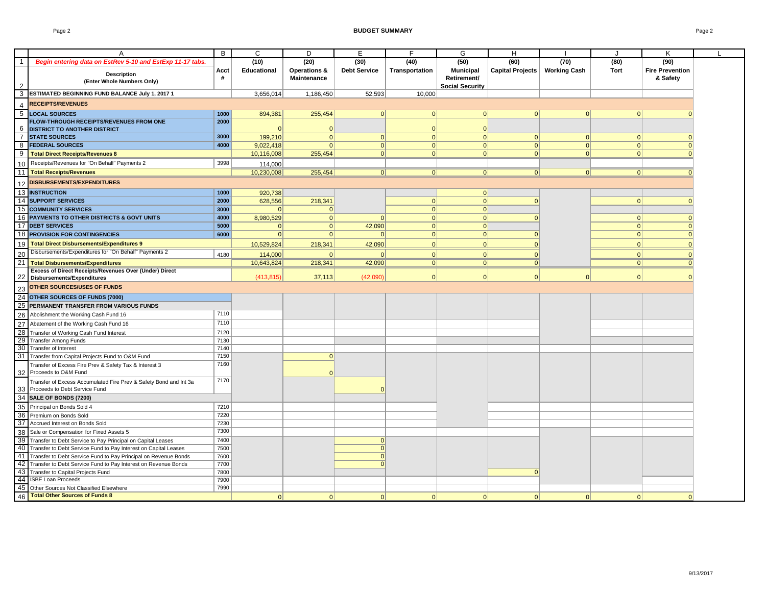#### Page 2 **BUDGET SUMMARY** Page 2

| Begin entering data on EstRev 5-10 and EstExp 11-17 tabs.<br>(10)<br>(20)<br>(30)<br>(40)<br>(50)<br>(60)<br>(70)<br>(80)<br>(90)<br>Educational<br>Operations &<br><b>Debt Service</b><br>Transportation<br><b>Municipal</b><br>Capital Projects<br><b>Working Cash</b><br><b>Tort</b><br><b>Fire Prevention</b><br>Acct<br><b>Description</b><br>#<br>Maintenance<br>Retirement/<br>& Safety<br>(Enter Whole Numbers Only)<br><b>Social Security</b><br>ESTIMATED BEGINNING FUND BALANCE July 1, 2017 1<br>52,593<br>3,656,014<br>1,186,450<br>10,000<br><b>RECEIPTS/REVENUES</b><br><b>LOCAL SOURCES</b><br>255,454<br>$\Omega$<br> 0 <br>1000<br>894,381<br> 0 <br> 0 <br> 0 <br>$\Omega$<br>$\Omega$<br>FLOW-THROUGH RECEIPTS/REVENUES FROM ONE<br>2000<br><b>DISTRICT TO ANOTHER DISTRICT</b><br>$\Omega$<br>$\Omega$<br>$\mathbf{0}$<br><b>STATE SOURCES</b><br>3000<br>199,210<br> 0 <br> 0 <br> 0 <br> 0 <br> 0 <br> 0 <br> 0 <br> 0 <br>4000<br><b>FEDERAL SOURCES</b><br> 0 <br> 0 <br> 0 <br>9,022,418<br>$\Omega$<br> 0 <br> 0 <br> 0 <br> 0 <br>10,116,008<br>255,454<br> 0 <br> 0 <br> 0 <br><b>Total Direct Receipts/Revenues 8</b><br> 0 <br> 0 <br> 0 <br> 0 <br>Receipts/Revenues for "On Behalf" Payments 2<br>3998<br>114.000<br><b>Total Receipts/Revenues</b><br>10,230,008<br>255,454<br> 0 <br> 0 <br> 0 <br> 0 <br> 0 <br> 0 <br>$\Omega$<br><b>DISBURSEMENTS/EXPENDITURES</b><br>13 INSTRUCTION<br>1000<br>920,738<br> 0 <br>14 SUPPORT SERVICES<br>2000<br>218,341<br> 0 <br>628,556<br> 0 <br> 0 <br> 0 <br> 0 <br><b>15 COMMUNITY SERVICES</b><br>3000<br> 0 <br> 0 <br>16 PAYMENTS TO OTHER DISTRICTS & GOVT UNITS<br>4000<br>8,980,529<br> 0 <br> 0 <br> 0 <br>$\Omega$<br> 0 <br> 0 <br> 0 <br>17 DEBT SERVICES<br>5000<br>42,090<br> 0 <br> 0 <br> 0 <br> 0 <br> 0 <br>$\Omega$<br>18 PROVISION FOR CONTINGENCIES<br>6000<br> 0 <br> 0 <br> 0 <br> 0 <br> 0 <br> 0 <br> 0 <br> 0 <br><b>Total Direct Disbursements/Expenditures 9</b><br>42,090<br> 0 <br>10,529,824<br>$\Omega$<br> 0 <br> 0 <br>218,341<br> 0 <br>Disbursements/Expenditures for "On Behalf" Payments 2<br>$\Omega$<br> 0 <br> 0 <br>4180<br>114,000<br>$\Omega$<br> 0 <br> 0 <br>$\Omega$<br><b>Total Disbursements/Expenditures</b><br>10,643,824<br>218,341<br>42,090<br> 0 <br> 0 <br> 0 <br> 0 <br> 0 <br>Excess of Direct Receipts/Revenues Over (Under) Direct<br>(42,090)<br> 0 <br> 0 <br> 0 <br>$\Omega$<br>(413, 815)<br>37,113<br> 0 <br>$\Omega$<br><b>Disbursements/Expenditures</b><br><b>OTHER SOURCES/USES OF FUNDS</b><br>24 OTHER SOURCES OF FUNDS (7000)<br>PERMANENT TRANSFER FROM VARIOUS FUNDS<br>7110<br>Abolishment the Working Cash Fund 16<br>7110<br>Abatement of the Working Cash Fund 16<br>7120<br>28 Transfer of Working Cash Fund Interest<br>29 Transfer Among Funds<br>7130<br>30 Transfer of Interest<br>7140<br>7150<br>Transfer from Capital Projects Fund to O&M Fund<br> 0 <br>7160<br>Transfer of Excess Fire Prev & Safety Tax & Interest 3<br>Proceeds to O&M Fund<br>$\Omega$<br>7170<br>Transfer of Excess Accumulated Fire Prev & Safety Bond and Int 3a<br>Proceeds to Debt Service Fund<br>$\Omega$<br>34 SALE OF BONDS (7200)<br>Principal on Bonds Sold 4<br>7210<br>7220<br>Premium on Bonds Sold<br>37 Accrued Interest on Bonds Sold<br>7230<br>7300<br>Sale or Compensation for Fixed Assets 5<br>39 Transfer to Debt Service to Pay Principal on Capital Leases<br>7400<br> 0 <br>40 Transfer to Debt Service Fund to Pay Interest on Capital Leases<br>7500<br> 0 <br>Transfer to Debt Service Fund to Pay Principal on Revenue Bonds<br>7600<br> 0 <br>7700<br>$\Omega$<br>Transfer to Debt Service Fund to Pay Interest on Revenue Bonds<br>43 Transfer to Capital Projects Fund<br>7800<br>$\Omega$<br>44 ISBE Loan Proceeds<br>7900<br>45 Other Sources Not Classified Elsewhere<br>7990 |                | A                                     | B | C        | D        | Ε        | F        | G        | H        |          | $\cdot$  | К        |  |
|----------------------------------------------------------------------------------------------------------------------------------------------------------------------------------------------------------------------------------------------------------------------------------------------------------------------------------------------------------------------------------------------------------------------------------------------------------------------------------------------------------------------------------------------------------------------------------------------------------------------------------------------------------------------------------------------------------------------------------------------------------------------------------------------------------------------------------------------------------------------------------------------------------------------------------------------------------------------------------------------------------------------------------------------------------------------------------------------------------------------------------------------------------------------------------------------------------------------------------------------------------------------------------------------------------------------------------------------------------------------------------------------------------------------------------------------------------------------------------------------------------------------------------------------------------------------------------------------------------------------------------------------------------------------------------------------------------------------------------------------------------------------------------------------------------------------------------------------------------------------------------------------------------------------------------------------------------------------------------------------------------------------------------------------------------------------------------------------------------------------------------------------------------------------------------------------------------------------------------------------------------------------------------------------------------------------------------------------------------------------------------------------------------------------------------------------------------------------------------------------------------------------------------------------------------------------------------------------------------------------------------------------------------------------------------------------------------------------------------------------------------------------------------------------------------------------------------------------------------------------------------------------------------------------------------------------------------------------------------------------------------------------------------------------------------------------------------------------------------------------------------------------------------------------------------------------------------------------------------------------------------------------------------------------------------------------------------------------------------------------------------------------------------------------------------------------------------------------------------------------------------------------------------------------------------------------------------------------------------------------------------------------------------------------------------------------------------------------------------------------------------------------------------------------------------------------------------------------------------|----------------|---------------------------------------|---|----------|----------|----------|----------|----------|----------|----------|----------|----------|--|
|                                                                                                                                                                                                                                                                                                                                                                                                                                                                                                                                                                                                                                                                                                                                                                                                                                                                                                                                                                                                                                                                                                                                                                                                                                                                                                                                                                                                                                                                                                                                                                                                                                                                                                                                                                                                                                                                                                                                                                                                                                                                                                                                                                                                                                                                                                                                                                                                                                                                                                                                                                                                                                                                                                                                                                                                                                                                                                                                                                                                                                                                                                                                                                                                                                                                                                                                                                                                                                                                                                                                                                                                                                                                                                                                                                                                                                                          | $\overline{1}$ |                                       |   |          |          |          |          |          |          |          |          |          |  |
|                                                                                                                                                                                                                                                                                                                                                                                                                                                                                                                                                                                                                                                                                                                                                                                                                                                                                                                                                                                                                                                                                                                                                                                                                                                                                                                                                                                                                                                                                                                                                                                                                                                                                                                                                                                                                                                                                                                                                                                                                                                                                                                                                                                                                                                                                                                                                                                                                                                                                                                                                                                                                                                                                                                                                                                                                                                                                                                                                                                                                                                                                                                                                                                                                                                                                                                                                                                                                                                                                                                                                                                                                                                                                                                                                                                                                                                          |                |                                       |   |          |          |          |          |          |          |          |          |          |  |
|                                                                                                                                                                                                                                                                                                                                                                                                                                                                                                                                                                                                                                                                                                                                                                                                                                                                                                                                                                                                                                                                                                                                                                                                                                                                                                                                                                                                                                                                                                                                                                                                                                                                                                                                                                                                                                                                                                                                                                                                                                                                                                                                                                                                                                                                                                                                                                                                                                                                                                                                                                                                                                                                                                                                                                                                                                                                                                                                                                                                                                                                                                                                                                                                                                                                                                                                                                                                                                                                                                                                                                                                                                                                                                                                                                                                                                                          |                |                                       |   |          |          |          |          |          |          |          |          |          |  |
|                                                                                                                                                                                                                                                                                                                                                                                                                                                                                                                                                                                                                                                                                                                                                                                                                                                                                                                                                                                                                                                                                                                                                                                                                                                                                                                                                                                                                                                                                                                                                                                                                                                                                                                                                                                                                                                                                                                                                                                                                                                                                                                                                                                                                                                                                                                                                                                                                                                                                                                                                                                                                                                                                                                                                                                                                                                                                                                                                                                                                                                                                                                                                                                                                                                                                                                                                                                                                                                                                                                                                                                                                                                                                                                                                                                                                                                          |                |                                       |   |          |          |          |          |          |          |          |          |          |  |
|                                                                                                                                                                                                                                                                                                                                                                                                                                                                                                                                                                                                                                                                                                                                                                                                                                                                                                                                                                                                                                                                                                                                                                                                                                                                                                                                                                                                                                                                                                                                                                                                                                                                                                                                                                                                                                                                                                                                                                                                                                                                                                                                                                                                                                                                                                                                                                                                                                                                                                                                                                                                                                                                                                                                                                                                                                                                                                                                                                                                                                                                                                                                                                                                                                                                                                                                                                                                                                                                                                                                                                                                                                                                                                                                                                                                                                                          | 3              |                                       |   |          |          |          |          |          |          |          |          |          |  |
|                                                                                                                                                                                                                                                                                                                                                                                                                                                                                                                                                                                                                                                                                                                                                                                                                                                                                                                                                                                                                                                                                                                                                                                                                                                                                                                                                                                                                                                                                                                                                                                                                                                                                                                                                                                                                                                                                                                                                                                                                                                                                                                                                                                                                                                                                                                                                                                                                                                                                                                                                                                                                                                                                                                                                                                                                                                                                                                                                                                                                                                                                                                                                                                                                                                                                                                                                                                                                                                                                                                                                                                                                                                                                                                                                                                                                                                          | Δ              |                                       |   |          |          |          |          |          |          |          |          |          |  |
|                                                                                                                                                                                                                                                                                                                                                                                                                                                                                                                                                                                                                                                                                                                                                                                                                                                                                                                                                                                                                                                                                                                                                                                                                                                                                                                                                                                                                                                                                                                                                                                                                                                                                                                                                                                                                                                                                                                                                                                                                                                                                                                                                                                                                                                                                                                                                                                                                                                                                                                                                                                                                                                                                                                                                                                                                                                                                                                                                                                                                                                                                                                                                                                                                                                                                                                                                                                                                                                                                                                                                                                                                                                                                                                                                                                                                                                          | 5              |                                       |   |          |          |          |          |          |          |          |          |          |  |
|                                                                                                                                                                                                                                                                                                                                                                                                                                                                                                                                                                                                                                                                                                                                                                                                                                                                                                                                                                                                                                                                                                                                                                                                                                                                                                                                                                                                                                                                                                                                                                                                                                                                                                                                                                                                                                                                                                                                                                                                                                                                                                                                                                                                                                                                                                                                                                                                                                                                                                                                                                                                                                                                                                                                                                                                                                                                                                                                                                                                                                                                                                                                                                                                                                                                                                                                                                                                                                                                                                                                                                                                                                                                                                                                                                                                                                                          |                |                                       |   |          |          |          |          |          |          |          |          |          |  |
|                                                                                                                                                                                                                                                                                                                                                                                                                                                                                                                                                                                                                                                                                                                                                                                                                                                                                                                                                                                                                                                                                                                                                                                                                                                                                                                                                                                                                                                                                                                                                                                                                                                                                                                                                                                                                                                                                                                                                                                                                                                                                                                                                                                                                                                                                                                                                                                                                                                                                                                                                                                                                                                                                                                                                                                                                                                                                                                                                                                                                                                                                                                                                                                                                                                                                                                                                                                                                                                                                                                                                                                                                                                                                                                                                                                                                                                          | 6              |                                       |   |          |          |          |          |          |          |          |          |          |  |
|                                                                                                                                                                                                                                                                                                                                                                                                                                                                                                                                                                                                                                                                                                                                                                                                                                                                                                                                                                                                                                                                                                                                                                                                                                                                                                                                                                                                                                                                                                                                                                                                                                                                                                                                                                                                                                                                                                                                                                                                                                                                                                                                                                                                                                                                                                                                                                                                                                                                                                                                                                                                                                                                                                                                                                                                                                                                                                                                                                                                                                                                                                                                                                                                                                                                                                                                                                                                                                                                                                                                                                                                                                                                                                                                                                                                                                                          | $\overline{7}$ |                                       |   |          |          |          |          |          |          |          |          |          |  |
|                                                                                                                                                                                                                                                                                                                                                                                                                                                                                                                                                                                                                                                                                                                                                                                                                                                                                                                                                                                                                                                                                                                                                                                                                                                                                                                                                                                                                                                                                                                                                                                                                                                                                                                                                                                                                                                                                                                                                                                                                                                                                                                                                                                                                                                                                                                                                                                                                                                                                                                                                                                                                                                                                                                                                                                                                                                                                                                                                                                                                                                                                                                                                                                                                                                                                                                                                                                                                                                                                                                                                                                                                                                                                                                                                                                                                                                          | 8              |                                       |   |          |          |          |          |          |          |          |          |          |  |
|                                                                                                                                                                                                                                                                                                                                                                                                                                                                                                                                                                                                                                                                                                                                                                                                                                                                                                                                                                                                                                                                                                                                                                                                                                                                                                                                                                                                                                                                                                                                                                                                                                                                                                                                                                                                                                                                                                                                                                                                                                                                                                                                                                                                                                                                                                                                                                                                                                                                                                                                                                                                                                                                                                                                                                                                                                                                                                                                                                                                                                                                                                                                                                                                                                                                                                                                                                                                                                                                                                                                                                                                                                                                                                                                                                                                                                                          | 9              |                                       |   |          |          |          |          |          |          |          |          |          |  |
|                                                                                                                                                                                                                                                                                                                                                                                                                                                                                                                                                                                                                                                                                                                                                                                                                                                                                                                                                                                                                                                                                                                                                                                                                                                                                                                                                                                                                                                                                                                                                                                                                                                                                                                                                                                                                                                                                                                                                                                                                                                                                                                                                                                                                                                                                                                                                                                                                                                                                                                                                                                                                                                                                                                                                                                                                                                                                                                                                                                                                                                                                                                                                                                                                                                                                                                                                                                                                                                                                                                                                                                                                                                                                                                                                                                                                                                          | 10             |                                       |   |          |          |          |          |          |          |          |          |          |  |
|                                                                                                                                                                                                                                                                                                                                                                                                                                                                                                                                                                                                                                                                                                                                                                                                                                                                                                                                                                                                                                                                                                                                                                                                                                                                                                                                                                                                                                                                                                                                                                                                                                                                                                                                                                                                                                                                                                                                                                                                                                                                                                                                                                                                                                                                                                                                                                                                                                                                                                                                                                                                                                                                                                                                                                                                                                                                                                                                                                                                                                                                                                                                                                                                                                                                                                                                                                                                                                                                                                                                                                                                                                                                                                                                                                                                                                                          | 11             |                                       |   |          |          |          |          |          |          |          |          |          |  |
|                                                                                                                                                                                                                                                                                                                                                                                                                                                                                                                                                                                                                                                                                                                                                                                                                                                                                                                                                                                                                                                                                                                                                                                                                                                                                                                                                                                                                                                                                                                                                                                                                                                                                                                                                                                                                                                                                                                                                                                                                                                                                                                                                                                                                                                                                                                                                                                                                                                                                                                                                                                                                                                                                                                                                                                                                                                                                                                                                                                                                                                                                                                                                                                                                                                                                                                                                                                                                                                                                                                                                                                                                                                                                                                                                                                                                                                          | 12             |                                       |   |          |          |          |          |          |          |          |          |          |  |
|                                                                                                                                                                                                                                                                                                                                                                                                                                                                                                                                                                                                                                                                                                                                                                                                                                                                                                                                                                                                                                                                                                                                                                                                                                                                                                                                                                                                                                                                                                                                                                                                                                                                                                                                                                                                                                                                                                                                                                                                                                                                                                                                                                                                                                                                                                                                                                                                                                                                                                                                                                                                                                                                                                                                                                                                                                                                                                                                                                                                                                                                                                                                                                                                                                                                                                                                                                                                                                                                                                                                                                                                                                                                                                                                                                                                                                                          |                |                                       |   |          |          |          |          |          |          |          |          |          |  |
|                                                                                                                                                                                                                                                                                                                                                                                                                                                                                                                                                                                                                                                                                                                                                                                                                                                                                                                                                                                                                                                                                                                                                                                                                                                                                                                                                                                                                                                                                                                                                                                                                                                                                                                                                                                                                                                                                                                                                                                                                                                                                                                                                                                                                                                                                                                                                                                                                                                                                                                                                                                                                                                                                                                                                                                                                                                                                                                                                                                                                                                                                                                                                                                                                                                                                                                                                                                                                                                                                                                                                                                                                                                                                                                                                                                                                                                          |                |                                       |   |          |          |          |          |          |          |          |          |          |  |
|                                                                                                                                                                                                                                                                                                                                                                                                                                                                                                                                                                                                                                                                                                                                                                                                                                                                                                                                                                                                                                                                                                                                                                                                                                                                                                                                                                                                                                                                                                                                                                                                                                                                                                                                                                                                                                                                                                                                                                                                                                                                                                                                                                                                                                                                                                                                                                                                                                                                                                                                                                                                                                                                                                                                                                                                                                                                                                                                                                                                                                                                                                                                                                                                                                                                                                                                                                                                                                                                                                                                                                                                                                                                                                                                                                                                                                                          |                |                                       |   |          |          |          |          |          |          |          |          |          |  |
|                                                                                                                                                                                                                                                                                                                                                                                                                                                                                                                                                                                                                                                                                                                                                                                                                                                                                                                                                                                                                                                                                                                                                                                                                                                                                                                                                                                                                                                                                                                                                                                                                                                                                                                                                                                                                                                                                                                                                                                                                                                                                                                                                                                                                                                                                                                                                                                                                                                                                                                                                                                                                                                                                                                                                                                                                                                                                                                                                                                                                                                                                                                                                                                                                                                                                                                                                                                                                                                                                                                                                                                                                                                                                                                                                                                                                                                          |                |                                       |   |          |          |          |          |          |          |          |          |          |  |
|                                                                                                                                                                                                                                                                                                                                                                                                                                                                                                                                                                                                                                                                                                                                                                                                                                                                                                                                                                                                                                                                                                                                                                                                                                                                                                                                                                                                                                                                                                                                                                                                                                                                                                                                                                                                                                                                                                                                                                                                                                                                                                                                                                                                                                                                                                                                                                                                                                                                                                                                                                                                                                                                                                                                                                                                                                                                                                                                                                                                                                                                                                                                                                                                                                                                                                                                                                                                                                                                                                                                                                                                                                                                                                                                                                                                                                                          |                |                                       |   |          |          |          |          |          |          |          |          |          |  |
|                                                                                                                                                                                                                                                                                                                                                                                                                                                                                                                                                                                                                                                                                                                                                                                                                                                                                                                                                                                                                                                                                                                                                                                                                                                                                                                                                                                                                                                                                                                                                                                                                                                                                                                                                                                                                                                                                                                                                                                                                                                                                                                                                                                                                                                                                                                                                                                                                                                                                                                                                                                                                                                                                                                                                                                                                                                                                                                                                                                                                                                                                                                                                                                                                                                                                                                                                                                                                                                                                                                                                                                                                                                                                                                                                                                                                                                          |                |                                       |   |          |          |          |          |          |          |          |          |          |  |
|                                                                                                                                                                                                                                                                                                                                                                                                                                                                                                                                                                                                                                                                                                                                                                                                                                                                                                                                                                                                                                                                                                                                                                                                                                                                                                                                                                                                                                                                                                                                                                                                                                                                                                                                                                                                                                                                                                                                                                                                                                                                                                                                                                                                                                                                                                                                                                                                                                                                                                                                                                                                                                                                                                                                                                                                                                                                                                                                                                                                                                                                                                                                                                                                                                                                                                                                                                                                                                                                                                                                                                                                                                                                                                                                                                                                                                                          | 19             |                                       |   |          |          |          |          |          |          |          |          |          |  |
|                                                                                                                                                                                                                                                                                                                                                                                                                                                                                                                                                                                                                                                                                                                                                                                                                                                                                                                                                                                                                                                                                                                                                                                                                                                                                                                                                                                                                                                                                                                                                                                                                                                                                                                                                                                                                                                                                                                                                                                                                                                                                                                                                                                                                                                                                                                                                                                                                                                                                                                                                                                                                                                                                                                                                                                                                                                                                                                                                                                                                                                                                                                                                                                                                                                                                                                                                                                                                                                                                                                                                                                                                                                                                                                                                                                                                                                          | 20             |                                       |   |          |          |          |          |          |          |          |          |          |  |
|                                                                                                                                                                                                                                                                                                                                                                                                                                                                                                                                                                                                                                                                                                                                                                                                                                                                                                                                                                                                                                                                                                                                                                                                                                                                                                                                                                                                                                                                                                                                                                                                                                                                                                                                                                                                                                                                                                                                                                                                                                                                                                                                                                                                                                                                                                                                                                                                                                                                                                                                                                                                                                                                                                                                                                                                                                                                                                                                                                                                                                                                                                                                                                                                                                                                                                                                                                                                                                                                                                                                                                                                                                                                                                                                                                                                                                                          | 21             |                                       |   |          |          |          |          |          |          |          |          |          |  |
|                                                                                                                                                                                                                                                                                                                                                                                                                                                                                                                                                                                                                                                                                                                                                                                                                                                                                                                                                                                                                                                                                                                                                                                                                                                                                                                                                                                                                                                                                                                                                                                                                                                                                                                                                                                                                                                                                                                                                                                                                                                                                                                                                                                                                                                                                                                                                                                                                                                                                                                                                                                                                                                                                                                                                                                                                                                                                                                                                                                                                                                                                                                                                                                                                                                                                                                                                                                                                                                                                                                                                                                                                                                                                                                                                                                                                                                          |                |                                       |   |          |          |          |          |          |          |          |          |          |  |
|                                                                                                                                                                                                                                                                                                                                                                                                                                                                                                                                                                                                                                                                                                                                                                                                                                                                                                                                                                                                                                                                                                                                                                                                                                                                                                                                                                                                                                                                                                                                                                                                                                                                                                                                                                                                                                                                                                                                                                                                                                                                                                                                                                                                                                                                                                                                                                                                                                                                                                                                                                                                                                                                                                                                                                                                                                                                                                                                                                                                                                                                                                                                                                                                                                                                                                                                                                                                                                                                                                                                                                                                                                                                                                                                                                                                                                                          |                |                                       |   |          |          |          |          |          |          |          |          |          |  |
|                                                                                                                                                                                                                                                                                                                                                                                                                                                                                                                                                                                                                                                                                                                                                                                                                                                                                                                                                                                                                                                                                                                                                                                                                                                                                                                                                                                                                                                                                                                                                                                                                                                                                                                                                                                                                                                                                                                                                                                                                                                                                                                                                                                                                                                                                                                                                                                                                                                                                                                                                                                                                                                                                                                                                                                                                                                                                                                                                                                                                                                                                                                                                                                                                                                                                                                                                                                                                                                                                                                                                                                                                                                                                                                                                                                                                                                          | 23             |                                       |   |          |          |          |          |          |          |          |          |          |  |
|                                                                                                                                                                                                                                                                                                                                                                                                                                                                                                                                                                                                                                                                                                                                                                                                                                                                                                                                                                                                                                                                                                                                                                                                                                                                                                                                                                                                                                                                                                                                                                                                                                                                                                                                                                                                                                                                                                                                                                                                                                                                                                                                                                                                                                                                                                                                                                                                                                                                                                                                                                                                                                                                                                                                                                                                                                                                                                                                                                                                                                                                                                                                                                                                                                                                                                                                                                                                                                                                                                                                                                                                                                                                                                                                                                                                                                                          |                |                                       |   |          |          |          |          |          |          |          |          |          |  |
|                                                                                                                                                                                                                                                                                                                                                                                                                                                                                                                                                                                                                                                                                                                                                                                                                                                                                                                                                                                                                                                                                                                                                                                                                                                                                                                                                                                                                                                                                                                                                                                                                                                                                                                                                                                                                                                                                                                                                                                                                                                                                                                                                                                                                                                                                                                                                                                                                                                                                                                                                                                                                                                                                                                                                                                                                                                                                                                                                                                                                                                                                                                                                                                                                                                                                                                                                                                                                                                                                                                                                                                                                                                                                                                                                                                                                                                          | 25             |                                       |   |          |          |          |          |          |          |          |          |          |  |
|                                                                                                                                                                                                                                                                                                                                                                                                                                                                                                                                                                                                                                                                                                                                                                                                                                                                                                                                                                                                                                                                                                                                                                                                                                                                                                                                                                                                                                                                                                                                                                                                                                                                                                                                                                                                                                                                                                                                                                                                                                                                                                                                                                                                                                                                                                                                                                                                                                                                                                                                                                                                                                                                                                                                                                                                                                                                                                                                                                                                                                                                                                                                                                                                                                                                                                                                                                                                                                                                                                                                                                                                                                                                                                                                                                                                                                                          | 26             |                                       |   |          |          |          |          |          |          |          |          |          |  |
|                                                                                                                                                                                                                                                                                                                                                                                                                                                                                                                                                                                                                                                                                                                                                                                                                                                                                                                                                                                                                                                                                                                                                                                                                                                                                                                                                                                                                                                                                                                                                                                                                                                                                                                                                                                                                                                                                                                                                                                                                                                                                                                                                                                                                                                                                                                                                                                                                                                                                                                                                                                                                                                                                                                                                                                                                                                                                                                                                                                                                                                                                                                                                                                                                                                                                                                                                                                                                                                                                                                                                                                                                                                                                                                                                                                                                                                          | 27             |                                       |   |          |          |          |          |          |          |          |          |          |  |
|                                                                                                                                                                                                                                                                                                                                                                                                                                                                                                                                                                                                                                                                                                                                                                                                                                                                                                                                                                                                                                                                                                                                                                                                                                                                                                                                                                                                                                                                                                                                                                                                                                                                                                                                                                                                                                                                                                                                                                                                                                                                                                                                                                                                                                                                                                                                                                                                                                                                                                                                                                                                                                                                                                                                                                                                                                                                                                                                                                                                                                                                                                                                                                                                                                                                                                                                                                                                                                                                                                                                                                                                                                                                                                                                                                                                                                                          |                |                                       |   |          |          |          |          |          |          |          |          |          |  |
|                                                                                                                                                                                                                                                                                                                                                                                                                                                                                                                                                                                                                                                                                                                                                                                                                                                                                                                                                                                                                                                                                                                                                                                                                                                                                                                                                                                                                                                                                                                                                                                                                                                                                                                                                                                                                                                                                                                                                                                                                                                                                                                                                                                                                                                                                                                                                                                                                                                                                                                                                                                                                                                                                                                                                                                                                                                                                                                                                                                                                                                                                                                                                                                                                                                                                                                                                                                                                                                                                                                                                                                                                                                                                                                                                                                                                                                          |                |                                       |   |          |          |          |          |          |          |          |          |          |  |
|                                                                                                                                                                                                                                                                                                                                                                                                                                                                                                                                                                                                                                                                                                                                                                                                                                                                                                                                                                                                                                                                                                                                                                                                                                                                                                                                                                                                                                                                                                                                                                                                                                                                                                                                                                                                                                                                                                                                                                                                                                                                                                                                                                                                                                                                                                                                                                                                                                                                                                                                                                                                                                                                                                                                                                                                                                                                                                                                                                                                                                                                                                                                                                                                                                                                                                                                                                                                                                                                                                                                                                                                                                                                                                                                                                                                                                                          |                |                                       |   |          |          |          |          |          |          |          |          |          |  |
|                                                                                                                                                                                                                                                                                                                                                                                                                                                                                                                                                                                                                                                                                                                                                                                                                                                                                                                                                                                                                                                                                                                                                                                                                                                                                                                                                                                                                                                                                                                                                                                                                                                                                                                                                                                                                                                                                                                                                                                                                                                                                                                                                                                                                                                                                                                                                                                                                                                                                                                                                                                                                                                                                                                                                                                                                                                                                                                                                                                                                                                                                                                                                                                                                                                                                                                                                                                                                                                                                                                                                                                                                                                                                                                                                                                                                                                          | 31             |                                       |   |          |          |          |          |          |          |          |          |          |  |
|                                                                                                                                                                                                                                                                                                                                                                                                                                                                                                                                                                                                                                                                                                                                                                                                                                                                                                                                                                                                                                                                                                                                                                                                                                                                                                                                                                                                                                                                                                                                                                                                                                                                                                                                                                                                                                                                                                                                                                                                                                                                                                                                                                                                                                                                                                                                                                                                                                                                                                                                                                                                                                                                                                                                                                                                                                                                                                                                                                                                                                                                                                                                                                                                                                                                                                                                                                                                                                                                                                                                                                                                                                                                                                                                                                                                                                                          |                |                                       |   |          |          |          |          |          |          |          |          |          |  |
|                                                                                                                                                                                                                                                                                                                                                                                                                                                                                                                                                                                                                                                                                                                                                                                                                                                                                                                                                                                                                                                                                                                                                                                                                                                                                                                                                                                                                                                                                                                                                                                                                                                                                                                                                                                                                                                                                                                                                                                                                                                                                                                                                                                                                                                                                                                                                                                                                                                                                                                                                                                                                                                                                                                                                                                                                                                                                                                                                                                                                                                                                                                                                                                                                                                                                                                                                                                                                                                                                                                                                                                                                                                                                                                                                                                                                                                          | 32             |                                       |   |          |          |          |          |          |          |          |          |          |  |
|                                                                                                                                                                                                                                                                                                                                                                                                                                                                                                                                                                                                                                                                                                                                                                                                                                                                                                                                                                                                                                                                                                                                                                                                                                                                                                                                                                                                                                                                                                                                                                                                                                                                                                                                                                                                                                                                                                                                                                                                                                                                                                                                                                                                                                                                                                                                                                                                                                                                                                                                                                                                                                                                                                                                                                                                                                                                                                                                                                                                                                                                                                                                                                                                                                                                                                                                                                                                                                                                                                                                                                                                                                                                                                                                                                                                                                                          |                |                                       |   |          |          |          |          |          |          |          |          |          |  |
|                                                                                                                                                                                                                                                                                                                                                                                                                                                                                                                                                                                                                                                                                                                                                                                                                                                                                                                                                                                                                                                                                                                                                                                                                                                                                                                                                                                                                                                                                                                                                                                                                                                                                                                                                                                                                                                                                                                                                                                                                                                                                                                                                                                                                                                                                                                                                                                                                                                                                                                                                                                                                                                                                                                                                                                                                                                                                                                                                                                                                                                                                                                                                                                                                                                                                                                                                                                                                                                                                                                                                                                                                                                                                                                                                                                                                                                          | 33             |                                       |   |          |          |          |          |          |          |          |          |          |  |
|                                                                                                                                                                                                                                                                                                                                                                                                                                                                                                                                                                                                                                                                                                                                                                                                                                                                                                                                                                                                                                                                                                                                                                                                                                                                                                                                                                                                                                                                                                                                                                                                                                                                                                                                                                                                                                                                                                                                                                                                                                                                                                                                                                                                                                                                                                                                                                                                                                                                                                                                                                                                                                                                                                                                                                                                                                                                                                                                                                                                                                                                                                                                                                                                                                                                                                                                                                                                                                                                                                                                                                                                                                                                                                                                                                                                                                                          |                |                                       |   |          |          |          |          |          |          |          |          |          |  |
|                                                                                                                                                                                                                                                                                                                                                                                                                                                                                                                                                                                                                                                                                                                                                                                                                                                                                                                                                                                                                                                                                                                                                                                                                                                                                                                                                                                                                                                                                                                                                                                                                                                                                                                                                                                                                                                                                                                                                                                                                                                                                                                                                                                                                                                                                                                                                                                                                                                                                                                                                                                                                                                                                                                                                                                                                                                                                                                                                                                                                                                                                                                                                                                                                                                                                                                                                                                                                                                                                                                                                                                                                                                                                                                                                                                                                                                          | 35             |                                       |   |          |          |          |          |          |          |          |          |          |  |
|                                                                                                                                                                                                                                                                                                                                                                                                                                                                                                                                                                                                                                                                                                                                                                                                                                                                                                                                                                                                                                                                                                                                                                                                                                                                                                                                                                                                                                                                                                                                                                                                                                                                                                                                                                                                                                                                                                                                                                                                                                                                                                                                                                                                                                                                                                                                                                                                                                                                                                                                                                                                                                                                                                                                                                                                                                                                                                                                                                                                                                                                                                                                                                                                                                                                                                                                                                                                                                                                                                                                                                                                                                                                                                                                                                                                                                                          | 36             |                                       |   |          |          |          |          |          |          |          |          |          |  |
|                                                                                                                                                                                                                                                                                                                                                                                                                                                                                                                                                                                                                                                                                                                                                                                                                                                                                                                                                                                                                                                                                                                                                                                                                                                                                                                                                                                                                                                                                                                                                                                                                                                                                                                                                                                                                                                                                                                                                                                                                                                                                                                                                                                                                                                                                                                                                                                                                                                                                                                                                                                                                                                                                                                                                                                                                                                                                                                                                                                                                                                                                                                                                                                                                                                                                                                                                                                                                                                                                                                                                                                                                                                                                                                                                                                                                                                          |                |                                       |   |          |          |          |          |          |          |          |          |          |  |
|                                                                                                                                                                                                                                                                                                                                                                                                                                                                                                                                                                                                                                                                                                                                                                                                                                                                                                                                                                                                                                                                                                                                                                                                                                                                                                                                                                                                                                                                                                                                                                                                                                                                                                                                                                                                                                                                                                                                                                                                                                                                                                                                                                                                                                                                                                                                                                                                                                                                                                                                                                                                                                                                                                                                                                                                                                                                                                                                                                                                                                                                                                                                                                                                                                                                                                                                                                                                                                                                                                                                                                                                                                                                                                                                                                                                                                                          | 38             |                                       |   |          |          |          |          |          |          |          |          |          |  |
|                                                                                                                                                                                                                                                                                                                                                                                                                                                                                                                                                                                                                                                                                                                                                                                                                                                                                                                                                                                                                                                                                                                                                                                                                                                                                                                                                                                                                                                                                                                                                                                                                                                                                                                                                                                                                                                                                                                                                                                                                                                                                                                                                                                                                                                                                                                                                                                                                                                                                                                                                                                                                                                                                                                                                                                                                                                                                                                                                                                                                                                                                                                                                                                                                                                                                                                                                                                                                                                                                                                                                                                                                                                                                                                                                                                                                                                          |                |                                       |   |          |          |          |          |          |          |          |          |          |  |
|                                                                                                                                                                                                                                                                                                                                                                                                                                                                                                                                                                                                                                                                                                                                                                                                                                                                                                                                                                                                                                                                                                                                                                                                                                                                                                                                                                                                                                                                                                                                                                                                                                                                                                                                                                                                                                                                                                                                                                                                                                                                                                                                                                                                                                                                                                                                                                                                                                                                                                                                                                                                                                                                                                                                                                                                                                                                                                                                                                                                                                                                                                                                                                                                                                                                                                                                                                                                                                                                                                                                                                                                                                                                                                                                                                                                                                                          |                |                                       |   |          |          |          |          |          |          |          |          |          |  |
|                                                                                                                                                                                                                                                                                                                                                                                                                                                                                                                                                                                                                                                                                                                                                                                                                                                                                                                                                                                                                                                                                                                                                                                                                                                                                                                                                                                                                                                                                                                                                                                                                                                                                                                                                                                                                                                                                                                                                                                                                                                                                                                                                                                                                                                                                                                                                                                                                                                                                                                                                                                                                                                                                                                                                                                                                                                                                                                                                                                                                                                                                                                                                                                                                                                                                                                                                                                                                                                                                                                                                                                                                                                                                                                                                                                                                                                          | 41             |                                       |   |          |          |          |          |          |          |          |          |          |  |
|                                                                                                                                                                                                                                                                                                                                                                                                                                                                                                                                                                                                                                                                                                                                                                                                                                                                                                                                                                                                                                                                                                                                                                                                                                                                                                                                                                                                                                                                                                                                                                                                                                                                                                                                                                                                                                                                                                                                                                                                                                                                                                                                                                                                                                                                                                                                                                                                                                                                                                                                                                                                                                                                                                                                                                                                                                                                                                                                                                                                                                                                                                                                                                                                                                                                                                                                                                                                                                                                                                                                                                                                                                                                                                                                                                                                                                                          | 42             |                                       |   |          |          |          |          |          |          |          |          |          |  |
|                                                                                                                                                                                                                                                                                                                                                                                                                                                                                                                                                                                                                                                                                                                                                                                                                                                                                                                                                                                                                                                                                                                                                                                                                                                                                                                                                                                                                                                                                                                                                                                                                                                                                                                                                                                                                                                                                                                                                                                                                                                                                                                                                                                                                                                                                                                                                                                                                                                                                                                                                                                                                                                                                                                                                                                                                                                                                                                                                                                                                                                                                                                                                                                                                                                                                                                                                                                                                                                                                                                                                                                                                                                                                                                                                                                                                                                          |                |                                       |   |          |          |          |          |          |          |          |          |          |  |
|                                                                                                                                                                                                                                                                                                                                                                                                                                                                                                                                                                                                                                                                                                                                                                                                                                                                                                                                                                                                                                                                                                                                                                                                                                                                                                                                                                                                                                                                                                                                                                                                                                                                                                                                                                                                                                                                                                                                                                                                                                                                                                                                                                                                                                                                                                                                                                                                                                                                                                                                                                                                                                                                                                                                                                                                                                                                                                                                                                                                                                                                                                                                                                                                                                                                                                                                                                                                                                                                                                                                                                                                                                                                                                                                                                                                                                                          |                |                                       |   |          |          |          |          |          |          |          |          |          |  |
|                                                                                                                                                                                                                                                                                                                                                                                                                                                                                                                                                                                                                                                                                                                                                                                                                                                                                                                                                                                                                                                                                                                                                                                                                                                                                                                                                                                                                                                                                                                                                                                                                                                                                                                                                                                                                                                                                                                                                                                                                                                                                                                                                                                                                                                                                                                                                                                                                                                                                                                                                                                                                                                                                                                                                                                                                                                                                                                                                                                                                                                                                                                                                                                                                                                                                                                                                                                                                                                                                                                                                                                                                                                                                                                                                                                                                                                          | 46             | <b>Total Other Sources of Funds 8</b> |   | $\Omega$ | $\Omega$ | $\Omega$ | $\Omega$ | $\Omega$ | $\Omega$ | $\Omega$ | $\Omega$ | $\Omega$ |  |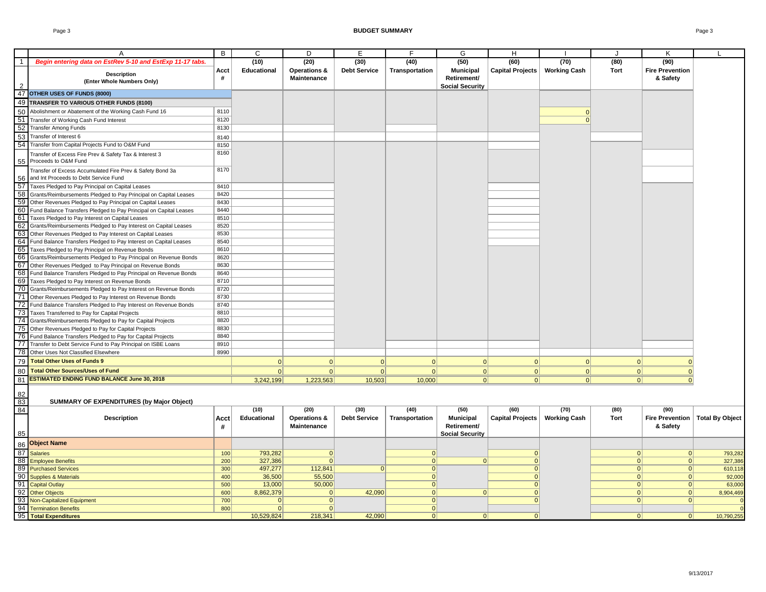|                          | $\overline{A}$                                                                                     | B    | C           | D                  | E                   | F              | G                      | H                       |                     | J    | Κ                      |                                   |
|--------------------------|----------------------------------------------------------------------------------------------------|------|-------------|--------------------|---------------------|----------------|------------------------|-------------------------|---------------------|------|------------------------|-----------------------------------|
| $\overline{\phantom{1}}$ | Begin entering data on EstRev 5-10 and EstExp 11-17 tabs.                                          |      | (10)        | (20)               | (30)                | (40)           | (50)                   | (60)                    | (70)                | (80) | (90)                   |                                   |
|                          | Description                                                                                        | Acct | Educational | Operations &       | <b>Debt Service</b> | Transportation | <b>Municipal</b>       | Capital Projects        | <b>Working Cash</b> | Tort | <b>Fire Prevention</b> |                                   |
|                          | (Enter Whole Numbers Only)                                                                         | #    |             | Maintenance        |                     |                | Retirement/            |                         |                     |      | & Safety               |                                   |
|                          |                                                                                                    |      |             |                    |                     |                | <b>Social Security</b> |                         |                     |      |                        |                                   |
| 47                       | OTHER USES OF FUNDS (8000)                                                                         |      |             |                    |                     |                |                        |                         |                     |      |                        |                                   |
| 49                       | TRANSFER TO VARIOUS OTHER FUNDS (8100)                                                             |      |             |                    |                     |                |                        |                         |                     |      |                        |                                   |
| 50                       | Abolishment or Abatement of the Working Cash Fund 16                                               | 8110 |             |                    |                     |                |                        |                         |                     |      |                        |                                   |
| 51                       | Transfer of Working Cash Fund Interest                                                             | 8120 |             |                    |                     |                |                        |                         | $\Omega$            |      |                        |                                   |
| 52                       | <b>Transfer Among Funds</b>                                                                        | 8130 |             |                    |                     |                |                        |                         |                     |      |                        |                                   |
| 53                       | Transfer of Interest 6                                                                             |      |             |                    |                     |                |                        |                         |                     |      |                        |                                   |
| 54                       | Transfer from Capital Projects Fund to O&M Fund                                                    | 8140 |             |                    |                     |                |                        |                         |                     |      |                        |                                   |
|                          |                                                                                                    | 8150 |             |                    |                     |                |                        |                         |                     |      |                        |                                   |
| 55                       | Transfer of Excess Fire Prev & Safety Tax & Interest 3<br>Proceeds to O&M Fund                     | 8160 |             |                    |                     |                |                        |                         |                     |      |                        |                                   |
| 56                       | Transfer of Excess Accumulated Fire Prev & Safety Bond 3a<br>and Int Proceeds to Debt Service Fund | 8170 |             |                    |                     |                |                        |                         |                     |      |                        |                                   |
| 57                       | Taxes Pledged to Pay Principal on Capital Leases                                                   | 8410 |             |                    |                     |                |                        |                         |                     |      |                        |                                   |
| 58                       | Grants/Reimbursements Pledged to Pay Principal on Capital Leases                                   | 8420 |             |                    |                     |                |                        |                         |                     |      |                        |                                   |
| 59                       | Other Revenues Pledged to Pay Principal on Capital Leases                                          | 8430 |             |                    |                     |                |                        |                         |                     |      |                        |                                   |
| 60                       | Fund Balance Transfers Pledged to Pay Principal on Capital Leases                                  | 8440 |             |                    |                     |                |                        |                         |                     |      |                        |                                   |
| 61                       | Taxes Pledged to Pay Interest on Capital Leases                                                    | 8510 |             |                    |                     |                |                        |                         |                     |      |                        |                                   |
| 62                       | Grants/Reimbursements Pledged to Pay Interest on Capital Leases                                    | 8520 |             |                    |                     |                |                        |                         |                     |      |                        |                                   |
| 63                       | Other Revenues Pledged to Pay Interest on Capital Leases                                           | 8530 |             |                    |                     |                |                        |                         |                     |      |                        |                                   |
| 64                       | Fund Balance Transfers Pledged to Pay Interest on Capital Leases                                   | 8540 |             |                    |                     |                |                        |                         |                     |      |                        |                                   |
| 65                       | Taxes Pledged to Pay Principal on Revenue Bonds                                                    | 8610 |             |                    |                     |                |                        |                         |                     |      |                        |                                   |
| 66                       | Grants/Reimbursements Pledged to Pay Principal on Revenue Bonds                                    | 8620 |             |                    |                     |                |                        |                         |                     |      |                        |                                   |
| 67                       | Other Revenues Pledged to Pay Principal on Revenue Bonds                                           | 8630 |             |                    |                     |                |                        |                         |                     |      |                        |                                   |
| 68                       | Fund Balance Transfers Pledged to Pay Principal on Revenue Bonds                                   | 8640 |             |                    |                     |                |                        |                         |                     |      |                        |                                   |
| 69                       | Taxes Pledged to Pay Interest on Revenue Bonds                                                     | 8710 |             |                    |                     |                |                        |                         |                     |      |                        |                                   |
| 70                       | Grants/Reimbursements Pledged to Pay Interest on Revenue Bonds                                     | 8720 |             |                    |                     |                |                        |                         |                     |      |                        |                                   |
| 71                       | Other Revenues Pledged to Pay Interest on Revenue Bonds                                            | 8730 |             |                    |                     |                |                        |                         |                     |      |                        |                                   |
| 72                       | Fund Balance Transfers Pledged to Pay Interest on Revenue Bonds                                    | 8740 |             |                    |                     |                |                        |                         |                     |      |                        |                                   |
| 73                       | Taxes Transferred to Pay for Capital Projects                                                      | 8810 |             |                    |                     |                |                        |                         |                     |      |                        |                                   |
| 74                       | Grants/Reimbursements Pledged to Pay for Capital Projects                                          | 8820 |             |                    |                     |                |                        |                         |                     |      |                        |                                   |
| 75                       | Other Revenues Pledged to Pay for Capital Projects                                                 | 8830 |             |                    |                     |                |                        |                         |                     |      |                        |                                   |
| 76                       | Fund Balance Transfers Pledged to Pay for Capital Projects                                         | 8840 |             |                    |                     |                |                        |                         |                     |      |                        |                                   |
| 77                       | Transfer to Debt Service Fund to Pay Principal on ISBE Loans                                       | 8910 |             |                    |                     |                |                        |                         |                     |      |                        |                                   |
| 78                       | Other Uses Not Classified Elsewhere                                                                | 8990 |             |                    |                     |                |                        |                         |                     |      |                        |                                   |
| 79                       | <b>Total Other Uses of Funds 9</b>                                                                 |      | 0           | 0                  | 0                   | 0              | 0                      | 0                       | 0                   | 0    | $\mathbf{0}$           |                                   |
| 80                       | <b>Total Other Sources/Uses of Fund</b>                                                            |      | 0           | 0                  | 0                   | 0              | 0                      | 0                       | 0                   |      | 0 <br>$\mathbf 0$      |                                   |
| 81                       | <b>ESTIMATED ENDING FUND BALANCE June 30, 2018</b>                                                 |      | 3,242,199   | 1,223,563          | 10,503              | 10,000         | 0                      | 0                       | 0                   |      | 0 <br>$\Omega$         |                                   |
|                          |                                                                                                    |      |             |                    |                     |                |                        |                         |                     |      |                        |                                   |
| 82<br>$\overline{83}$    | <b>SUMMARY OF EXPENDITURES (by Major Object)</b>                                                   |      |             |                    |                     |                |                        |                         |                     |      |                        |                                   |
| 84                       |                                                                                                    |      | (10)        | (20)               | (30)                | (40)           | (50)                   | (60)                    | (70)                | (80) | (90)                   |                                   |
|                          | Description                                                                                        | Acct | Educational | Operations &       | <b>Debt Service</b> | Transportation | <b>Municipal</b>       | <b>Capital Projects</b> | <b>Working Cash</b> | Tort |                        | Fire Prevention   Total By Object |
|                          |                                                                                                    | #    |             | <b>Maintenance</b> |                     |                | Retirement/            |                         |                     |      | & Safety               |                                   |
| 85                       |                                                                                                    |      |             |                    |                     |                | <b>Social Security</b> |                         |                     |      |                        |                                   |
| 86                       | <b>Object Name</b>                                                                                 |      |             |                    |                     |                |                        |                         |                     |      |                        |                                   |
| 87                       | <b>Salaries</b>                                                                                    | 100  | 793,282     | 0                  |                     | 0              |                        | $\mathbf 0$             |                     | 0    | 0                      | 793,282                           |
|                          | 88 Employee Benefits                                                                               | 200  | 327,386     | $\Omega$           |                     | 0              | 0                      | 0                       |                     | 0    | 0                      | 327,386                           |
|                          | 89 Purchased Services                                                                              | 300  | 497,277     | 112,841            | $\Omega$            | 0              |                        | $\Omega$                |                     | 0    | 0                      | 610,118                           |
|                          | 90 Supplies & Materials                                                                            | 400  | 36,500      | 55,500             |                     | 0              |                        | 0                       |                     | 0    | 0                      | 92,000                            |
|                          | 91 Capital Outlay                                                                                  | 500  | 13,000      | 50,000             |                     | 0              |                        | $\overline{0}$          |                     | 0    | 0                      | 63,000                            |
|                          | 92 Other Objects                                                                                   | 600  | 8,862,379   | 0                  | 42,090              | 0              | 0                      | 0                       |                     | 0    | 0                      | 8,904,469                         |
|                          | 93 Non-Capitalized Equipment                                                                       | 700  | $\Omega$    | 0                  |                     | 0              |                        | $\Omega$                |                     | 0    | 0                      | $\Omega$                          |
|                          | 94 Termination Benefits                                                                            | 800  | 0           | 0                  |                     | $\overline{0}$ |                        |                         |                     |      |                        | $\overline{0}$                    |
|                          | 95 Total Expenditures                                                                              |      | 10,529,824  | 218,341            | 42,090              | 0              | 0                      | $\Omega$                |                     | 0    | 0                      | 10,790,255                        |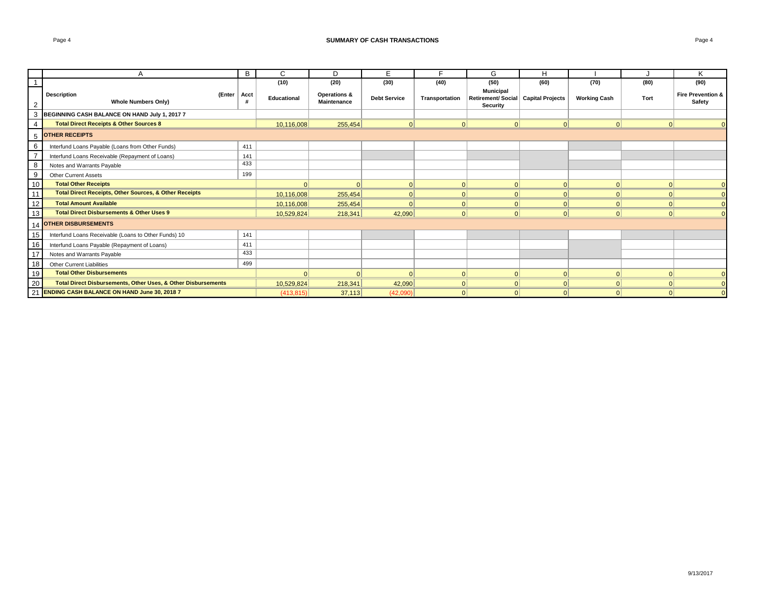#### **SUMMARY OF CASH TRANSACTIONS Page 4 Page 4 Page 4 Page 4 Page 4 Page 4 Page 4 Page 4 Page 4 Page 4 Page 4 Page 4 Page 4 Page 4 Page 4 Page 4 Page 4 Page 4 Page 4 Page 4 Page 4 P**

|                | A                                                                        | B   | C           | D                                  | E.                  |                | G                                                                     | н        |                     |          | Κ                                      |
|----------------|--------------------------------------------------------------------------|-----|-------------|------------------------------------|---------------------|----------------|-----------------------------------------------------------------------|----------|---------------------|----------|----------------------------------------|
|                |                                                                          |     | (10)        | (20)                               | (30)                | (40)           | (50)                                                                  | (60)     | (70)                | (80)     | (90)                                   |
|                | <b>Description</b><br>(Enter   Acct<br><b>Whole Numbers Only)</b>        |     | Educational | Operations &<br><b>Maintenance</b> | <b>Debt Service</b> | Transportation | <b>Municipal</b><br>Retirement/ Social   Capital Projects<br>Security |          | <b>Working Cash</b> | Tort     | <b>Fire Prevention &amp;</b><br>Safety |
|                | 3 BEGINNING CASH BALANCE ON HAND July 1, 2017 7                          |     |             |                                    |                     |                |                                                                       |          |                     |          |                                        |
| $\overline{4}$ | <b>Total Direct Receipts &amp; Other Sources 8</b>                       |     | 10,116,008  | 255,454                            | 0                   | 0              | 0                                                                     | $\Omega$ | 0                   | $\Omega$ |                                        |
| 5              | <b>OTHER RECEIPTS</b>                                                    |     |             |                                    |                     |                |                                                                       |          |                     |          |                                        |
| 6              | Interfund Loans Payable (Loans from Other Funds)                         | 411 |             |                                    |                     |                |                                                                       |          |                     |          |                                        |
|                | Interfund Loans Receivable (Repayment of Loans)                          | 141 |             |                                    |                     |                |                                                                       |          |                     |          |                                        |
| 8              | Notes and Warrants Payable                                               | 433 |             |                                    |                     |                |                                                                       |          |                     |          |                                        |
| 9              | <b>Other Current Assets</b>                                              | 199 |             |                                    |                     |                |                                                                       |          |                     |          |                                        |
| 10             | <b>Total Other Receipts</b>                                              |     |             | $\Omega$                           | 0                   | $\Omega$       |                                                                       | $\Omega$ | $\Omega$            |          |                                        |
| 11             | <b>Total Direct Receipts, Other Sources, &amp; Other Receipts</b>        |     | 10,116,008  | 255,454                            | 0                   | $\Omega$       |                                                                       | $\Omega$ | $\Omega$            |          |                                        |
| 12             | <b>Total Amount Available</b>                                            |     | 10,116,008  | 255,454                            | 0                   | $\Omega$       | $\Omega$                                                              | $\Omega$ | 0                   |          | $\Omega$                               |
| 13             | <b>Total Direct Disbursements &amp; Other Uses 9</b>                     |     | 10,529,824  | 218,341                            | 42,090              | 0              | $\Omega$                                                              | $\Omega$ | 0                   |          | $\cap$                                 |
|                | 14 OTHER DISBURSEMENTS                                                   |     |             |                                    |                     |                |                                                                       |          |                     |          |                                        |
| 15             | Interfund Loans Receivable (Loans to Other Funds) 10                     | 141 |             |                                    |                     |                |                                                                       |          |                     |          |                                        |
| 16             | Interfund Loans Payable (Repayment of Loans)                             | 411 |             |                                    |                     |                |                                                                       |          |                     |          |                                        |
| 17             | Notes and Warrants Payable                                               | 433 |             |                                    |                     |                |                                                                       |          |                     |          |                                        |
| 18             | <b>Other Current Liabilities</b>                                         | 499 |             |                                    |                     |                |                                                                       |          |                     |          |                                        |
| 19             | <b>Total Other Disbursements</b>                                         |     |             | 0                                  | 0                   | $\Omega$       | 0                                                                     | $\Omega$ | 0                   | $\Omega$ | $\Omega$                               |
| 20             | <b>Total Direct Disbursements, Other Uses, &amp; Other Disbursements</b> |     | 10,529,824  | 218,341                            | 42,090              | $\Omega$       |                                                                       | $\Omega$ | $\Omega$            |          | $\Omega$                               |
| 21             | <b>ENDING CASH BALANCE ON HAND June 30, 2018 7</b>                       |     | (413.815)   | 37,113                             | (42,090)            | $\Omega$       |                                                                       | $\Omega$ | $\Omega$            |          | $\Omega$                               |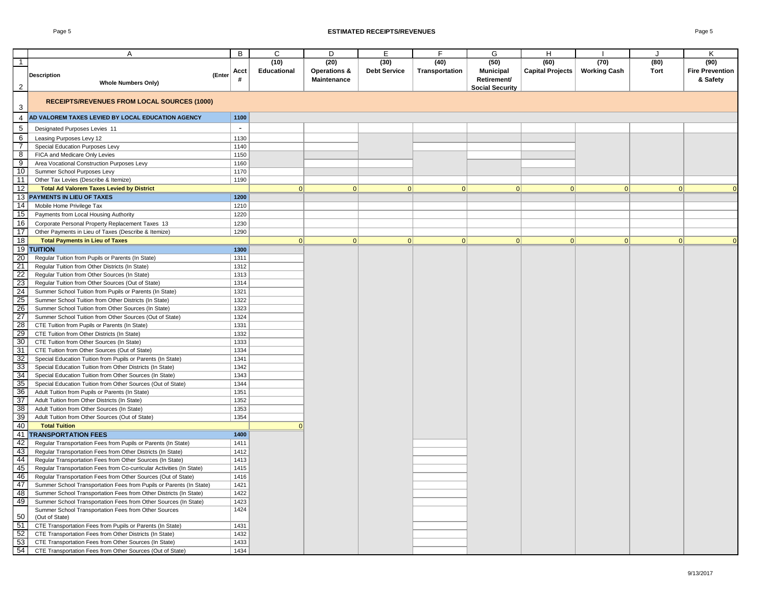### Page 5 **ESTIMATED RECEIPTS/REVENUES** Page 5

|                 | Α                                                                    | В      | C           | D                       | Ε                   | F              | G                      | Н                       |                     |      | Κ                      |
|-----------------|----------------------------------------------------------------------|--------|-------------|-------------------------|---------------------|----------------|------------------------|-------------------------|---------------------|------|------------------------|
| $\mathbf{1}$    |                                                                      |        | (10)        | (20)                    | (30)                | (40)           | (50)                   | (60)                    | (70)                | (80) | (90)                   |
|                 |                                                                      | Acct   | Educational | <b>Operations &amp;</b> | <b>Debt Service</b> | Transportation | <b>Municipal</b>       | <b>Capital Projects</b> | <b>Working Cash</b> | Tort | <b>Fire Prevention</b> |
|                 | <b>Description</b><br>(Enter                                         | #      |             | Maintenance             |                     |                | Retirement/            |                         |                     |      | & Safety               |
| $\overline{2}$  | <b>Whole Numbers Only)</b>                                           |        |             |                         |                     |                |                        |                         |                     |      |                        |
|                 |                                                                      |        |             |                         |                     |                | <b>Social Security</b> |                         |                     |      |                        |
| 3               | <b>RECEIPTS/REVENUES FROM LOCAL SOURCES (1000)</b>                   |        |             |                         |                     |                |                        |                         |                     |      |                        |
| 4               | AD VALOREM TAXES LEVIED BY LOCAL EDUCATION AGENCY                    | 1100   |             |                         |                     |                |                        |                         |                     |      |                        |
| 5               | Designated Purposes Levies 11                                        | $\sim$ |             |                         |                     |                |                        |                         |                     |      |                        |
| 6               | Leasing Purposes Levy 12                                             | 1130   |             |                         |                     |                |                        |                         |                     |      |                        |
|                 |                                                                      |        |             |                         |                     |                |                        |                         |                     |      |                        |
| $\overline{7}$  | Special Education Purposes Levy                                      | 1140   |             |                         |                     |                |                        |                         |                     |      |                        |
| $\infty$        | FICA and Medicare Only Levies                                        | 1150   |             |                         |                     |                |                        |                         |                     |      |                        |
| 9               | Area Vocational Construction Purposes Levy                           | 1160   |             |                         |                     |                |                        |                         |                     |      |                        |
| 10              | Summer School Purposes Levy                                          | 1170   |             |                         |                     |                |                        |                         |                     |      |                        |
| 11              | Other Tax Levies (Describe & Itemize)                                | 1190   |             |                         |                     |                |                        |                         |                     |      |                        |
| $\overline{12}$ | <b>Total Ad Valorem Taxes Levied by District</b>                     |        | 0           | 0                       | 0                   | 0              | 0                      | 0                       | 0                   | 0    |                        |
| 13              | <b>PAYMENTS IN LIEU OF TAXES</b>                                     | 1200   |             |                         |                     |                |                        |                         |                     |      |                        |
| 14              |                                                                      | 1210   |             |                         |                     |                |                        |                         |                     |      |                        |
|                 | Mobile Home Privilege Tax                                            |        |             |                         |                     |                |                        |                         |                     |      |                        |
| 15              | Payments from Local Housing Authority                                | 1220   |             |                         |                     |                |                        |                         |                     |      |                        |
| 16              | Corporate Personal Property Replacement Taxes 13                     | 1230   |             |                         |                     |                |                        |                         |                     |      |                        |
| 17              | Other Payments in Lieu of Taxes (Describe & Itemize)                 | 1290   |             |                         |                     |                |                        |                         |                     |      |                        |
| 18              | <b>Total Payments in Lieu of Taxes</b>                               |        | 0           | 0                       | 0                   | 0              | 0                      | 0                       | 0                   | 0    | $\Omega$               |
| 19              | <b>TUITION</b>                                                       | 1300   |             |                         |                     |                |                        |                         |                     |      |                        |
|                 |                                                                      |        |             |                         |                     |                |                        |                         |                     |      |                        |
| 20              | Regular Tuition from Pupils or Parents (In State)                    | 1311   |             |                         |                     |                |                        |                         |                     |      |                        |
| 21              | Regular Tuition from Other Districts (In State)                      | 1312   |             |                         |                     |                |                        |                         |                     |      |                        |
| 22              | Regular Tuition from Other Sources (In State)                        | 1313   |             |                         |                     |                |                        |                         |                     |      |                        |
| 23              | Regular Tuition from Other Sources (Out of State)                    | 1314   |             |                         |                     |                |                        |                         |                     |      |                        |
| 24              | Summer School Tuition from Pupils or Parents (In State)              | 1321   |             |                         |                     |                |                        |                         |                     |      |                        |
| 25              | Summer School Tuition from Other Districts (In State)                | 1322   |             |                         |                     |                |                        |                         |                     |      |                        |
| 26              | Summer School Tuition from Other Sources (In State)                  | 1323   |             |                         |                     |                |                        |                         |                     |      |                        |
| 27              |                                                                      | 1324   |             |                         |                     |                |                        |                         |                     |      |                        |
|                 | Summer School Tuition from Other Sources (Out of State)              |        |             |                         |                     |                |                        |                         |                     |      |                        |
| 28              | CTE Tuition from Pupils or Parents (In State)                        | 1331   |             |                         |                     |                |                        |                         |                     |      |                        |
| 29              | CTE Tuition from Other Districts (In State)                          | 1332   |             |                         |                     |                |                        |                         |                     |      |                        |
| 30              | CTE Tuition from Other Sources (In State)                            | 1333   |             |                         |                     |                |                        |                         |                     |      |                        |
| 31              | CTE Tuition from Other Sources (Out of State)                        | 1334   |             |                         |                     |                |                        |                         |                     |      |                        |
| 32              | Special Education Tuition from Pupils or Parents (In State)          | 1341   |             |                         |                     |                |                        |                         |                     |      |                        |
| 33              | Special Education Tuition from Other Districts (In State)            | 1342   |             |                         |                     |                |                        |                         |                     |      |                        |
| 34              | Special Education Tuition from Other Sources (In State)              | 1343   |             |                         |                     |                |                        |                         |                     |      |                        |
| 35              | Special Education Tuition from Other Sources (Out of State)          | 1344   |             |                         |                     |                |                        |                         |                     |      |                        |
| 36              | Adult Tuition from Pupils or Parents (In State)                      | 1351   |             |                         |                     |                |                        |                         |                     |      |                        |
| 37              |                                                                      |        |             |                         |                     |                |                        |                         |                     |      |                        |
|                 | Adult Tuition from Other Districts (In State)                        | 1352   |             |                         |                     |                |                        |                         |                     |      |                        |
| 38              | Adult Tuition from Other Sources (In State)                          | 1353   |             |                         |                     |                |                        |                         |                     |      |                        |
| 39              | Adult Tuition from Other Sources (Out of State)                      | 1354   |             |                         |                     |                |                        |                         |                     |      |                        |
| 40              | <b>Total Tuition</b>                                                 |        | $\Omega$    |                         |                     |                |                        |                         |                     |      |                        |
| 41              | <b>TRANSPORTATION FEES</b>                                           | 1400   |             |                         |                     |                |                        |                         |                     |      |                        |
| 42              | Regular Transportation Fees from Pupils or Parents (In State)        | 1411   |             |                         |                     |                |                        |                         |                     |      |                        |
| 43              | Regular Transportation Fees from Other Districts (In State)          | 1412   |             |                         |                     |                |                        |                         |                     |      |                        |
| -44             | Regular Transportation Fees from Other Sources (In State)            | 1413   |             |                         |                     |                |                        |                         |                     |      |                        |
| 45              | Regular Transportation Fees from Co-curricular Activities (In State) | 1415   |             |                         |                     |                |                        |                         |                     |      |                        |
| 46              | Regular Transportation Fees from Other Sources (Out of State)        | 1416   |             |                         |                     |                |                        |                         |                     |      |                        |
| 47              | Summer School Transportation Fees from Pupils or Parents (In State)  | 1421   |             |                         |                     |                |                        |                         |                     |      |                        |
| 48              |                                                                      |        |             |                         |                     |                |                        |                         |                     |      |                        |
|                 | Summer School Transportation Fees from Other Districts (In State)    | 1422   |             |                         |                     |                |                        |                         |                     |      |                        |
| 49              | Summer School Transportation Fees from Other Sources (In State)      | 1423   |             |                         |                     |                |                        |                         |                     |      |                        |
|                 | Summer School Transportation Fees from Other Sources                 | 1424   |             |                         |                     |                |                        |                         |                     |      |                        |
| 50              | (Out of State)                                                       |        |             |                         |                     |                |                        |                         |                     |      |                        |
| 51              | CTE Transportation Fees from Pupils or Parents (In State)            | 1431   |             |                         |                     |                |                        |                         |                     |      |                        |
| 52              | CTE Transportation Fees from Other Districts (In State)              | 1432   |             |                         |                     |                |                        |                         |                     |      |                        |
| 53              | CTE Transportation Fees from Other Sources (In State)                | 1433   |             |                         |                     |                |                        |                         |                     |      |                        |
| 54              | CTE Transportation Fees from Other Sources (Out of State)            | 1434   |             |                         |                     |                |                        |                         |                     |      |                        |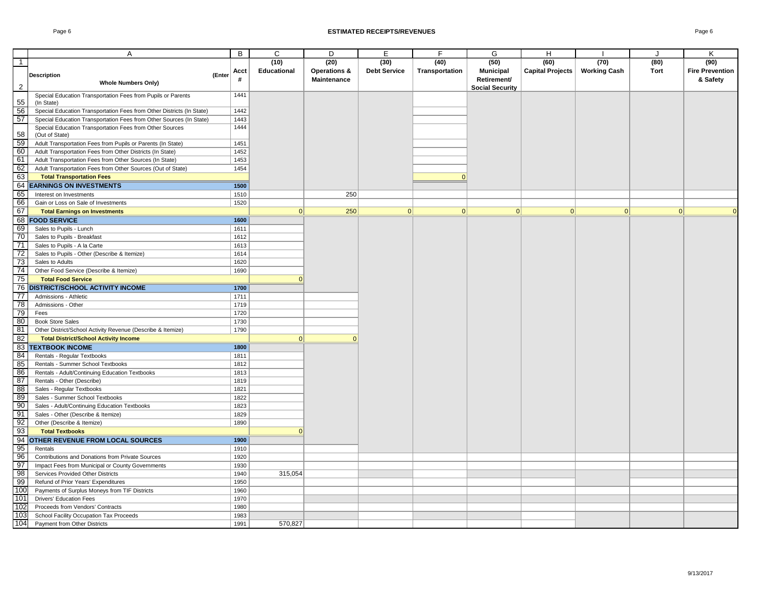|                       | A                                                                     | B            | $\overline{c}$     | D                  | $\overline{E}$      | F              | G                      | H                |                     | $\cdot$  | Κ                      |
|-----------------------|-----------------------------------------------------------------------|--------------|--------------------|--------------------|---------------------|----------------|------------------------|------------------|---------------------|----------|------------------------|
| $\overline{1}$        |                                                                       |              | (10)               | (20)               | (30)                | (40)           | (50)                   | (60)             | (70)                | (80)     | (90)                   |
|                       |                                                                       | Acct         | <b>Educational</b> | Operations &       | <b>Debt Service</b> | Transportation | <b>Municipal</b>       | Capital Projects | <b>Working Cash</b> | Tort     | <b>Fire Prevention</b> |
|                       | <b>Description</b><br>(Enter                                          |              |                    | <b>Maintenance</b> |                     |                | Retirement/            |                  |                     |          | & Safety               |
| 2                     | <b>Whole Numbers Only)</b>                                            |              |                    |                    |                     |                | <b>Social Security</b> |                  |                     |          |                        |
|                       | Special Education Transportation Fees from Pupils or Parents          | 1441         |                    |                    |                     |                |                        |                  |                     |          |                        |
| 55                    | (In State)                                                            |              |                    |                    |                     |                |                        |                  |                     |          |                        |
| 56                    | Special Education Transportation Fees from Other Districts (In State) | 1442         |                    |                    |                     |                |                        |                  |                     |          |                        |
| 57                    | Special Education Transportation Fees from Other Sources (In State)   | 1443         |                    |                    |                     |                |                        |                  |                     |          |                        |
|                       | Special Education Transportation Fees from Other Sources              | 1444         |                    |                    |                     |                |                        |                  |                     |          |                        |
| 58                    | (Out of State)                                                        |              |                    |                    |                     |                |                        |                  |                     |          |                        |
| 59                    | Adult Transportation Fees from Pupils or Parents (In State)           | 1451         |                    |                    |                     |                |                        |                  |                     |          |                        |
| 60                    | Adult Transportation Fees from Other Districts (In State)             | 1452         |                    |                    |                     |                |                        |                  |                     |          |                        |
| 61                    | Adult Transportation Fees from Other Sources (In State)               | 1453         |                    |                    |                     |                |                        |                  |                     |          |                        |
| 62                    | Adult Transportation Fees from Other Sources (Out of State)           | 1454         |                    |                    |                     |                |                        |                  |                     |          |                        |
| 63                    | <b>Total Transportation Fees</b>                                      |              |                    |                    |                     | $\Omega$       |                        |                  |                     |          |                        |
| 64                    | <b>EARNINGS ON INVESTMENTS</b>                                        | 1500         |                    |                    |                     |                |                        |                  |                     |          |                        |
| 65                    | Interest on Investments                                               | 1510         |                    | 250                |                     |                |                        |                  |                     |          |                        |
| 66                    | Gain or Loss on Sale of Investments                                   | 1520         |                    |                    |                     |                |                        |                  |                     |          |                        |
| 67                    | <b>Total Earnings on Investments</b>                                  |              | $\Omega$           | 250                | 0                   | $\Omega$       | 0                      | $\Omega$         | 0                   | $\Omega$ | $\Omega$               |
|                       | <b>68 FOOD SERVICE</b>                                                | 1600         |                    |                    |                     |                |                        |                  |                     |          |                        |
| 69                    | Sales to Pupils - Lunch                                               | 1611         |                    |                    |                     |                |                        |                  |                     |          |                        |
| 70                    | Sales to Pupils - Breakfast                                           | 1612         |                    |                    |                     |                |                        |                  |                     |          |                        |
| 71<br>$\overline{72}$ | Sales to Pupils - A la Carte                                          | 1613         |                    |                    |                     |                |                        |                  |                     |          |                        |
| 73                    | Sales to Pupils - Other (Describe & Itemize)<br>Sales to Adults       | 1614<br>1620 |                    |                    |                     |                |                        |                  |                     |          |                        |
| 74                    | Other Food Service (Describe & Itemize)                               | 1690         |                    |                    |                     |                |                        |                  |                     |          |                        |
| 75                    | <b>Total Food Service</b>                                             |              | $\Omega$           |                    |                     |                |                        |                  |                     |          |                        |
| 76                    | <b>DISTRICT/SCHOOL ACTIVITY INCOME</b>                                | 1700         |                    |                    |                     |                |                        |                  |                     |          |                        |
| $\overline{77}$       | Admissions - Athletic                                                 | 1711         |                    |                    |                     |                |                        |                  |                     |          |                        |
| $\overline{78}$       | Admissions - Other                                                    | 1719         |                    |                    |                     |                |                        |                  |                     |          |                        |
| 79                    | Fees                                                                  | 1720         |                    |                    |                     |                |                        |                  |                     |          |                        |
| 80                    | <b>Book Store Sales</b>                                               | 1730         |                    |                    |                     |                |                        |                  |                     |          |                        |
| 81                    | Other District/School Activity Revenue (Describe & Itemize)           | 1790         |                    |                    |                     |                |                        |                  |                     |          |                        |
| 82                    | <b>Total District/School Activity Income</b>                          |              | 0                  | $\Omega$           |                     |                |                        |                  |                     |          |                        |
| 83                    | <b>TEXTBOOK INCOME</b>                                                | 1800         |                    |                    |                     |                |                        |                  |                     |          |                        |
| 84                    | Rentals - Regular Textbooks                                           | 1811         |                    |                    |                     |                |                        |                  |                     |          |                        |
| 85                    | Rentals - Summer School Textbooks                                     | 1812         |                    |                    |                     |                |                        |                  |                     |          |                        |
| 86                    | Rentals - Adult/Continuing Education Textbooks                        | 1813         |                    |                    |                     |                |                        |                  |                     |          |                        |
| 87                    | Rentals - Other (Describe)                                            | 1819         |                    |                    |                     |                |                        |                  |                     |          |                        |
| $\overline{88}$       | Sales - Regular Textbooks                                             | 1821         |                    |                    |                     |                |                        |                  |                     |          |                        |
| 89                    | Sales - Summer School Textbooks                                       | 1822         |                    |                    |                     |                |                        |                  |                     |          |                        |
| 90                    | Sales - Adult/Continuing Education Textbooks                          | 1823         |                    |                    |                     |                |                        |                  |                     |          |                        |
| 91                    | Sales - Other (Describe & Itemize)                                    | 1829         |                    |                    |                     |                |                        |                  |                     |          |                        |
| 92                    | Other (Describe & Itemize)                                            | 1890         |                    |                    |                     |                |                        |                  |                     |          |                        |
| 93                    | <b>Total Textbooks</b>                                                |              | $\mathbf{0}$       |                    |                     |                |                        |                  |                     |          |                        |
| 94                    | OTHER REVENUE FROM LOCAL SOURCES                                      | 1900         |                    |                    |                     |                |                        |                  |                     |          |                        |
| 95                    | Rentals                                                               | 1910         |                    |                    |                     |                |                        |                  |                     |          |                        |
| 96                    | Contributions and Donations from Private Sources                      | 1920         |                    |                    |                     |                |                        |                  |                     |          |                        |
| 97                    | Impact Fees from Municipal or County Governments                      | 1930         |                    |                    |                     |                |                        |                  |                     |          |                        |
| 98                    | Services Provided Other Districts                                     | 1940         | 315,054            |                    |                     |                |                        |                  |                     |          |                        |
| 99                    | Refund of Prior Years' Expenditures                                   | 1950         |                    |                    |                     |                |                        |                  |                     |          |                        |
| 10 <sub>C</sub>       | Payments of Surplus Moneys from TIF Districts                         | 1960         |                    |                    |                     |                |                        |                  |                     |          |                        |
| 101                   | <b>Drivers' Education Fees</b>                                        | 1970         |                    |                    |                     |                |                        |                  |                     |          |                        |
| 102                   | Proceeds from Vendors' Contracts                                      | 1980         |                    |                    |                     |                |                        |                  |                     |          |                        |
| 103                   | School Facility Occupation Tax Proceeds                               | 1983         |                    |                    |                     |                |                        |                  |                     |          |                        |
| 104                   | Payment from Other Districts                                          | 1991         | 570,827            |                    |                     |                |                        |                  |                     |          |                        |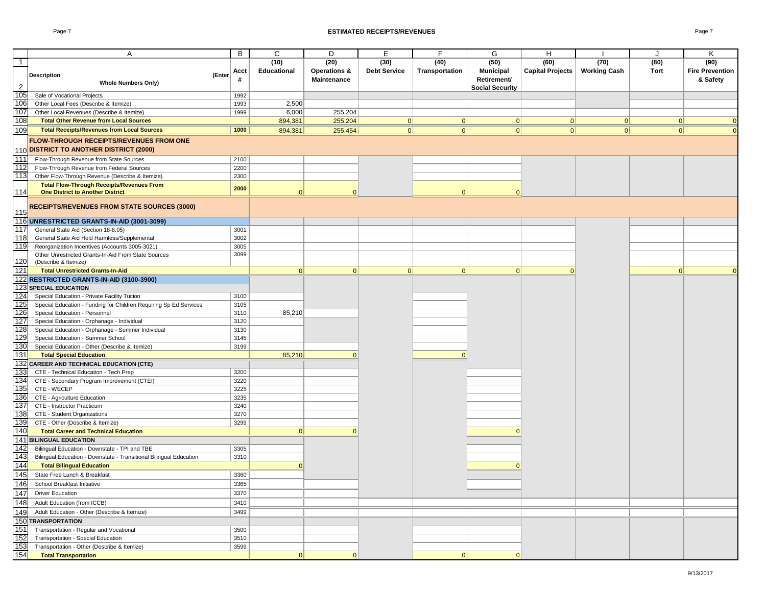#### Page 7 **ESTIMATED RECEIPTS/REVENUES** Page 7

|                | A                                                                                 | B            | C                  | D                       | Е                   | F              | G                      | H                       |                     | J    | Κ                      |
|----------------|-----------------------------------------------------------------------------------|--------------|--------------------|-------------------------|---------------------|----------------|------------------------|-------------------------|---------------------|------|------------------------|
| $\mathbf{1}$   |                                                                                   |              | (10)               | (20)                    | (30)                | (40)           | (50)                   | (60)                    | (70)                | (80) | (90)                   |
|                | <b>Description</b><br>(Enter                                                      | Acct         | <b>Educational</b> | <b>Operations &amp;</b> | <b>Debt Service</b> | Transportation | <b>Municipal</b>       | <b>Capital Projects</b> | <b>Working Cash</b> | Tort | <b>Fire Prevention</b> |
|                | <b>Whole Numbers Only)</b>                                                        |              |                    | Maintenance             |                     |                | Retirement/            |                         |                     |      | & Safety               |
| $\overline{2}$ |                                                                                   |              |                    |                         |                     |                | <b>Social Security</b> |                         |                     |      |                        |
| 105            | Sale of Vocational Projects                                                       | 1992         |                    |                         |                     |                |                        |                         |                     |      |                        |
| 106            | Other Local Fees (Describe & Itemize)                                             | 1993         | 2,500              |                         |                     |                |                        |                         |                     |      |                        |
| 107            | Other Local Revenues (Describe & Itemize)                                         | 1999         | 6,000              | 255,204                 |                     |                |                        |                         |                     |      |                        |
| 108            | <b>Total Other Revenue from Local Sources</b>                                     |              | 894,381            | 255,204                 | 0                   | 0              | 0                      | 0                       | 0                   | 0    | $\Omega$               |
| 109            | <b>Total Receipts/Revenues from Local Sources</b>                                 | 1000         | 894,381            | 255,454                 | 0                   | 0              | 0                      | 0                       | 0                   | 0    | $\Omega$               |
|                | <b>FLOW-THROUGH RECEIPTS/REVENUES FROM ONE</b>                                    |              |                    |                         |                     |                |                        |                         |                     |      |                        |
|                | 110 DISTRICT TO ANOTHER DISTRICT (2000)                                           |              |                    |                         |                     |                |                        |                         |                     |      |                        |
| 111            | Flow-Through Revenue from State Sources                                           | 2100         |                    |                         |                     |                |                        |                         |                     |      |                        |
| 112            | Flow-Through Revenue from Federal Sources                                         | 2200         |                    |                         |                     |                |                        |                         |                     |      |                        |
| 113            | Other Flow-Through Revenue (Describe & Itemize)                                   | 2300         |                    |                         |                     |                |                        |                         |                     |      |                        |
|                | <b>Total Flow-Through Receipts/Revenues From</b>                                  |              |                    |                         |                     |                |                        |                         |                     |      |                        |
| 114            | <b>One District to Another District</b>                                           | 2000         | $\Omega$           | $\cap$                  |                     | $\Omega$       | $\Omega$               |                         |                     |      |                        |
|                |                                                                                   |              |                    |                         |                     |                |                        |                         |                     |      |                        |
| 115            | <b>RECEIPTS/REVENUES FROM STATE SOURCES (3000)</b>                                |              |                    |                         |                     |                |                        |                         |                     |      |                        |
|                | 116 UNRESTRICTED GRANTS-IN-AID (3001-3099)                                        |              |                    |                         |                     |                |                        |                         |                     |      |                        |
| 117            | General State Aid (Section 18-8.05)                                               | 3001         |                    |                         |                     |                |                        |                         |                     |      |                        |
| 118            | General State Aid Hold Harmless/Supplemental                                      | 3002         |                    |                         |                     |                |                        |                         |                     |      |                        |
| 119            | Reorganization Incentives (Accounts 3005-3021)                                    | 3005         |                    |                         |                     |                |                        |                         |                     |      |                        |
|                | Other Unrestricted Grants-In-Aid From State Sources                               | 3099         |                    |                         |                     |                |                        |                         |                     |      |                        |
| 120            | (Describe & Itemize)                                                              |              |                    |                         |                     |                |                        |                         |                     |      |                        |
| 121            | <b>Total Unrestricted Grants-In-Aid</b>                                           |              | 0                  | 0                       | 0                   | 0              | 0                      | $\Omega$                |                     | 0    | $\Omega$               |
|                | 122 RESTRICTED GRANTS-IN-AID (3100-3900)                                          |              |                    |                         |                     |                |                        |                         |                     |      |                        |
| 123            | <b>SPECIAL EDUCATION</b>                                                          |              |                    |                         |                     |                |                        |                         |                     |      |                        |
| 124            | Special Education - Private Facility Tuition                                      | 3100         |                    |                         |                     |                |                        |                         |                     |      |                        |
| 125            | Special Education - Funding for Children Requiring Sp Ed Services                 | 3105         |                    |                         |                     |                |                        |                         |                     |      |                        |
| 126            | Special Education - Personnel                                                     | 3110         | 85,210             |                         |                     |                |                        |                         |                     |      |                        |
| 127            | Special Education - Orphanage - Individual                                        | 3120         |                    |                         |                     |                |                        |                         |                     |      |                        |
| 128            | Special Education - Orphanage - Summer Individual                                 | 3130         |                    |                         |                     |                |                        |                         |                     |      |                        |
| 129            | Special Education - Summer School                                                 | 3145         |                    |                         |                     |                |                        |                         |                     |      |                        |
| 130            | Special Education - Other (Describe & Itemize)                                    | 3199         |                    |                         |                     |                |                        |                         |                     |      |                        |
| 131            | <b>Total Special Education</b>                                                    |              | 85,210             | $\cap$                  |                     | 0              |                        |                         |                     |      |                        |
|                | 132 CAREER AND TECHNICAL EDUCATION (CTE)                                          |              |                    |                         |                     |                |                        |                         |                     |      |                        |
| 133            | CTE - Technical Education - Tech Prep                                             | 3200         |                    |                         |                     |                |                        |                         |                     |      |                        |
| 134<br>135     | CTE - Secondary Program Improvement (CTEI)                                        | 3220         |                    |                         |                     |                |                        |                         |                     |      |                        |
| 136            | CTE - WECEP<br>CTE - Agriculture Education                                        | 3225<br>3235 |                    |                         |                     |                |                        |                         |                     |      |                        |
| 137            | CTE - Instructor Practicum                                                        | 3240         |                    |                         |                     |                |                        |                         |                     |      |                        |
| 138            | CTE - Student Organizations                                                       | 3270         |                    |                         |                     |                |                        |                         |                     |      |                        |
| 139            | CTE - Other (Describe & Itemize)                                                  | 3299         |                    |                         |                     |                |                        |                         |                     |      |                        |
| 140            | <b>Total Career and Technical Education</b>                                       |              | 0                  | $\cap$                  |                     |                |                        |                         |                     |      |                        |
| 141            | <b>BILINGUAL EDUCATION</b>                                                        |              |                    |                         |                     |                |                        |                         |                     |      |                        |
| 142            | Bilingual Education - Downstate - TPI and TBE                                     | 3305         |                    |                         |                     |                |                        |                         |                     |      |                        |
| 143            | Bilingual Education - Downstate - Transitional Bilingual Education                | 3310         |                    |                         |                     |                |                        |                         |                     |      |                        |
| 144            | <b>Total Bilingual Education</b>                                                  |              | $\Omega$           |                         |                     |                | $\Omega$               |                         |                     |      |                        |
| 145            | State Free Lunch & Breakfast                                                      | 3360         |                    |                         |                     |                |                        |                         |                     |      |                        |
| 146            | School Breakfast Initiative                                                       | 3365         |                    |                         |                     |                |                        |                         |                     |      |                        |
| 147            | <b>Driver Education</b>                                                           | 3370         |                    |                         |                     |                |                        |                         |                     |      |                        |
| 148            | Adult Education (from ICCB)                                                       | 3410         |                    |                         |                     |                |                        |                         |                     |      |                        |
| 149            |                                                                                   |              |                    |                         |                     |                |                        |                         |                     |      |                        |
|                | Adult Education - Other (Describe & Itemize)<br>150 TRANSPORTATION                | 3499         |                    |                         |                     |                |                        |                         |                     |      |                        |
| 151            |                                                                                   |              |                    |                         |                     |                |                        |                         |                     |      |                        |
|                | Transportation - Regular and Vocational                                           | 3500         |                    |                         |                     |                |                        |                         |                     |      |                        |
| 152<br>153     | Transportation - Special Education<br>Transportation - Other (Describe & Itemize) | 3510<br>3599 |                    |                         |                     |                |                        |                         |                     |      |                        |
| 154            | <b>Total Transportation</b>                                                       |              | 0                  | 0                       |                     | 0              | 0                      |                         |                     |      |                        |
|                |                                                                                   |              |                    |                         |                     |                |                        |                         |                     |      |                        |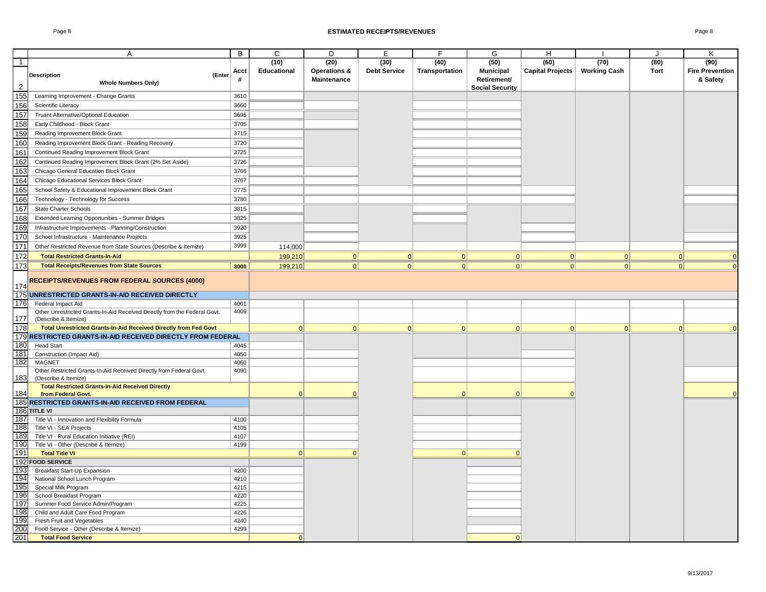|                   | A                                                                               | B            | $\overline{c}$ | D                       | E                   | F              | G                      | н                       |                     | $\cdot$  | K                      |
|-------------------|---------------------------------------------------------------------------------|--------------|----------------|-------------------------|---------------------|----------------|------------------------|-------------------------|---------------------|----------|------------------------|
| $\overline{1}$    |                                                                                 |              | (10)           | (20)                    | (30)                | (40)           | (50)                   | (60)                    | (70)                | (80)     | (90)                   |
|                   |                                                                                 | Acct         | Educational    | <b>Operations &amp;</b> | <b>Debt Service</b> | Transportation | <b>Municipal</b>       | <b>Capital Projects</b> | <b>Working Cash</b> | Tort     | <b>Fire Prevention</b> |
|                   | <b>Description</b><br>(Enter                                                    | #            |                | Maintenance             |                     |                | Retirement/            |                         |                     |          | & Safety               |
| $\overline{2}$    | <b>Whole Numbers Only)</b>                                                      |              |                |                         |                     |                | <b>Social Security</b> |                         |                     |          |                        |
| 155               | Learning Improvement - Change Grants                                            | 3610         |                |                         |                     |                |                        |                         |                     |          |                        |
|                   | Scientific Literacy                                                             | 3660         |                |                         |                     |                |                        |                         |                     |          |                        |
| $\frac{156}{157}$ | <b>Truant Alternative/Optional Education</b>                                    | 3695         |                |                         |                     |                |                        |                         |                     |          |                        |
| 158               | Early Childhood - Block Grant                                                   | 3705         |                |                         |                     |                |                        |                         |                     |          |                        |
| 159               | Reading Improvement Block Grant                                                 | 3715         |                |                         |                     |                |                        |                         |                     |          |                        |
| 160               | Reading Improvement Block Grant - Reading Recovery                              | 3720         |                |                         |                     |                |                        |                         |                     |          |                        |
| 161               | Continued Reading Improvement Block Grant                                       | 3725         |                |                         |                     |                |                        |                         |                     |          |                        |
| 162               | Continued Reading Improvement Block Grant (2% Set Aside)                        | 3726         |                |                         |                     |                |                        |                         |                     |          |                        |
| 163               |                                                                                 | 3766         |                |                         |                     |                |                        |                         |                     |          |                        |
|                   | Chicago General Education Block Grant                                           |              |                |                         |                     |                |                        |                         |                     |          |                        |
| 164<br>165        | Chicago Educational Services Block Grant                                        | 3767         |                |                         |                     |                |                        |                         |                     |          |                        |
|                   | School Safety & Educational Improvement Block Grant                             | 3775         |                |                         |                     |                |                        |                         |                     |          |                        |
| 166               | Technology - Technology for Success                                             | 3780         |                |                         |                     |                |                        |                         |                     |          |                        |
| 167               | <b>State Charter Schools</b>                                                    | 3815         |                |                         |                     |                |                        |                         |                     |          |                        |
| 168               | Extended Learning Opportunities - Summer Bridges                                | 3825         |                |                         |                     |                |                        |                         |                     |          |                        |
| 169               | Infrastructure Improvements - Planning/Construction                             | 3920         |                |                         |                     |                |                        |                         |                     |          |                        |
| 170               | School Infrastructure - Maintenance Projects                                    | 3925         |                |                         |                     |                |                        |                         |                     |          |                        |
| 171               | Other Restricted Revenue from State Sources (Describe & Itemize)                | 3999         | 114,000        |                         |                     |                |                        |                         |                     |          |                        |
| 172               | <b>Total Restricted Grants-In-Aid</b>                                           |              | 199,210        | 0                       | 0                   | 0              | 0                      | 0                       | 0                   | 0        | $\Omega$               |
| 173               | <b>Total Receipts/Revenues from State Sources</b>                               | 3000         | 199,210        | 0                       | 0                   | 0              | 0                      | 0                       | 0                   | 0        |                        |
|                   |                                                                                 |              |                |                         |                     |                |                        |                         |                     |          |                        |
| 174               | <b>RECEIPTS/REVENUES FROM FEDERAL SOURCES (4000)</b>                            |              |                |                         |                     |                |                        |                         |                     |          |                        |
| 175               | UNRESTRICTED GRANTS-IN-AID RECEIVED DIRECTLY                                    |              |                |                         |                     |                |                        |                         |                     |          |                        |
| 176               | Federal Impact Aid                                                              | 4001         |                |                         |                     |                |                        |                         |                     |          |                        |
|                   | Other Unrestricted Grants-In-Aid Received Directly from the Federal Govt.       | 4009         |                |                         |                     |                |                        |                         |                     |          |                        |
| 177               | (Describe & Itemize)                                                            |              |                |                         |                     |                |                        |                         |                     |          |                        |
| 178               | Total Unrestricted Grants-In-Aid Received Directly from Fed Govt                |              | $\Omega$       | 0                       | 0                   | 0              | $\Omega$               | $\Omega$                | $\Omega$            | $\Omega$ |                        |
| 179               | RESTRICTED GRANTS-IN-AID RECEIVED DIRECTLY FROM FEDERAL                         |              |                |                         |                     |                |                        |                         |                     |          |                        |
| 180               | <b>Head Start</b>                                                               | 4045         |                |                         |                     |                |                        |                         |                     |          |                        |
| 181               | Construction (Impact Aid)                                                       | 4050         |                |                         |                     |                |                        |                         |                     |          |                        |
| 182               | MAGNET                                                                          | 4060         |                |                         |                     |                |                        |                         |                     |          |                        |
| 183               | Other Restricted Grants-In-Aid Received Directly from Federal Govt.             | 4090         |                |                         |                     |                |                        |                         |                     |          |                        |
|                   | (Describe & Itemize)<br><b>Total Restricted Grants-In-Aid Received Directly</b> |              |                |                         |                     |                |                        |                         |                     |          |                        |
| 184               | from Federal Govt.                                                              |              | $\Omega$       |                         |                     | $\Omega$       | $\Omega$               | $\Omega$                |                     |          | $\Omega$               |
| 185               | RESTRICTED GRANTS-IN-AID RECEIVED FROM FEDERAL                                  |              |                |                         |                     |                |                        |                         |                     |          |                        |
|                   | 186 TITLE VI                                                                    |              |                |                         |                     |                |                        |                         |                     |          |                        |
| 187               | Title VI - Innovation and Flexibility Formula                                   | 4100         |                |                         |                     |                |                        |                         |                     |          |                        |
| 188               | Title VI - SEA Projects                                                         | 4105         |                |                         |                     |                |                        |                         |                     |          |                        |
| 189               | Title VI - Rural Education Initiative (REI)                                     | 4107         |                |                         |                     |                |                        |                         |                     |          |                        |
| 190               | Title VI - Other (Describe & Itemize)                                           | 4199         |                |                         |                     |                |                        |                         |                     |          |                        |
| 191               | <b>Total Title VI</b>                                                           |              | $\Omega$       |                         |                     | 0              | $\Omega$               |                         |                     |          |                        |
| 192               | <b>FOOD SERVICE</b>                                                             |              |                |                         |                     |                |                        |                         |                     |          |                        |
| 193               | Breakfast Start-Up Expansion                                                    | 4200         |                |                         |                     |                |                        |                         |                     |          |                        |
| 194               | National School Lunch Program                                                   | 4210         |                |                         |                     |                |                        |                         |                     |          |                        |
| 195               | Special Milk Program                                                            | 4215         |                |                         |                     |                |                        |                         |                     |          |                        |
| 196<br>197        | School Breakfast Program                                                        | 4220         |                |                         |                     |                |                        |                         |                     |          |                        |
| 198               | Summer Food Service Admin/Program<br>Child and Adult Care Food Program          | 4225<br>4226 |                |                         |                     |                |                        |                         |                     |          |                        |
| 199               | Fresh Fruit and Vegetables                                                      | 4240         |                |                         |                     |                |                        |                         |                     |          |                        |
|                   | Food Service - Other (Describe & Itemize)                                       | 4299         |                |                         |                     |                |                        |                         |                     |          |                        |
| 200<br>201        | <b>Total Food Service</b>                                                       |              | $\Omega$       |                         |                     |                | 0                      |                         |                     |          |                        |
|                   |                                                                                 |              |                |                         |                     |                |                        |                         |                     |          |                        |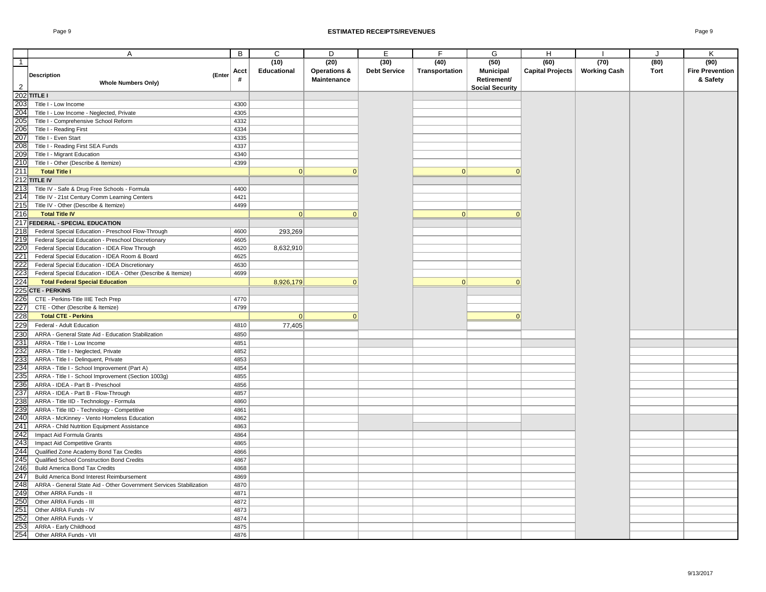|                | Α                                                                  | B    | $\overline{c}$ | D                       | Ε                   | F              | G                      | H                       |                     | J           | Κ                      |
|----------------|--------------------------------------------------------------------|------|----------------|-------------------------|---------------------|----------------|------------------------|-------------------------|---------------------|-------------|------------------------|
| $\overline{1}$ |                                                                    |      | (10)           | (20)                    | (30)                | (40)           | (50)                   | (60)                    | (70)                | (80)        | (90)                   |
|                |                                                                    |      |                |                         |                     |                |                        |                         |                     | <b>Tort</b> |                        |
|                | <b>Description</b><br>(Enter                                       | Acct | Educational    | <b>Operations &amp;</b> | <b>Debt Service</b> | Transportation | <b>Municipal</b>       | <b>Capital Projects</b> | <b>Working Cash</b> |             | <b>Fire Prevention</b> |
|                | <b>Whole Numbers Only)</b>                                         | #    |                | Maintenance             |                     |                | Retirement/            |                         |                     |             | & Safety               |
| $\overline{2}$ |                                                                    |      |                |                         |                     |                | <b>Social Security</b> |                         |                     |             |                        |
| 202            | <b>TITLE I</b>                                                     |      |                |                         |                     |                |                        |                         |                     |             |                        |
| 203            | Title I - Low Income                                               | 4300 |                |                         |                     |                |                        |                         |                     |             |                        |
| 204            | Title I - Low Income - Neglected, Private                          | 4305 |                |                         |                     |                |                        |                         |                     |             |                        |
| 205            | Title I - Comprehensive School Reform                              | 4332 |                |                         |                     |                |                        |                         |                     |             |                        |
| 206            | Title I - Reading First                                            | 4334 |                |                         |                     |                |                        |                         |                     |             |                        |
| 207            | Title I - Even Start                                               | 4335 |                |                         |                     |                |                        |                         |                     |             |                        |
| 208            | Title I - Reading First SEA Funds                                  | 4337 |                |                         |                     |                |                        |                         |                     |             |                        |
| 209            | Title I - Migrant Education                                        | 4340 |                |                         |                     |                |                        |                         |                     |             |                        |
| 210            | Title I - Other (Describe & Itemize)                               | 4399 |                |                         |                     |                |                        |                         |                     |             |                        |
| 211            | <b>Total Title I</b>                                               |      | 0              |                         |                     | 0              | $\Omega$               |                         |                     |             |                        |
| 212            | <b>TITLE IV</b>                                                    |      |                |                         |                     |                |                        |                         |                     |             |                        |
| 213            | Title IV - Safe & Drug Free Schools - Formula                      | 4400 |                |                         |                     |                |                        |                         |                     |             |                        |
| 214            | Title IV - 21st Century Comm Learning Centers                      | 4421 |                |                         |                     |                |                        |                         |                     |             |                        |
| 215            | Title IV - Other (Describe & Itemize)                              | 4499 |                |                         |                     |                |                        |                         |                     |             |                        |
| 216            | <b>Total Title IV</b>                                              |      | $\Omega$       |                         |                     | $\mathbf{0}$   | $\Omega$               |                         |                     |             |                        |
| 217            | FEDERAL - SPECIAL EDUCATION                                        |      |                |                         |                     |                |                        |                         |                     |             |                        |
| 218            | Federal Special Education - Preschool Flow-Through                 | 4600 | 293,269        |                         |                     |                |                        |                         |                     |             |                        |
| 219            | Federal Special Education - Preschool Discretionary                | 4605 |                |                         |                     |                |                        |                         |                     |             |                        |
| 220            | Federal Special Education - IDEA Flow Through                      | 4620 | 8,632,910      |                         |                     |                |                        |                         |                     |             |                        |
| 221            | Federal Special Education - IDEA Room & Board                      | 4625 |                |                         |                     |                |                        |                         |                     |             |                        |
| 222            | Federal Special Education - IDEA Discretionary                     | 4630 |                |                         |                     |                |                        |                         |                     |             |                        |
| 223            | Federal Special Education - IDEA - Other (Describe & Itemize)      | 4699 |                |                         |                     |                |                        |                         |                     |             |                        |
| 224            | <b>Total Federal Special Education</b>                             |      | 8,926,179      | $\Omega$                |                     | 0              | $\Omega$               |                         |                     |             |                        |
| 225            | <b>CTE - PERKINS</b>                                               |      |                |                         |                     |                |                        |                         |                     |             |                        |
| 226            | CTE - Perkins-Title IIIE Tech Prep                                 | 4770 |                |                         |                     |                |                        |                         |                     |             |                        |
| 227            |                                                                    | 4799 |                |                         |                     |                |                        |                         |                     |             |                        |
|                | CTE - Other (Describe & Itemize)                                   |      |                |                         |                     |                |                        |                         |                     |             |                        |
| 228            | <b>Total CTE - Perkins</b>                                         |      | 0              | $\Omega$                |                     |                | $\Omega$               |                         |                     |             |                        |
| 229            | Federal - Adult Education                                          | 4810 | 77,405         |                         |                     |                |                        |                         |                     |             |                        |
| 230            | ARRA - General State Aid - Education Stabilization                 | 4850 |                |                         |                     |                |                        |                         |                     |             |                        |
| 231            | ARRA - Title I - Low Income                                        | 4851 |                |                         |                     |                |                        |                         |                     |             |                        |
| 232            | ARRA - Title I - Neglected, Private                                | 4852 |                |                         |                     |                |                        |                         |                     |             |                        |
| 233            | ARRA - Title I - Delinquent, Private                               | 4853 |                |                         |                     |                |                        |                         |                     |             |                        |
| 234            | ARRA - Title I - School Improvement (Part A)                       | 4854 |                |                         |                     |                |                        |                         |                     |             |                        |
| 235            | ARRA - Title I - School Improvement (Section 1003g)                | 4855 |                |                         |                     |                |                        |                         |                     |             |                        |
| 236            | ARRA - IDEA - Part B - Preschool                                   | 4856 |                |                         |                     |                |                        |                         |                     |             |                        |
| 237            | ARRA - IDEA - Part B - Flow-Through                                | 4857 |                |                         |                     |                |                        |                         |                     |             |                        |
| 238            | ARRA - Title IID - Technology - Formula                            | 4860 |                |                         |                     |                |                        |                         |                     |             |                        |
| 239            | ARRA - Title IID - Technology - Competitive                        | 4861 |                |                         |                     |                |                        |                         |                     |             |                        |
| 240            | ARRA - McKinney - Vento Homeless Education                         | 4862 |                |                         |                     |                |                        |                         |                     |             |                        |
| 241            | ARRA - Child Nutrition Equipment Assistance                        | 4863 |                |                         |                     |                |                        |                         |                     |             |                        |
| 242            | Impact Aid Formula Grants                                          | 4864 |                |                         |                     |                |                        |                         |                     |             |                        |
| 243            | Impact Aid Competitive Grants                                      | 4865 |                |                         |                     |                |                        |                         |                     |             |                        |
| 244            | Qualified Zone Academy Bond Tax Credits                            | 4866 |                |                         |                     |                |                        |                         |                     |             |                        |
| 245            | Qualified School Construction Bond Credits                         | 4867 |                |                         |                     |                |                        |                         |                     |             |                        |
| 246            | <b>Build America Bond Tax Credits</b>                              | 4868 |                |                         |                     |                |                        |                         |                     |             |                        |
| 247            | Build America Bond Interest Reimbursement                          | 4869 |                |                         |                     |                |                        |                         |                     |             |                        |
| 248            | ARRA - General State Aid - Other Government Services Stabilization | 4870 |                |                         |                     |                |                        |                         |                     |             |                        |
| 249            | Other ARRA Funds - II                                              | 4871 |                |                         |                     |                |                        |                         |                     |             |                        |
| 250            | Other ARRA Funds - III                                             | 4872 |                |                         |                     |                |                        |                         |                     |             |                        |
| 251            | Other ARRA Funds - IV                                              | 4873 |                |                         |                     |                |                        |                         |                     |             |                        |
| 252            | Other ARRA Funds - V                                               | 4874 |                |                         |                     |                |                        |                         |                     |             |                        |
| 253            | ARRA - Early Childhood                                             | 4875 |                |                         |                     |                |                        |                         |                     |             |                        |
| 254            | Other ARRA Funds - VII                                             | 4876 |                |                         |                     |                |                        |                         |                     |             |                        |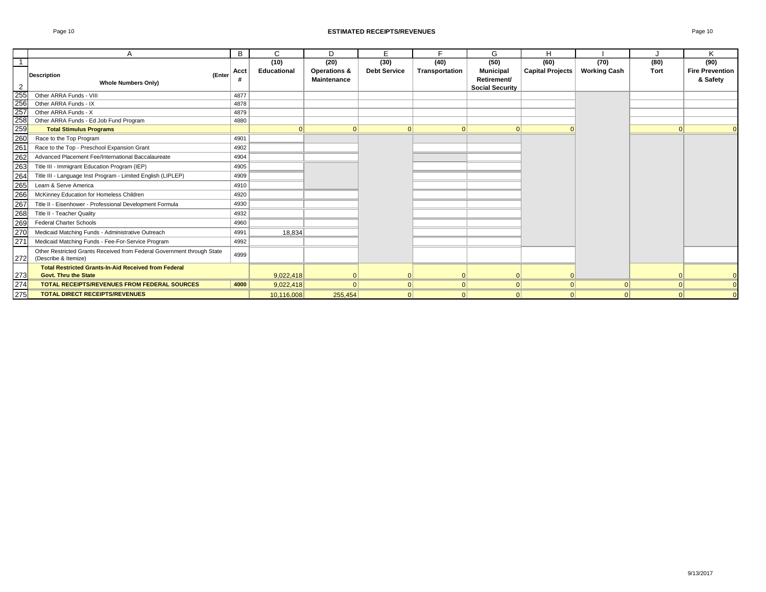#### Page 10 **ESTIMATED RECEIPTS/REVENUES** Page 10

|                                                                                                                                       | Α                                                                                              | B    | C                  | D                       | F                   | Е              | G                                     | H                       |                     |      | K                      |
|---------------------------------------------------------------------------------------------------------------------------------------|------------------------------------------------------------------------------------------------|------|--------------------|-------------------------|---------------------|----------------|---------------------------------------|-------------------------|---------------------|------|------------------------|
|                                                                                                                                       |                                                                                                |      | (10)               | (20)                    | (30)                | (40)           | (50)                                  | (60)                    | (70)                | (80) | (90)                   |
|                                                                                                                                       | (Enter<br><b>Description</b>                                                                   | Acct | <b>Educational</b> | <b>Operations &amp;</b> | <b>Debt Service</b> | Transportation | <b>Municipal</b>                      | <b>Capital Projects</b> | <b>Working Cash</b> | Tort | <b>Fire Prevention</b> |
| 2                                                                                                                                     | <b>Whole Numbers Only)</b>                                                                     |      |                    | <b>Maintenance</b>      |                     |                | Retirement/<br><b>Social Security</b> |                         |                     |      | & Safety               |
|                                                                                                                                       | Other ARRA Funds - VIII                                                                        | 4877 |                    |                         |                     |                |                                       |                         |                     |      |                        |
|                                                                                                                                       | Other ARRA Funds - IX                                                                          | 4878 |                    |                         |                     |                |                                       |                         |                     |      |                        |
|                                                                                                                                       | Other ARRA Funds - X                                                                           | 4879 |                    |                         |                     |                |                                       |                         |                     |      |                        |
|                                                                                                                                       | Other ARRA Funds - Ed Job Fund Program                                                         | 4880 |                    |                         |                     |                |                                       |                         |                     |      |                        |
|                                                                                                                                       | <b>Total Stimulus Programs</b>                                                                 |      |                    | 0                       |                     | $\Omega$       | 0                                     |                         |                     |      |                        |
|                                                                                                                                       | Race to the Top Program                                                                        | 4901 |                    |                         |                     |                |                                       |                         |                     |      |                        |
|                                                                                                                                       | Race to the Top - Preschool Expansion Grant                                                    | 4902 |                    |                         |                     |                |                                       |                         |                     |      |                        |
|                                                                                                                                       | Advanced Placement Fee/International Baccalaureate                                             | 4904 |                    |                         |                     |                |                                       |                         |                     |      |                        |
|                                                                                                                                       | Title III - Immigrant Education Program (IEP)                                                  | 4905 |                    |                         |                     |                |                                       |                         |                     |      |                        |
| 255<br>255<br>265<br>263<br>263<br>263<br>263<br>263<br>263<br>263<br>263<br>27<br>27<br>27<br>27<br>27<br>27<br>27<br>27<br>27<br>28 | Title III - Language Inst Program - Limited English (LIPLEP)                                   | 4909 |                    |                         |                     |                |                                       |                         |                     |      |                        |
|                                                                                                                                       | Learn & Serve America                                                                          | 4910 |                    |                         |                     |                |                                       |                         |                     |      |                        |
|                                                                                                                                       | McKinney Education for Homeless Children                                                       | 4920 |                    |                         |                     |                |                                       |                         |                     |      |                        |
|                                                                                                                                       | Title II - Eisenhower - Professional Development Formula                                       | 4930 |                    |                         |                     |                |                                       |                         |                     |      |                        |
|                                                                                                                                       | Title II - Teacher Quality                                                                     | 4932 |                    |                         |                     |                |                                       |                         |                     |      |                        |
|                                                                                                                                       | <b>Federal Charter Schools</b>                                                                 | 4960 |                    |                         |                     |                |                                       |                         |                     |      |                        |
|                                                                                                                                       | Medicaid Matching Funds - Administrative Outreach                                              | 4991 | 18.834             |                         |                     |                |                                       |                         |                     |      |                        |
|                                                                                                                                       | Medicaid Matching Funds - Fee-For-Service Program                                              | 4992 |                    |                         |                     |                |                                       |                         |                     |      |                        |
| 272                                                                                                                                   | Other Restricted Grants Received from Federal Government through State<br>(Describe & Itemize) | 4999 |                    |                         |                     |                |                                       |                         |                     |      |                        |
|                                                                                                                                       | <b>Total Restricted Grants-In-Aid Received from Federal</b>                                    |      |                    |                         |                     |                |                                       |                         |                     |      |                        |
|                                                                                                                                       | <b>Govt. Thru the State</b>                                                                    |      | 9.022.418          |                         |                     | $\Omega$       | $\mathbf{0}$                          |                         |                     |      |                        |
| $\frac{273}{274}$<br>275                                                                                                              | <b>TOTAL RECEIPTS/REVENUES FROM FEDERAL SOURCES</b>                                            | 4000 | 9,022,418          | $\Omega$                |                     | $\Omega$       | 0                                     | $\Omega$                |                     |      |                        |
|                                                                                                                                       | <b>TOTAL DIRECT RECEIPTS/REVENUES</b>                                                          |      | 10.116.008         | 255.454                 |                     |                | $\Omega$                              | $\Omega$                |                     |      |                        |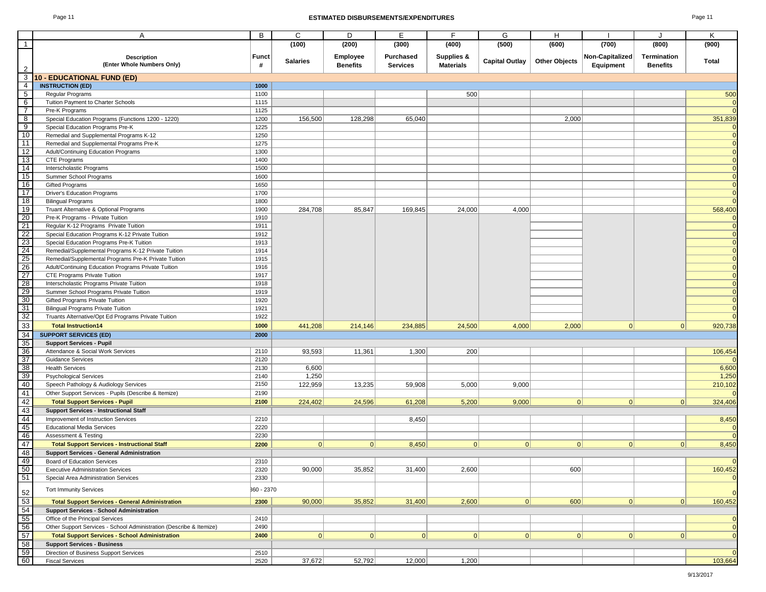### Page 11 **ESTIMATED DISBURSEMENTS/EXPENDITURES** Page 11

|                         | A                                                                                        | B            | C               | D               | Е               | F                     | G                     | н                    |                        |                 | Κ                   |
|-------------------------|------------------------------------------------------------------------------------------|--------------|-----------------|-----------------|-----------------|-----------------------|-----------------------|----------------------|------------------------|-----------------|---------------------|
| -1                      |                                                                                          |              | (100)           | (200)           | (300)           | (400)                 | (500)                 | (600)                | (700)                  | (800)           | (900)               |
|                         | <b>Description</b>                                                                       | <b>Funct</b> |                 | <b>Employee</b> | Purchased       | <b>Supplies &amp;</b> |                       |                      | <b>Non-Capitalized</b> | Termination     |                     |
|                         | (Enter Whole Numbers Only)                                                               | #            | <b>Salaries</b> | <b>Benefits</b> | <b>Services</b> | <b>Materials</b>      | <b>Capital Outlay</b> | <b>Other Objects</b> | Equipment              | <b>Benefits</b> | Total               |
|                         |                                                                                          |              |                 |                 |                 |                       |                       |                      |                        |                 |                     |
| $\overline{\mathbf{3}}$ | <b>10 - EDUCATIONAL FUND (ED)</b>                                                        |              |                 |                 |                 |                       |                       |                      |                        |                 |                     |
| $\overline{4}$          | <b>INSTRUCTION (ED)</b>                                                                  | 1000         |                 |                 |                 |                       |                       |                      |                        |                 |                     |
| $-5$                    | Regular Programs                                                                         | 1100         |                 |                 |                 | 500                   |                       |                      |                        |                 | 500                 |
| 6                       | Tuition Payment to Charter Schools                                                       | 1115         |                 |                 |                 |                       |                       |                      |                        |                 | $\Omega$            |
| $\overline{7}$          | Pre-K Programs                                                                           | 1125         |                 |                 |                 |                       |                       |                      |                        |                 | $\Omega$            |
| 8                       | Special Education Programs (Functions 1200 - 1220)                                       | 1200         | 156,500         | 128,298         | 65,040          |                       |                       | 2,000                |                        |                 | 351,839             |
| 9                       | Special Education Programs Pre-K                                                         | 1225         |                 |                 |                 |                       |                       |                      |                        |                 |                     |
| 10                      | Remedial and Supplemental Programs K-12                                                  | 1250         |                 |                 |                 |                       |                       |                      |                        |                 | $\overline{0}$      |
| 11                      | Remedial and Supplemental Programs Pre-K                                                 | 1275         |                 |                 |                 |                       |                       |                      |                        |                 | $\Omega$            |
| 12                      | Adult/Continuing Education Programs                                                      | 1300         |                 |                 |                 |                       |                       |                      |                        |                 | 0                   |
| 13                      | CTE Programs                                                                             | 1400         |                 |                 |                 |                       |                       |                      |                        |                 | $\mathbf 0$         |
| 14                      | Interscholastic Programs                                                                 | 1500         |                 |                 |                 |                       |                       |                      |                        |                 |                     |
| 15                      | Summer School Programs                                                                   | 1600         |                 |                 |                 |                       |                       |                      |                        |                 |                     |
| 16                      | <b>Gifted Programs</b>                                                                   | 1650         |                 |                 |                 |                       |                       |                      |                        |                 | $\overline{0}$      |
| 17                      | <b>Driver's Education Programs</b>                                                       | 1700         |                 |                 |                 |                       |                       |                      |                        |                 | $\overline{0}$      |
| 18                      | <b>Bilingual Programs</b>                                                                | 1800         |                 |                 |                 |                       |                       |                      |                        |                 | $\Omega$            |
| 19<br>20                | Truant Alternative & Optional Programs                                                   | 1900         | 284,708         | 85,847          | 169,845         | 24,000                | 4,000                 |                      |                        |                 | 568,400<br>$\Omega$ |
| 21                      | Pre-K Programs - Private Tuition                                                         | 1910<br>1911 |                 |                 |                 |                       |                       |                      |                        |                 | $\Omega$            |
| 22                      | Regular K-12 Programs Private Tuition<br>Special Education Programs K-12 Private Tuition | 1912         |                 |                 |                 |                       |                       |                      |                        |                 | $\Omega$            |
| 23                      | Special Education Programs Pre-K Tuition                                                 | 1913         |                 |                 |                 |                       |                       |                      |                        |                 | $\Omega$            |
| 24                      | Remedial/Supplemental Programs K-12 Private Tuition                                      | 1914         |                 |                 |                 |                       |                       |                      |                        |                 | $\mathbf 0$         |
| 25                      | Remedial/Supplemental Programs Pre-K Private Tuition                                     | 1915         |                 |                 |                 |                       |                       |                      |                        |                 | $\mathbf 0$         |
| 26                      | Adult/Continuing Education Programs Private Tuition                                      | 1916         |                 |                 |                 |                       |                       |                      |                        |                 | $\mathbf 0$         |
| $\overline{27}$         | CTE Programs Private Tuition                                                             | 1917         |                 |                 |                 |                       |                       |                      |                        |                 | $\Omega$            |
| 28                      | Interscholastic Programs Private Tuition                                                 | 1918         |                 |                 |                 |                       |                       |                      |                        |                 |                     |
| 29                      | Summer School Programs Private Tuition                                                   | 1919         |                 |                 |                 |                       |                       |                      |                        |                 | $\Omega$            |
| 30                      | Gifted Programs Private Tuition                                                          | 1920         |                 |                 |                 |                       |                       |                      |                        |                 | $\Omega$            |
| 31                      | <b>Bilingual Programs Private Tuition</b>                                                | 1921         |                 |                 |                 |                       |                       |                      |                        |                 | $\mathbf 0$         |
| 32                      | Truants Alternative/Opt Ed Programs Private Tuition                                      | 1922         |                 |                 |                 |                       |                       |                      |                        |                 | $\overline{0}$      |
| 33                      | <b>Total Instruction14</b>                                                               | 1000         | 441,208         | 214,146         | 234,885         | 24,500                | 4,000                 | 2,000                | 0                      | 0               | 920,738             |
| 34                      | <b>SUPPORT SERVICES (ED)</b>                                                             | 2000         |                 |                 |                 |                       |                       |                      |                        |                 |                     |
| 35                      | <b>Support Services - Pupil</b>                                                          |              |                 |                 |                 |                       |                       |                      |                        |                 |                     |
| 36                      | Attendance & Social Work Services                                                        | 2110         | 93,593          | 11,361          | 1,300           | 200                   |                       |                      |                        |                 | 106,454             |
| 37                      | <b>Guidance Services</b>                                                                 | 2120         |                 |                 |                 |                       |                       |                      |                        |                 |                     |
| 38                      | <b>Health Services</b>                                                                   | 2130         | 6,600           |                 |                 |                       |                       |                      |                        |                 | 6,600               |
| 39                      | <b>Psychological Services</b>                                                            | 2140         | 1,250           |                 |                 |                       |                       |                      |                        |                 | 1,250               |
| 40                      | Speech Pathology & Audiology Services                                                    | 2150         | 122,959         | 13,235          | 59,908          | 5,000                 | 9,000                 |                      |                        |                 | 210,102             |
| 41                      | Other Support Services - Pupils (Describe & Itemize)                                     | 2190         |                 |                 |                 |                       |                       |                      |                        |                 |                     |
| 42                      | <b>Total Support Services - Pupil</b>                                                    | 2100         | 224,402         | 24,596          | 61,208          | 5,200                 | 9,000                 | 0                    | 0                      | 0               | 324,406             |
| 43                      | <b>Support Services - Instructional Staff</b>                                            |              |                 |                 |                 |                       |                       |                      |                        |                 |                     |
| 44                      | Improvement of Instruction Services                                                      | 2210         |                 |                 | 8,450           |                       |                       |                      |                        |                 | 8,450               |
| 45                      | <b>Educational Media Services</b>                                                        | 2220         |                 |                 |                 |                       |                       |                      |                        |                 |                     |
| 46                      | Assessment & Testing                                                                     | 2230         |                 |                 |                 |                       |                       |                      |                        |                 |                     |
| 47                      | <b>Total Support Services - Instructional Staff</b>                                      | 2200         | 0               | 0               | 8,450           | 0                     | 0                     | 0                    | 0                      | 0               | 8,450               |
| 48                      | <b>Support Services - General Administration</b>                                         |              |                 |                 |                 |                       |                       |                      |                        |                 |                     |
| 49                      | <b>Board of Education Services</b>                                                       | 2310         |                 |                 |                 |                       |                       |                      |                        |                 | <b>U</b>            |
| 50                      | <b>Executive Administration Services</b>                                                 | 2320         | 90,000          | 35,852          | 31,400          | 2,600                 |                       | 600                  |                        |                 | 160,452             |
| 51                      | Special Area Administration Services                                                     | 2330         |                 |                 |                 |                       |                       |                      |                        |                 | $\overline{0}$      |
|                         | <b>Tort Immunity Services</b>                                                            | 360 - 2370   |                 |                 |                 |                       |                       |                      |                        |                 | $\overline{0}$      |
| $\frac{52}{53}$         | <b>Total Support Services - General Administration</b>                                   | 2300         | 90,000          | 35,852          | 31,400          | 2,600                 | 0                     | 600                  | 0                      | 0               | 160,452             |
| 54                      | <b>Support Services - School Administration</b>                                          |              |                 |                 |                 |                       |                       |                      |                        |                 |                     |
| 55                      | Office of the Principal Services                                                         | 2410         |                 |                 |                 |                       |                       |                      |                        |                 | 0                   |
| 56                      | Other Support Services - School Administration (Describe & Itemize)                      | 2490         |                 |                 |                 |                       |                       |                      |                        |                 | $\mathbf 0$         |
| 57                      | <b>Total Support Services - School Administration</b>                                    | 2400         | 0               | 0               | 0               | 0                     | 0                     | 0                    | 0                      | 0               | $\overline{0}$      |
| 58                      | <b>Support Services - Business</b>                                                       |              |                 |                 |                 |                       |                       |                      |                        |                 |                     |
| 59                      | Direction of Business Support Services                                                   | 2510         |                 |                 |                 |                       |                       |                      |                        |                 | $\Omega$            |
| 60                      | <b>Fiscal Services</b>                                                                   | 2520         | 37,672          | 52,792          | 12,000          | 1,200                 |                       |                      |                        |                 | 103,664             |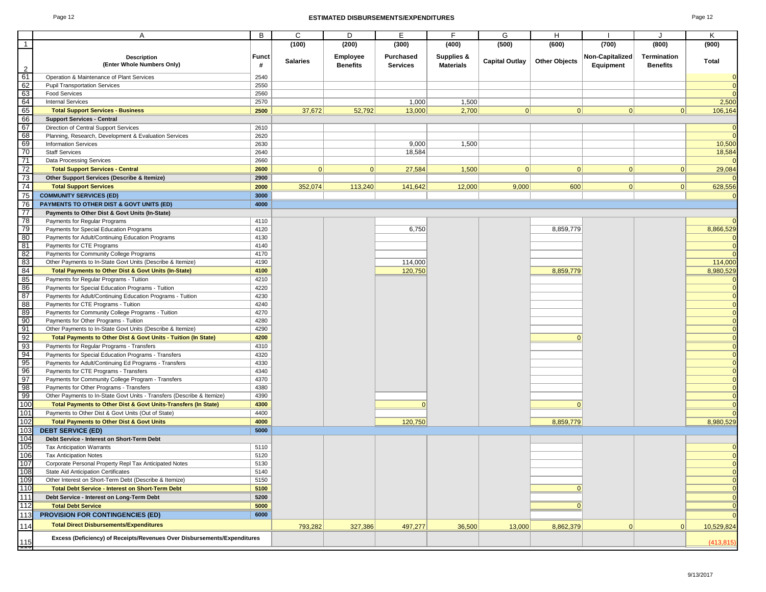#### Page 12 **ESTIMATED DISBURSEMENTS/EXPENDITURES** Page 12

|                                         | A                                                                                                     | B            | C               | D               | E.              | F.                    | G                     | H                    |                 | J               | Κ              |
|-----------------------------------------|-------------------------------------------------------------------------------------------------------|--------------|-----------------|-----------------|-----------------|-----------------------|-----------------------|----------------------|-----------------|-----------------|----------------|
| $\overline{1}$                          |                                                                                                       |              | (100)           | (200)           | (300)           | (400)                 | (500)                 | (600)                | (700)           | (800)           | (900)          |
|                                         |                                                                                                       |              |                 |                 |                 |                       |                       |                      |                 |                 |                |
|                                         | <b>Description</b>                                                                                    | <b>Funct</b> | <b>Salaries</b> | <b>Employee</b> | Purchased       | <b>Supplies &amp;</b> | <b>Capital Outlay</b> | <b>Other Objects</b> | Non-Capitalized | Termination     | Total          |
| $\overline{2}$                          | (Enter Whole Numbers Only)                                                                            | #            |                 | <b>Benefits</b> | <b>Services</b> | <b>Materials</b>      |                       |                      | Equipment       | <b>Benefits</b> |                |
| 61                                      | Operation & Maintenance of Plant Services                                                             | 2540         |                 |                 |                 |                       |                       |                      |                 |                 | $\overline{0}$ |
| 62                                      | <b>Pupil Transportation Services</b>                                                                  | 2550         |                 |                 |                 |                       |                       |                      |                 |                 | $\overline{0}$ |
| 63                                      | <b>Food Services</b>                                                                                  | 2560         |                 |                 |                 |                       |                       |                      |                 |                 | $\Omega$       |
| 64                                      | <b>Internal Services</b>                                                                              | 2570         |                 |                 | 1,000           | 1,500                 |                       |                      |                 |                 | 2,500          |
| 65                                      | <b>Total Support Services - Business</b>                                                              | 2500         | 37,672          | 52,792          | 13,000          | 2,700                 | 0                     | 0                    | 0               | 0               | 106,164        |
| 66                                      | <b>Support Services - Central</b>                                                                     |              |                 |                 |                 |                       |                       |                      |                 |                 |                |
| 67                                      | Direction of Central Support Services                                                                 | 2610         |                 |                 |                 |                       |                       |                      |                 |                 | $\overline{0}$ |
| 68                                      | Planning, Research, Development & Evaluation Services                                                 | 2620         |                 |                 |                 |                       |                       |                      |                 |                 | $\overline{0}$ |
| 69                                      | <b>Information Services</b>                                                                           | 2630         |                 |                 | 9,000           | 1,500                 |                       |                      |                 |                 | 10,500         |
| 70                                      | <b>Staff Services</b>                                                                                 | 2640         |                 |                 | 18,584          |                       |                       |                      |                 |                 | 18,584         |
| 71                                      | Data Processing Services                                                                              | 2660         |                 |                 |                 |                       |                       |                      |                 |                 |                |
| 72                                      | <b>Total Support Services - Central</b>                                                               | 2600         | 0               | 0               | 27,584          | 1,500                 | 0                     | 0                    | 0               | 0               | 29,084         |
| 73                                      | Other Support Services (Describe & Itemize)                                                           | 2900         |                 |                 |                 |                       |                       |                      |                 |                 |                |
| 74                                      | <b>Total Support Services</b>                                                                         | 2000         | 352,074         | 113,240         | 141,642         | 12,000                | 9,000                 | 600                  | 0               | 0               | 628,556        |
| 75                                      | <b>COMMUNITY SERVICES (ED)</b>                                                                        | 3000         |                 |                 |                 |                       |                       |                      |                 |                 |                |
| 76                                      | <b>PAYMENTS TO OTHER DIST &amp; GOVT UNITS (ED)</b>                                                   | 4000         |                 |                 |                 |                       |                       |                      |                 |                 |                |
| 77                                      | Payments to Other Dist & Govt Units (In-State)                                                        |              |                 |                 |                 |                       |                       |                      |                 |                 |                |
| 78                                      | Payments for Regular Programs                                                                         | 4110         |                 |                 |                 |                       |                       |                      |                 |                 | $\Omega$       |
| $\frac{79}{80}$                         | Payments for Special Education Programs                                                               | 4120         |                 |                 | 6,750           |                       |                       | 8,859,779            |                 |                 | 8,866,529      |
|                                         | Payments for Adult/Continuing Education Programs                                                      | 4130         |                 |                 |                 |                       |                       |                      |                 |                 |                |
| 81                                      | Payments for CTE Programs                                                                             | 4140         |                 |                 |                 |                       |                       |                      |                 |                 | $\overline{0}$ |
| $\begin{array}{c} 82 \\ 83 \end{array}$ | Payments for Community College Programs<br>Other Payments to In-State Govt Units (Describe & Itemize) | 4170<br>4190 |                 |                 | 114,000         |                       |                       |                      |                 |                 | 114,000        |
| 84                                      | <b>Total Payments to Other Dist &amp; Govt Units (In-State)</b>                                       | 4100         |                 |                 |                 |                       |                       |                      |                 |                 | 8,980,529      |
| 85                                      |                                                                                                       |              |                 |                 | 120,750         |                       |                       | 8,859,779            |                 |                 |                |
| 86                                      | Payments for Regular Programs - Tuition<br>Payments for Special Education Programs - Tuition          | 4210<br>4220 |                 |                 |                 |                       |                       |                      |                 |                 | $\overline{0}$ |
| 87                                      | Payments for Adult/Continuing Education Programs - Tuition                                            | 4230         |                 |                 |                 |                       |                       |                      |                 |                 | $\Omega$       |
| 88                                      | Payments for CTE Programs - Tuition                                                                   | 4240         |                 |                 |                 |                       |                       |                      |                 |                 | $\overline{0}$ |
| 89                                      | Payments for Community College Programs - Tuition                                                     | 4270         |                 |                 |                 |                       |                       |                      |                 |                 | $\overline{0}$ |
| 90                                      | Payments for Other Programs - Tuition                                                                 | 4280         |                 |                 |                 |                       |                       |                      |                 |                 | $\overline{0}$ |
| 91                                      | Other Payments to In-State Govt Units (Describe & Itemize)                                            | 4290         |                 |                 |                 |                       |                       |                      |                 |                 | $\overline{0}$ |
| 92                                      | Total Payments to Other Dist & Govt Units - Tuition (In State)                                        | 4200         |                 |                 |                 |                       |                       | $\Omega$             |                 |                 | $\overline{0}$ |
|                                         | Payments for Regular Programs - Transfers                                                             | 4310         |                 |                 |                 |                       |                       |                      |                 |                 | $\overline{0}$ |
| $\frac{93}{94}$                         | Payments for Special Education Programs - Transfers                                                   | 4320         |                 |                 |                 |                       |                       |                      |                 |                 | $\overline{0}$ |
| 95                                      | Payments for Adult/Continuing Ed Programs - Transfers                                                 | 4330         |                 |                 |                 |                       |                       |                      |                 |                 | $\overline{0}$ |
| 96                                      | Payments for CTE Programs - Transfers                                                                 | 4340         |                 |                 |                 |                       |                       |                      |                 |                 | $\Omega$       |
| 97                                      | Payments for Community College Program - Transfers                                                    | 4370         |                 |                 |                 |                       |                       |                      |                 |                 | $\overline{0}$ |
| 98                                      | Payments for Other Programs - Transfers                                                               | 4380         |                 |                 |                 |                       |                       |                      |                 |                 | $\Omega$       |
| 99                                      | Other Payments to In-State Govt Units - Transfers (Describe & Itemize)                                | 4390         |                 |                 |                 |                       |                       |                      |                 |                 | $\Omega$       |
| 100                                     | <b>Total Payments to Other Dist &amp; Govt Units-Transfers (In State)</b>                             | 4300         |                 |                 | $\Omega$        |                       |                       | $\Omega$             |                 |                 |                |
| 101                                     | Payments to Other Dist & Govt Units (Out of State)                                                    | 4400         |                 |                 |                 |                       |                       |                      |                 |                 |                |
| 102                                     | <b>Total Payments to Other Dist &amp; Govt Units</b>                                                  | 4000         |                 |                 | 120,750         |                       |                       | 8,859,779            |                 |                 | 8,980,529      |
| 103                                     | <b>DEBT SERVICE (ED)</b>                                                                              | 5000         |                 |                 |                 |                       |                       |                      |                 |                 |                |
| 104                                     | Debt Service - Interest on Short-Term Debt                                                            |              |                 |                 |                 |                       |                       |                      |                 |                 |                |
| 105                                     | <b>Tax Anticipation Warrants</b>                                                                      | 5110         |                 |                 |                 |                       |                       |                      |                 |                 |                |
| 106                                     | <b>Tax Anticipation Notes</b>                                                                         | 5120         |                 |                 |                 |                       |                       |                      |                 |                 | $\Omega$       |
| 107                                     | Corporate Personal Property Repl Tax Anticipated Notes                                                | 5130         |                 |                 |                 |                       |                       |                      |                 |                 |                |
| 108                                     | State Aid Anticipation Certificates                                                                   | 5140         |                 |                 |                 |                       |                       |                      |                 |                 | $\overline{0}$ |
| 109<br>110                              | Other Interest on Short-Term Debt (Describe & Itemize)                                                | 5150         |                 |                 |                 |                       |                       |                      |                 |                 | $\overline{0}$ |
|                                         | <b>Total Debt Service - Interest on Short-Term Debt</b>                                               | 5100         |                 |                 |                 |                       |                       | $\Omega$             |                 |                 | $\overline{0}$ |
| 111                                     | Debt Service - Interest on Long-Term Debt                                                             | 5200         |                 |                 |                 |                       |                       |                      |                 |                 |                |
| 112                                     | <b>Total Debt Service</b>                                                                             | 5000         |                 |                 |                 |                       |                       | $\Omega$             |                 |                 |                |
| 113                                     | <b>PROVISION FOR CONTINGENCIES (ED)</b>                                                               | 6000         |                 |                 |                 |                       |                       |                      |                 |                 | $\overline{0}$ |
| 114                                     | <b>Total Direct Disbursements/Expenditures</b>                                                        |              | 793,282         | 327,386         | 497,277         | 36,500                | 13,000                | 8,862,379            | $\Omega$        | $\Omega$        | 10,529,824     |
| 115                                     | Excess (Deficiency) of Receipts/Revenues Over Disbursements/Expenditures                              |              |                 |                 |                 |                       |                       |                      |                 |                 | (413, 815)     |
| ┯┯                                      |                                                                                                       |              |                 |                 |                 |                       |                       |                      |                 |                 |                |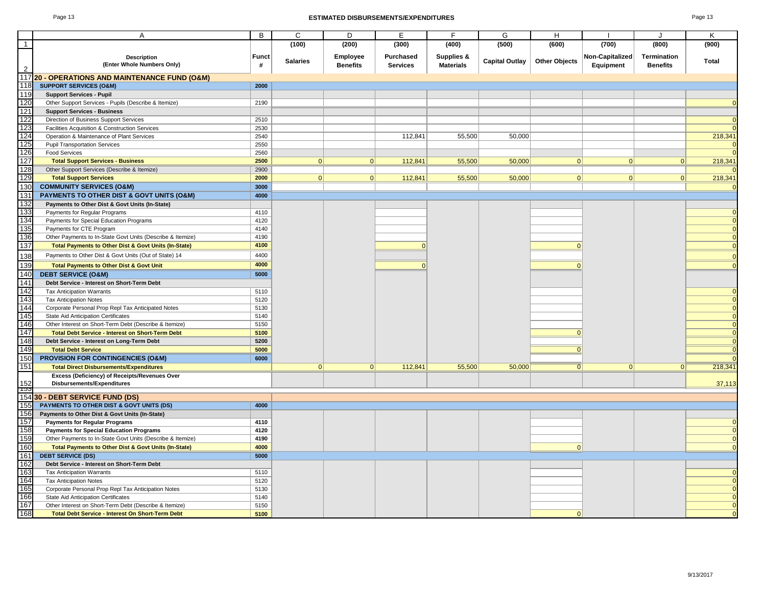#### Page 13 **ESTIMATED DISBURSEMENTS/EXPENDITURES** Page 13

|                | A                                                               | B                 | C               | D                           | E                                   | F                              | G                     | H                    |                              |                                | Κ        |
|----------------|-----------------------------------------------------------------|-------------------|-----------------|-----------------------------|-------------------------------------|--------------------------------|-----------------------|----------------------|------------------------------|--------------------------------|----------|
| $\overline{1}$ |                                                                 |                   | (100)           | (200)                       | (300)                               | (400)                          | (500)                 | (600)                | (700)                        | (800)                          | (900)    |
|                |                                                                 |                   |                 |                             |                                     |                                |                       |                      |                              |                                |          |
| $\overline{2}$ | <b>Description</b><br>(Enter Whole Numbers Only)                | <b>Funct</b><br># | <b>Salaries</b> | Employee<br><b>Benefits</b> | <b>Purchased</b><br><b>Services</b> | Supplies &<br><b>Materials</b> | <b>Capital Outlay</b> | <b>Other Objects</b> | Non-Capitalized<br>Equipment | Termination<br><b>Benefits</b> | Total    |
|                | 117 20 - OPERATIONS AND MAINTENANCE FUND (O&M)                  |                   |                 |                             |                                     |                                |                       |                      |                              |                                |          |
| 118            | <b>SUPPORT SERVICES (O&amp;M)</b>                               | 2000              |                 |                             |                                     |                                |                       |                      |                              |                                |          |
| 119            | <b>Support Services - Pupil</b>                                 |                   |                 |                             |                                     |                                |                       |                      |                              |                                |          |
| 120            | Other Support Services - Pupils (Describe & Itemize)            | 2190              |                 |                             |                                     |                                |                       |                      |                              |                                |          |
| 121            | <b>Support Services - Business</b>                              |                   |                 |                             |                                     |                                |                       |                      |                              |                                |          |
| 122            | Direction of Business Support Services                          | 2510              |                 |                             |                                     |                                |                       |                      |                              |                                |          |
| 123            | Facilities Acquisition & Construction Services                  | 2530              |                 |                             |                                     |                                |                       |                      |                              |                                |          |
| 124            | Operation & Maintenance of Plant Services                       | 2540              |                 |                             | 112,841                             | 55,500                         | 50,000                |                      |                              |                                | 218,341  |
| 125            | <b>Pupil Transportation Services</b>                            | 2550              |                 |                             |                                     |                                |                       |                      |                              |                                | $\Omega$ |
| 126            | <b>Food Services</b>                                            | 2560              |                 |                             |                                     |                                |                       |                      |                              |                                | $\Omega$ |
| 127            | <b>Total Support Services - Business</b>                        | 2500              | 0               | 0                           | 112,841                             | 55,500                         | 50,000                | 0                    | 0                            | 0                              | 218,341  |
| 128            | Other Support Services (Describe & Itemize)                     | 2900              |                 |                             |                                     |                                |                       |                      |                              |                                |          |
| 129            | <b>Total Support Services</b>                                   | 2000              | $\Omega$        | 0                           | 112,841                             | 55,500                         | 50,000                | 0                    | 0                            | 0                              | 218,341  |
| 130            | <b>COMMUNITY SERVICES (O&amp;M)</b>                             | 3000              |                 |                             |                                     |                                |                       |                      |                              |                                | $\Omega$ |
| 131            | PAYMENTS TO OTHER DIST & GOVT UNITS (O&M)                       | 4000              |                 |                             |                                     |                                |                       |                      |                              |                                |          |
| 132            | Payments to Other Dist & Govt Units (In-State)                  |                   |                 |                             |                                     |                                |                       |                      |                              |                                |          |
| 133            | Payments for Regular Programs                                   | 4110              |                 |                             |                                     |                                |                       |                      |                              |                                | $\Omega$ |
| 134            | Payments for Special Education Programs                         | 4120              |                 |                             |                                     |                                |                       |                      |                              |                                |          |
| 135            | Payments for CTE Program                                        | 4140              |                 |                             |                                     |                                |                       |                      |                              |                                | 0        |
| 136            | Other Payments to In-State Govt Units (Describe & Itemize)      | 4190              |                 |                             |                                     |                                |                       |                      |                              |                                |          |
| 137            | Total Payments to Other Dist & Govt Units (In-State)            | 4100              |                 |                             | $\mathbf{0}$                        |                                |                       | $\mathbf{0}$         |                              |                                | $\Omega$ |
| 138            | Payments to Other Dist & Govt Units (Out of State) 14           | 4400              |                 |                             |                                     |                                |                       |                      |                              |                                | $\Omega$ |
| 139            | <b>Total Payments to Other Dist &amp; Govt Unit</b>             | 4000              |                 |                             | $\Omega$                            |                                |                       | $\Omega$             |                              |                                | $\Omega$ |
| 140            | <b>DEBT SERVICE (O&amp;M)</b>                                   | 5000              |                 |                             |                                     |                                |                       |                      |                              |                                |          |
| 141            | Debt Service - Interest on Short-Term Debt                      |                   |                 |                             |                                     |                                |                       |                      |                              |                                |          |
| 142            | <b>Tax Anticipation Warrants</b>                                | 5110              |                 |                             |                                     |                                |                       |                      |                              |                                |          |
| 143            | <b>Tax Anticipation Notes</b>                                   | 5120              |                 |                             |                                     |                                |                       |                      |                              |                                |          |
| 144            | Corporate Personal Prop Repl Tax Anticipated Notes              | 5130              |                 |                             |                                     |                                |                       |                      |                              |                                |          |
| 145            | State Aid Anticipation Certificates                             | 5140              |                 |                             |                                     |                                |                       |                      |                              |                                |          |
| 146            | Other Interest on Short-Term Debt (Describe & Itemize)          | 5150              |                 |                             |                                     |                                |                       |                      |                              |                                |          |
| 147            | <b>Total Debt Service - Interest on Short-Term Debt</b>         | 5100              |                 |                             |                                     |                                |                       | $\mathbf{0}$         |                              |                                |          |
| 148            | Debt Service - Interest on Long-Term Debt                       | 5200              |                 |                             |                                     |                                |                       |                      |                              |                                | $\Omega$ |
| 149            | <b>Total Debt Service</b>                                       | 5000              |                 |                             |                                     |                                |                       | $\mathbf{0}$         |                              |                                | $\Omega$ |
| 150            | <b>PROVISION FOR CONTINGENCIES (O&amp;M)</b>                    | 6000              |                 |                             |                                     |                                |                       |                      |                              |                                |          |
| 151            | <b>Total Direct Disbursements/Expenditures</b>                  |                   | 0               | 0                           | 112,841                             | 55,500                         | 50,000                | $\overline{0}$       | 0                            | 0                              | 218,341  |
|                | Excess (Deficiency) of Receipts/Revenues Over                   |                   |                 |                             |                                     |                                |                       |                      |                              |                                |          |
| 152            | Disbursements/Expenditures                                      |                   |                 |                             |                                     |                                |                       |                      |                              |                                | 37,113   |
| ျာ၁၁           |                                                                 |                   |                 |                             |                                     |                                |                       |                      |                              |                                |          |
|                | 154 30 - DEBT SERVICE FUND (DS)                                 |                   |                 |                             |                                     |                                |                       |                      |                              |                                |          |
| 155            | PAYMENTS TO OTHER DIST & GOVT UNITS (DS)                        | 4000              |                 |                             |                                     |                                |                       |                      |                              |                                |          |
| 156            | Payments to Other Dist & Govt Units (In-State)                  |                   |                 |                             |                                     |                                |                       |                      |                              |                                |          |
| 157            | <b>Payments for Regular Programs</b>                            | 4110              |                 |                             |                                     |                                |                       |                      |                              |                                |          |
| 158            | <b>Payments for Special Education Programs</b>                  | 4120              |                 |                             |                                     |                                |                       |                      |                              |                                |          |
| 159            | Other Payments to In-State Govt Units (Describe & Itemize)      | 4190              |                 |                             |                                     |                                |                       |                      |                              |                                | $\Omega$ |
| 160            | <b>Total Payments to Other Dist &amp; Govt Units (In-State)</b> | 4000              |                 |                             |                                     |                                |                       | $\Omega$             |                              |                                | $\Omega$ |
| 161            | <b>DEBT SERVICE (DS)</b>                                        | 5000              |                 |                             |                                     |                                |                       |                      |                              |                                |          |
| 162            | Debt Service - Interest on Short-Term Debt                      |                   |                 |                             |                                     |                                |                       |                      |                              |                                |          |
| 163            | <b>Tax Anticipation Warrants</b>                                | 5110              |                 |                             |                                     |                                |                       |                      |                              |                                |          |
| 164            | <b>Tax Anticipation Notes</b>                                   | 5120              |                 |                             |                                     |                                |                       |                      |                              |                                |          |
| 165            | Corporate Personal Prop Repl Tax Anticipation Notes             | 5130              |                 |                             |                                     |                                |                       |                      |                              |                                |          |
| 166            | State Aid Anticipation Certificates                             | 5140              |                 |                             |                                     |                                |                       |                      |                              |                                |          |
| 167            | Other Interest on Short-Term Debt (Describe & Itemize)          | 5150              |                 |                             |                                     |                                |                       |                      |                              |                                | $\Omega$ |
| 168            | <b>Total Debt Service - Interest On Short-Term Debt</b>         | 5100              |                 |                             |                                     |                                |                       | $\Omega$             |                              |                                |          |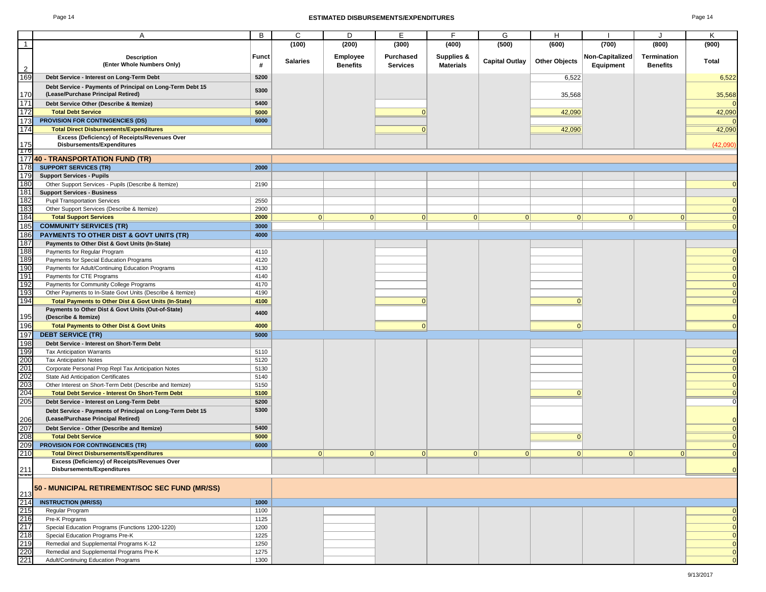#### Page 14 **ESTIMATED DISBURSEMENTS/EXPENDITURES** Page 14

|                                                             | Α                                                               | B            | C               | D               | E.              | F.               | G                     | H                    |                 | J               | Κ              |
|-------------------------------------------------------------|-----------------------------------------------------------------|--------------|-----------------|-----------------|-----------------|------------------|-----------------------|----------------------|-----------------|-----------------|----------------|
| $\overline{1}$                                              |                                                                 |              | (100)           | (200)           | (300)           | (400)            | (500)                 | (600)                | (700)           | (800)           | (900)          |
|                                                             |                                                                 |              |                 |                 |                 |                  |                       |                      |                 |                 |                |
|                                                             | <b>Description</b>                                              | <b>Funct</b> | <b>Salaries</b> | <b>Employee</b> | Purchased       | Supplies &       | <b>Capital Outlay</b> | <b>Other Objects</b> | Non-Capitalized | Termination     | Total          |
| $\overline{2}$                                              | (Enter Whole Numbers Only)                                      | #            |                 | <b>Benefits</b> | <b>Services</b> | <b>Materials</b> |                       |                      | Equipment       | <b>Benefits</b> |                |
|                                                             |                                                                 |              |                 |                 |                 |                  |                       |                      |                 |                 |                |
| 169                                                         | Debt Service - Interest on Long-Term Debt                       | 5200         |                 |                 |                 |                  |                       | 6,522                |                 |                 | 6,522          |
|                                                             | Debt Service - Payments of Principal on Long-Term Debt 15       |              |                 |                 |                 |                  |                       |                      |                 |                 |                |
| 170                                                         | (Lease/Purchase Principal Retired)                              | 5300         |                 |                 |                 |                  |                       | 35,568               |                 |                 | 35,568         |
| 171                                                         | Debt Service Other (Describe & Itemize)                         | 5400         |                 |                 |                 |                  |                       |                      |                 |                 |                |
| 172                                                         |                                                                 |              |                 |                 |                 |                  |                       |                      |                 |                 |                |
|                                                             | <b>Total Debt Service</b>                                       | 5000         |                 |                 |                 |                  |                       | 42,090               |                 |                 | 42,090         |
| 173                                                         | <b>PROVISION FOR CONTINGENCIES (DS)</b>                         | 6000         |                 |                 |                 |                  |                       |                      |                 |                 |                |
| 174                                                         | <b>Total Direct Disbursements/Expenditures</b>                  |              |                 |                 |                 |                  |                       | 42,090               |                 |                 | 42,090         |
|                                                             | Excess (Deficiency) of Receipts/Revenues Over                   |              |                 |                 |                 |                  |                       |                      |                 |                 |                |
| 175                                                         | Disbursements/Expenditures                                      |              |                 |                 |                 |                  |                       |                      |                 |                 | (42,090)       |
| هبط                                                         |                                                                 |              |                 |                 |                 |                  |                       |                      |                 |                 |                |
| 177                                                         | 40 - TRANSPORTATION FUND (TR)                                   |              |                 |                 |                 |                  |                       |                      |                 |                 |                |
| 178                                                         | <b>SUPPORT SERVICES (TR)</b>                                    | 2000         |                 |                 |                 |                  |                       |                      |                 |                 |                |
|                                                             |                                                                 |              |                 |                 |                 |                  |                       |                      |                 |                 |                |
| 179                                                         | <b>Support Services - Pupils</b>                                |              |                 |                 |                 |                  |                       |                      |                 |                 |                |
| 180                                                         | Other Support Services - Pupils (Describe & Itemize)            | 2190         |                 |                 |                 |                  |                       |                      |                 |                 | $\Omega$       |
| 181                                                         | <b>Support Services - Business</b>                              |              |                 |                 |                 |                  |                       |                      |                 |                 |                |
| 182                                                         | <b>Pupil Transportation Services</b>                            | 2550         |                 |                 |                 |                  |                       |                      |                 |                 | $\Omega$       |
| 183                                                         | Other Support Services (Describe & Itemize)                     | 2900         |                 |                 |                 |                  |                       |                      |                 |                 | $\overline{0}$ |
| 184                                                         | <b>Total Support Services</b>                                   | 2000         | 0               | 0               | 0               | 0                | 0                     | 0                    | 0               | 0               | $\Omega$       |
|                                                             |                                                                 |              |                 |                 |                 |                  |                       |                      |                 |                 |                |
| 185                                                         | <b>COMMUNITY SERVICES (TR)</b>                                  | 3000         |                 |                 |                 |                  |                       |                      |                 |                 | $\Omega$       |
| 186                                                         | <b>PAYMENTS TO OTHER DIST &amp; GOVT UNITS (TR)</b>             | 4000         |                 |                 |                 |                  |                       |                      |                 |                 |                |
| 187                                                         | Payments to Other Dist & Govt Units (In-State)                  |              |                 |                 |                 |                  |                       |                      |                 |                 |                |
| 188                                                         | Payments for Regular Program                                    | 4110         |                 |                 |                 |                  |                       |                      |                 |                 |                |
|                                                             | Payments for Special Education Programs                         | 4120         |                 |                 |                 |                  |                       |                      |                 |                 | $\overline{0}$ |
|                                                             |                                                                 |              |                 |                 |                 |                  |                       |                      |                 |                 |                |
| 189<br>190<br>191<br>192                                    | Payments for Adult/Continuing Education Programs                | 4130         |                 |                 |                 |                  |                       |                      |                 |                 | $\overline{0}$ |
|                                                             | Payments for CTE Programs                                       | 4140         |                 |                 |                 |                  |                       |                      |                 |                 | $\overline{0}$ |
|                                                             | Payments for Community College Programs                         | 4170         |                 |                 |                 |                  |                       |                      |                 |                 | $\overline{0}$ |
| 193                                                         | Other Payments to In-State Govt Units (Describe & Itemize)      | 4190         |                 |                 |                 |                  |                       |                      |                 |                 | $\overline{0}$ |
| 194                                                         | <b>Total Payments to Other Dist &amp; Govt Units (In-State)</b> | 4100         |                 |                 |                 |                  |                       |                      |                 |                 |                |
|                                                             | Payments to Other Dist & Govt Units (Out-of-State)              |              |                 |                 |                 |                  |                       |                      |                 |                 |                |
| 195                                                         | (Describe & Itemize)                                            | 4400         |                 |                 |                 |                  |                       |                      |                 |                 |                |
|                                                             |                                                                 |              |                 |                 |                 |                  |                       |                      |                 |                 |                |
| 196                                                         | <b>Total Payments to Other Dist &amp; Govt Units</b>            | 4000         |                 |                 | $\overline{0}$  |                  |                       | $\Omega$             |                 |                 |                |
| 197                                                         | <b>DEBT SERVICE (TR)</b>                                        | 5000         |                 |                 |                 |                  |                       |                      |                 |                 |                |
| 198                                                         | Debt Service - Interest on Short-Term Debt                      |              |                 |                 |                 |                  |                       |                      |                 |                 |                |
|                                                             | <b>Tax Anticipation Warrants</b>                                | 5110         |                 |                 |                 |                  |                       |                      |                 |                 |                |
|                                                             |                                                                 | 5120         |                 |                 |                 |                  |                       |                      |                 |                 | $\overline{0}$ |
|                                                             | <b>Tax Anticipation Notes</b>                                   |              |                 |                 |                 |                  |                       |                      |                 |                 |                |
| 199<br>200<br>201<br>202                                    | Corporate Personal Prop Repl Tax Anticipation Notes             | 5130         |                 |                 |                 |                  |                       |                      |                 |                 | $\overline{0}$ |
|                                                             | State Aid Anticipation Certificates                             | 5140         |                 |                 |                 |                  |                       |                      |                 |                 | $\overline{0}$ |
| 203                                                         | Other Interest on Short-Term Debt (Describe and Itemize)        | 5150         |                 |                 |                 |                  |                       |                      |                 |                 | $\overline{0}$ |
| 204                                                         | <b>Total Debt Service - Interest On Short-Term Debt</b>         | 5100         |                 |                 |                 |                  |                       |                      |                 |                 |                |
| 205                                                         | Debt Service - Interest on Long-Term Debt                       | 5200         |                 |                 |                 |                  |                       |                      |                 |                 |                |
|                                                             |                                                                 | 5300         |                 |                 |                 |                  |                       |                      |                 |                 |                |
|                                                             | Debt Service - Payments of Principal on Long-Term Debt 15       |              |                 |                 |                 |                  |                       |                      |                 |                 |                |
| 206                                                         | (Lease/Purchase Principal Retired)                              |              |                 |                 |                 |                  |                       |                      |                 |                 |                |
| 207                                                         | Debt Service - Other (Describe and Itemize)                     | 5400         |                 |                 |                 |                  |                       |                      |                 |                 | $\Omega$       |
| 208                                                         | <b>Total Debt Service</b>                                       | 5000         |                 |                 |                 |                  |                       | $\Omega$             |                 |                 |                |
| 209                                                         | PROVISION FOR CONTINGENCIES (TR)                                | 6000         |                 |                 |                 |                  |                       |                      |                 |                 | $\overline{0}$ |
|                                                             |                                                                 |              |                 |                 |                 |                  |                       |                      |                 |                 |                |
| 210                                                         | <b>Total Direct Disbursements/Expenditures</b>                  |              | 0               | 0               | 0               | 0                | $\Omega$              | 0                    | 0               | $\Omega$        |                |
|                                                             | Excess (Deficiency) of Receipts/Revenues Over                   |              |                 |                 |                 |                  |                       |                      |                 |                 |                |
| 211                                                         | Disbursements/Expenditures                                      |              |                 |                 |                 |                  |                       |                      |                 |                 |                |
|                                                             |                                                                 |              |                 |                 |                 |                  |                       |                      |                 |                 |                |
|                                                             |                                                                 |              |                 |                 |                 |                  |                       |                      |                 |                 |                |
|                                                             | 50 - MUNICIPAL RETIREMENT/SOC SEC FUND (MR/SS)                  |              |                 |                 |                 |                  |                       |                      |                 |                 |                |
|                                                             |                                                                 |              |                 |                 |                 |                  |                       |                      |                 |                 |                |
|                                                             | <b>INSTRUCTION (MR/SS)</b>                                      | 1000         |                 |                 |                 |                  |                       |                      |                 |                 |                |
|                                                             | Regular Program                                                 | 1100         |                 |                 |                 |                  |                       |                      |                 |                 |                |
|                                                             | Pre-K Programs                                                  | 1125         |                 |                 |                 |                  |                       |                      |                 |                 | $\overline{0}$ |
|                                                             | Special Education Programs (Functions 1200-1220)                | 1200         |                 |                 |                 |                  |                       |                      |                 |                 | $\overline{O}$ |
|                                                             | Special Education Programs Pre-K                                | 1225         |                 |                 |                 |                  |                       |                      |                 |                 | $\overline{0}$ |
| 213<br>214<br>215<br>216<br>217<br>218<br>219<br>220<br>220 | Remedial and Supplemental Programs K-12                         | 1250         |                 |                 |                 |                  |                       |                      |                 |                 | 0              |
|                                                             |                                                                 |              |                 |                 |                 |                  |                       |                      |                 |                 |                |
|                                                             | Remedial and Supplemental Programs Pre-K                        | 1275         |                 |                 |                 |                  |                       |                      |                 |                 | $\overline{0}$ |
|                                                             | Adult/Continuing Education Programs                             | 1300         |                 |                 |                 |                  |                       |                      |                 |                 | $\overline{O}$ |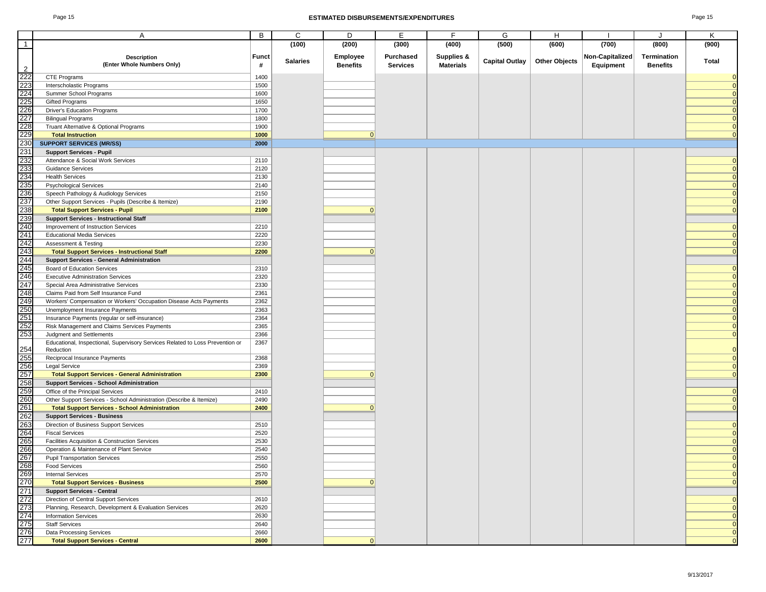### Page 15 **ESTIMATED DISBURSEMENTS/EXPENDITURES** Page 15

|                                                                    | A                                                                             | B            | C               | D               | E               | F                     | G                     | Н                    |                 | J               | K              |
|--------------------------------------------------------------------|-------------------------------------------------------------------------------|--------------|-----------------|-----------------|-----------------|-----------------------|-----------------------|----------------------|-----------------|-----------------|----------------|
|                                                                    |                                                                               |              |                 |                 |                 |                       |                       |                      |                 |                 |                |
| $\overline{1}$                                                     |                                                                               |              | (100)           | (200)           | (300)           | (400)                 | (500)                 | (600)                | (700)           | (800)           | (900)          |
|                                                                    | <b>Description</b>                                                            | <b>Funct</b> |                 | Employee        | Purchased       | <b>Supplies &amp;</b> |                       |                      | Non-Capitalized | Termination     |                |
|                                                                    | (Enter Whole Numbers Only)                                                    | #            | <b>Salaries</b> | <b>Benefits</b> | <b>Services</b> | <b>Materials</b>      | <b>Capital Outlay</b> | <b>Other Objects</b> | Equipment       | <b>Benefits</b> | Total          |
| 2<br>222<br>223<br>224<br>225<br>226<br>227<br>228<br>229          | <b>CTE Programs</b>                                                           | 1400         |                 |                 |                 |                       |                       |                      |                 |                 |                |
|                                                                    | Interscholastic Programs                                                      | 1500         |                 |                 |                 |                       |                       |                      |                 |                 |                |
|                                                                    | Summer School Programs                                                        | 1600         |                 |                 |                 |                       |                       |                      |                 |                 |                |
|                                                                    | <b>Gifted Programs</b>                                                        | 1650         |                 |                 |                 |                       |                       |                      |                 |                 | $\Omega$       |
|                                                                    | <b>Driver's Education Programs</b>                                            | 1700         |                 |                 |                 |                       |                       |                      |                 |                 |                |
|                                                                    | <b>Bilingual Programs</b>                                                     | 1800         |                 |                 |                 |                       |                       |                      |                 |                 |                |
|                                                                    | Truant Alternative & Optional Programs                                        | 1900         |                 |                 |                 |                       |                       |                      |                 |                 | $\mathbf 0$    |
|                                                                    | <b>Total Instruction</b>                                                      | 1000         |                 | $\Omega$        |                 |                       |                       |                      |                 |                 |                |
|                                                                    | <b>SUPPORT SERVICES (MR/SS)</b>                                               | 2000         |                 |                 |                 |                       |                       |                      |                 |                 |                |
|                                                                    | <b>Support Services - Pupil</b>                                               |              |                 |                 |                 |                       |                       |                      |                 |                 |                |
|                                                                    | Attendance & Social Work Services                                             | 2110         |                 |                 |                 |                       |                       |                      |                 |                 |                |
|                                                                    | <b>Guidance Services</b>                                                      | 2120         |                 |                 |                 |                       |                       |                      |                 |                 | $\Omega$       |
|                                                                    | <b>Health Services</b>                                                        | 2130         |                 |                 |                 |                       |                       |                      |                 |                 | $\Omega$       |
|                                                                    | <b>Psychological Services</b>                                                 | 2140         |                 |                 |                 |                       |                       |                      |                 |                 | $\Omega$       |
|                                                                    | Speech Pathology & Audiology Services                                         | 2150         |                 |                 |                 |                       |                       |                      |                 |                 |                |
|                                                                    | Other Support Services - Pupils (Describe & Itemize)                          | 2190         |                 |                 |                 |                       |                       |                      |                 |                 |                |
|                                                                    | <b>Total Support Services - Pupil</b>                                         | 2100         |                 |                 |                 |                       |                       |                      |                 |                 |                |
|                                                                    | <b>Support Services - Instructional Staff</b>                                 |              |                 |                 |                 |                       |                       |                      |                 |                 |                |
|                                                                    | Improvement of Instruction Services                                           | 2210         |                 |                 |                 |                       |                       |                      |                 |                 | $\Omega$       |
|                                                                    | <b>Educational Media Services</b>                                             | 2220         |                 |                 |                 |                       |                       |                      |                 |                 | $\Omega$       |
|                                                                    | Assessment & Testing                                                          | 2230         |                 |                 |                 |                       |                       |                      |                 |                 | $\mathbf 0$    |
|                                                                    | <b>Total Support Services - Instructional Staff</b>                           | 2200         |                 | $\Omega$        |                 |                       |                       |                      |                 |                 | $\Omega$       |
|                                                                    | <b>Support Services - General Administration</b>                              |              |                 |                 |                 |                       |                       |                      |                 |                 |                |
|                                                                    | Board of Education Services                                                   | 2310         |                 |                 |                 |                       |                       |                      |                 |                 | $\mathbf 0$    |
|                                                                    | <b>Executive Administration Services</b>                                      | 2320         |                 |                 |                 |                       |                       |                      |                 |                 |                |
|                                                                    | Special Area Administrative Services                                          | 2330         |                 |                 |                 |                       |                       |                      |                 |                 |                |
|                                                                    | Claims Paid from Self Insurance Fund                                          | 2361         |                 |                 |                 |                       |                       |                      |                 |                 |                |
|                                                                    | Workers' Compensation or Workers' Occupation Disease Acts Payments            | 2362         |                 |                 |                 |                       |                       |                      |                 |                 |                |
|                                                                    | Unemployment Insurance Payments                                               | 2363         |                 |                 |                 |                       |                       |                      |                 |                 |                |
|                                                                    | Insurance Payments (regular or self-insurance)                                | 2364         |                 |                 |                 |                       |                       |                      |                 |                 |                |
|                                                                    | Risk Management and Claims Services Payments                                  | 2365         |                 |                 |                 |                       |                       |                      |                 |                 |                |
|                                                                    | Judgment and Settlements                                                      | 2366         |                 |                 |                 |                       |                       |                      |                 |                 |                |
|                                                                    | Educational, Inspectional, Supervisory Services Related to Loss Prevention or | 2367         |                 |                 |                 |                       |                       |                      |                 |                 |                |
|                                                                    | Reduction                                                                     |              |                 |                 |                 |                       |                       |                      |                 |                 |                |
|                                                                    | Reciprocal Insurance Payments                                                 | 2368         |                 |                 |                 |                       |                       |                      |                 |                 |                |
|                                                                    | <b>Legal Service</b>                                                          | 2369         |                 |                 |                 |                       |                       |                      |                 |                 |                |
|                                                                    | <b>Total Support Services - General Administration</b>                        | 2300         |                 |                 |                 |                       |                       |                      |                 |                 | $\overline{0}$ |
|                                                                    | <b>Support Services - School Administration</b>                               |              |                 |                 |                 |                       |                       |                      |                 |                 |                |
|                                                                    | Office of the Principal Services                                              | 2410         |                 |                 |                 |                       |                       |                      |                 |                 | 0              |
|                                                                    | Other Support Services - School Administration (Describe & Itemize)           | 2490         |                 |                 |                 |                       |                       |                      |                 |                 | $\mathbf 0$    |
| 254<br>255<br>256<br>262<br>262<br>262<br>263<br>264<br>264        | <b>Total Support Services - School Administration</b>                         | 2400         |                 | ŋ               |                 |                       |                       |                      |                 |                 | $\Omega$       |
|                                                                    | <b>Support Services - Business</b>                                            |              |                 |                 |                 |                       |                       |                      |                 |                 |                |
|                                                                    | Direction of Business Support Services                                        | 2510         |                 |                 |                 |                       |                       |                      |                 |                 |                |
|                                                                    | <b>Fiscal Services</b>                                                        | 2520         |                 |                 |                 |                       |                       |                      |                 |                 |                |
| 265                                                                | Facilities Acquisition & Construction Services                                | 2530         |                 |                 |                 |                       |                       |                      |                 |                 | $\Omega$       |
| 266                                                                | Operation & Maintenance of Plant Service                                      | 2540         |                 |                 |                 |                       |                       |                      |                 |                 | $\Omega$       |
| 267                                                                | <b>Pupil Transportation Services</b>                                          | 2550         |                 |                 |                 |                       |                       |                      |                 |                 |                |
|                                                                    | <b>Food Services</b>                                                          | 2560         |                 |                 |                 |                       |                       |                      |                 |                 | $\mathbf 0$    |
|                                                                    | <b>Internal Services</b>                                                      | 2570         |                 |                 |                 |                       |                       |                      |                 |                 | $\overline{0}$ |
|                                                                    | <b>Total Support Services - Business</b>                                      | 2500         |                 | $\Omega$        |                 |                       |                       |                      |                 |                 | $\overline{0}$ |
| 268<br>269<br>270<br>271<br>272<br>273<br>274<br>275<br>276<br>277 | <b>Support Services - Central</b>                                             |              |                 |                 |                 |                       |                       |                      |                 |                 |                |
|                                                                    | Direction of Central Support Services                                         | 2610         |                 |                 |                 |                       |                       |                      |                 |                 | $\overline{0}$ |
|                                                                    | Planning, Research, Development & Evaluation Services                         | 2620         |                 |                 |                 |                       |                       |                      |                 |                 | $\overline{0}$ |
|                                                                    | <b>Information Services</b>                                                   | 2630         |                 |                 |                 |                       |                       |                      |                 |                 | $\overline{0}$ |
|                                                                    | <b>Staff Services</b>                                                         | 2640         |                 |                 |                 |                       |                       |                      |                 |                 | $\mathbf 0$    |
|                                                                    | Data Processing Services                                                      | 2660         |                 |                 |                 |                       |                       |                      |                 |                 | $\mathbf 0$    |
|                                                                    | <b>Total Support Services - Central</b>                                       | 2600         |                 | ŋ               |                 |                       |                       |                      |                 |                 | $\Omega$       |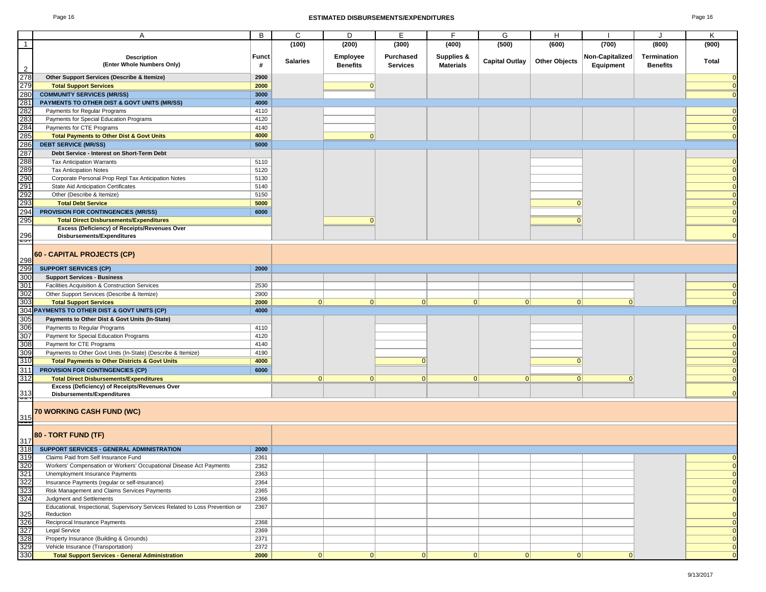#### Page 16 **ESTIMATED DISBURSEMENTS/EXPENDITURES** Page 16

| ane ' | 16 |
|-------|----|
|-------|----|

|                   | A                                                                             | B            | C               | D               | Е               | F.                    | G                     | H                    |                 |                 | Κ              |
|-------------------|-------------------------------------------------------------------------------|--------------|-----------------|-----------------|-----------------|-----------------------|-----------------------|----------------------|-----------------|-----------------|----------------|
|                   |                                                                               |              |                 |                 |                 |                       |                       |                      |                 | J               |                |
| $\mathbf{1}$      |                                                                               |              | (100)           | (200)           | (300)           | (400)                 | (500)                 | (600)                | (700)           | (800)           | (900)          |
|                   | <b>Description</b>                                                            | <b>Funct</b> |                 | Employee        | Purchased       | <b>Supplies &amp;</b> |                       |                      | Non-Capitalized | Termination     |                |
|                   | (Enter Whole Numbers Only)                                                    | #            | <b>Salaries</b> | <b>Benefits</b> | <b>Services</b> | <b>Materials</b>      | <b>Capital Outlay</b> | <b>Other Objects</b> | Equipment       | <b>Benefits</b> | Total          |
| $\overline{2}$    |                                                                               |              |                 |                 |                 |                       |                       |                      |                 |                 |                |
| 278               | Other Support Services (Describe & Itemize)                                   | 2900         |                 |                 |                 |                       |                       |                      |                 |                 |                |
| 279               | <b>Total Support Services</b>                                                 | 2000         |                 | $\Omega$        |                 |                       |                       |                      |                 |                 |                |
| 280               | <b>COMMUNITY SERVICES (MR/SS)</b>                                             | 3000         |                 |                 |                 |                       |                       |                      |                 |                 |                |
| 281               | PAYMENTS TO OTHER DIST & GOVT UNITS (MR/SS)                                   | 4000         |                 |                 |                 |                       |                       |                      |                 |                 |                |
| 282               | Payments for Regular Programs                                                 | 4110         |                 |                 |                 |                       |                       |                      |                 |                 |                |
| 283               | Payments for Special Education Programs                                       | 4120         |                 |                 |                 |                       |                       |                      |                 |                 |                |
| 284               | Payments for CTE Programs                                                     | 4140         |                 |                 |                 |                       |                       |                      |                 |                 |                |
| 285               | <b>Total Payments to Other Dist &amp; Govt Units</b>                          | 4000         |                 | 0               |                 |                       |                       |                      |                 |                 |                |
| 286               | <b>DEBT SERVICE (MR/SS)</b>                                                   | 5000         |                 |                 |                 |                       |                       |                      |                 |                 |                |
|                   | Debt Service - Interest on Short-Term Debt                                    |              |                 |                 |                 |                       |                       |                      |                 |                 |                |
| 287<br>288        | <b>Tax Anticipation Warrants</b>                                              | 5110         |                 |                 |                 |                       |                       |                      |                 |                 |                |
|                   | <b>Tax Anticipation Notes</b>                                                 | 5120         |                 |                 |                 |                       |                       |                      |                 |                 |                |
|                   |                                                                               |              |                 |                 |                 |                       |                       |                      |                 |                 |                |
| 289<br>290<br>291 | Corporate Personal Prop Repl Tax Anticipation Notes                           | 5130         |                 |                 |                 |                       |                       |                      |                 |                 |                |
|                   | State Aid Anticipation Certificates                                           | 5140         |                 |                 |                 |                       |                       |                      |                 |                 |                |
| 292<br>293        | Other (Describe & Itemize)                                                    | 5150         |                 |                 |                 |                       |                       |                      |                 |                 |                |
|                   | <b>Total Debt Service</b>                                                     | 5000         |                 |                 |                 |                       |                       |                      |                 |                 |                |
| 294               | PROVISION FOR CONTINGENCIES (MR/SS)                                           | 6000         |                 |                 |                 |                       |                       |                      |                 |                 |                |
| 295               | <b>Total Direct Disbursements/Expenditures</b>                                |              |                 | $\Omega$        |                 |                       |                       |                      |                 |                 |                |
|                   | Excess (Deficiency) of Receipts/Revenues Over                                 |              |                 |                 |                 |                       |                       |                      |                 |                 |                |
| $\frac{296}{257}$ | Disbursements/Expenditures                                                    |              |                 |                 |                 |                       |                       |                      |                 |                 |                |
|                   |                                                                               |              |                 |                 |                 |                       |                       |                      |                 |                 |                |
|                   | 60 - CAPITAL PROJECTS (CP)                                                    |              |                 |                 |                 |                       |                       |                      |                 |                 |                |
| 298               |                                                                               |              |                 |                 |                 |                       |                       |                      |                 |                 |                |
| 299               | <b>SUPPORT SERVICES (CP)</b>                                                  | 2000         |                 |                 |                 |                       |                       |                      |                 |                 |                |
| 300               | <b>Support Services - Business</b>                                            |              |                 |                 |                 |                       |                       |                      |                 |                 |                |
| 301               | Facilities Acquisition & Construction Services                                | 2530         |                 |                 |                 |                       |                       |                      |                 |                 |                |
| 302               | Other Support Services (Describe & Itemize)                                   | 2900         |                 |                 |                 |                       |                       |                      |                 |                 |                |
| 303               | <b>Total Support Services</b>                                                 | 2000         | 0               | 0               | 0               | 0                     | 0                     | 0                    | $\Omega$        |                 |                |
|                   | 304 PAYMENTS TO OTHER DIST & GOVT UNITS (CP)                                  | 4000         |                 |                 |                 |                       |                       |                      |                 |                 |                |
| 305               | Payments to Other Dist & Govt Units (In-State)                                |              |                 |                 |                 |                       |                       |                      |                 |                 |                |
|                   |                                                                               |              |                 |                 |                 |                       |                       |                      |                 |                 |                |
| 306               | Payments to Regular Programs                                                  | 4110         |                 |                 |                 |                       |                       |                      |                 |                 |                |
| 307               | Payment for Special Education Programs                                        | 4120         |                 |                 |                 |                       |                       |                      |                 |                 |                |
| 308               | Payment for CTE Programs                                                      | 4140         |                 |                 |                 |                       |                       |                      |                 |                 |                |
| 309               | Payments to Other Govt Units (In-State) (Describe & Itemize)                  | 4190         |                 |                 |                 |                       |                       |                      |                 |                 |                |
| 310               | <b>Total Payments to Other Districts &amp; Govt Units</b>                     | 4000         |                 |                 | $\Omega$        |                       |                       | $\Omega$             |                 |                 |                |
| 311               | PROVISION FOR CONTINGENCIES (CP)                                              | 6000         |                 |                 |                 |                       |                       |                      |                 |                 |                |
| 312               | <b>Total Direct Disbursements/Expenditures</b>                                |              | 0               | 0               | 0               | 0                     | $\Omega$              | 0                    | $\Omega$        |                 |                |
|                   | Excess (Deficiency) of Receipts/Revenues Over                                 |              |                 |                 |                 |                       |                       |                      |                 |                 |                |
| $\frac{313}{2}$   | Disbursements/Expenditures                                                    |              |                 |                 |                 |                       |                       |                      |                 |                 |                |
|                   |                                                                               |              |                 |                 |                 |                       |                       |                      |                 |                 |                |
|                   | 70 WORKING CASH FUND (WC)                                                     |              |                 |                 |                 |                       |                       |                      |                 |                 |                |
| $\frac{315}{1}$   |                                                                               |              |                 |                 |                 |                       |                       |                      |                 |                 |                |
|                   |                                                                               |              |                 |                 |                 |                       |                       |                      |                 |                 |                |
|                   | 80 - TORT FUND (TF)                                                           |              |                 |                 |                 |                       |                       |                      |                 |                 |                |
| 317               |                                                                               |              |                 |                 |                 |                       |                       |                      |                 |                 |                |
| 318               | SUPPORT SERVICES - GENERAL ADMINISTRATION                                     | 2000         |                 |                 |                 |                       |                       |                      |                 |                 |                |
| 319               | Claims Paid from Self Insurance Fund                                          | 2361         |                 |                 |                 |                       |                       |                      |                 |                 |                |
| $\frac{320}{321}$ | Workers' Compensation or Workers' Occupational Disease Act Payments           | 2362         |                 |                 |                 |                       |                       |                      |                 |                 | $\mathbf{0}$   |
|                   | Unemployment Insurance Payments                                               | 2363         |                 |                 |                 |                       |                       |                      |                 |                 | $\mathbf 0$    |
| 322               | Insurance Payments (regular or self-insurance)                                | 2364         |                 |                 |                 |                       |                       |                      |                 |                 | $\mathbf{0}$   |
| 323               | Risk Management and Claims Services Payments                                  | 2365         |                 |                 |                 |                       |                       |                      |                 |                 | $\overline{0}$ |
| 324               | Judgment and Settlements                                                      | 2366         |                 |                 |                 |                       |                       |                      |                 |                 | $\mathbf{0}$   |
|                   | Educational, Inspectional, Supervisory Services Related to Loss Prevention or | 2367         |                 |                 |                 |                       |                       |                      |                 |                 |                |
| 325               | Reduction                                                                     |              |                 |                 |                 |                       |                       |                      |                 |                 | $\Omega$       |
| 326               | Reciprocal Insurance Payments                                                 | 2368         |                 |                 |                 |                       |                       |                      |                 |                 | $\overline{0}$ |
| 327               | <b>Legal Service</b>                                                          | 2369         |                 |                 |                 |                       |                       |                      |                 |                 | $\mathbf{0}$   |
| 328               | Property Insurance (Building & Grounds)                                       | 2371         |                 |                 |                 |                       |                       |                      |                 |                 | $\mathbf{0}$   |
| 329               | Vehicle Insurance (Transportation)                                            | 2372         |                 |                 |                 |                       |                       |                      |                 |                 | $\mathbf{0}$   |
| 330               | <b>Total Support Services - General Administration</b>                        | 2000         | 0               | 0               | 0               | 0                     | 0                     | 0                    | $\Omega$        |                 | $\Omega$       |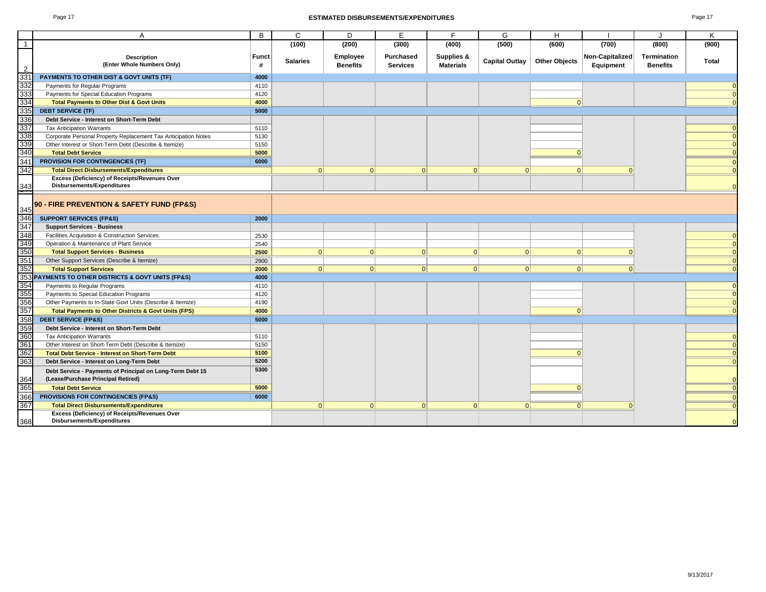#### Page 17 **ESTIMATED DISBURSEMENTS/EXPENDITURES** Page 17

|--|--|

|                 | A                                                                                               | B          | C               | D                           | E                                   | F                              | G                     | H                    |                                     | J                                     | K        |
|-----------------|-------------------------------------------------------------------------------------------------|------------|-----------------|-----------------------------|-------------------------------------|--------------------------------|-----------------------|----------------------|-------------------------------------|---------------------------------------|----------|
|                 |                                                                                                 |            | (100)           | (200)                       | (300)                               | (400)                          | (500)                 | (600)                | (700)                               | (800)                                 | (900)    |
| $\overline{2}$  | <b>Description</b><br>(Enter Whole Numbers Only)                                                | Funct<br># | <b>Salaries</b> | Employee<br><b>Benefits</b> | <b>Purchased</b><br><b>Services</b> | Supplies &<br><b>Materials</b> | <b>Capital Outlay</b> | <b>Other Objects</b> | <b>Non-Capitalized</b><br>Equipment | <b>Termination</b><br><b>Benefits</b> | Total    |
| 331             | PAYMENTS TO OTHER DIST & GOVT UNITS (TF)                                                        | 4000       |                 |                             |                                     |                                |                       |                      |                                     |                                       |          |
| 332             | Payments for Regular Programs                                                                   | 4110       |                 |                             |                                     |                                |                       |                      |                                     |                                       |          |
| 333             | Payments for Special Education Programs                                                         | 4120       |                 |                             |                                     |                                |                       |                      |                                     |                                       |          |
| 334             | <b>Total Payments to Other Dist &amp; Govt Units</b>                                            | 4000       |                 |                             |                                     |                                |                       | $\Omega$             |                                     |                                       |          |
| 335             | <b>DEBT SERVICE (TF)</b>                                                                        | 5000       |                 |                             |                                     |                                |                       |                      |                                     |                                       |          |
| 336             | Debt Service - Interest on Short-Term Debt                                                      |            |                 |                             |                                     |                                |                       |                      |                                     |                                       |          |
| 337             | <b>Tax Anticipation Warrants</b>                                                                | 5110       |                 |                             |                                     |                                |                       |                      |                                     |                                       |          |
| 338             | Corporate Personal Property Replacement Tax Anticipation Notes                                  | 5130       |                 |                             |                                     |                                |                       |                      |                                     |                                       |          |
| 33 <sup>c</sup> | Other Interest or Short-Term Debt (Describe & Itemize)                                          | 5150       |                 |                             |                                     |                                |                       |                      |                                     |                                       |          |
| 340             | <b>Total Debt Service</b>                                                                       | 5000       |                 |                             |                                     |                                |                       | $\Omega$             |                                     |                                       |          |
| 341             | PROVISION FOR CONTINGENCIES (TF)                                                                | 6000       |                 |                             |                                     |                                |                       |                      |                                     |                                       |          |
| 342             | <b>Total Direct Disbursements/Expenditures</b>                                                  |            | $\Omega$        | 0                           | 0                                   | $\Omega$                       | $\Omega$              | 0                    | $\Omega$                            |                                       |          |
|                 | Excess (Deficiency) of Receipts/Revenues Over                                                   |            |                 |                             |                                     |                                |                       |                      |                                     |                                       |          |
| 343             | Disbursements/Expenditures                                                                      |            |                 |                             |                                     |                                |                       |                      |                                     |                                       |          |
| 345             | 90 - FIRE PREVENTION & SAFETY FUND (FP&S)                                                       |            |                 |                             |                                     |                                |                       |                      |                                     |                                       |          |
| 346             | <b>SUPPORT SERVICES (FP&amp;S)</b>                                                              | 2000       |                 |                             |                                     |                                |                       |                      |                                     |                                       |          |
| 347<br>348      | <b>Support Services - Business</b>                                                              |            |                 |                             |                                     |                                |                       |                      |                                     |                                       |          |
|                 | Facilities Acquisition & Construction Services                                                  | 2530       |                 |                             |                                     |                                |                       |                      |                                     |                                       |          |
| 349             | Operation & Maintenance of Plant Service                                                        | 2540       |                 |                             |                                     |                                |                       |                      |                                     |                                       |          |
| 350             | <b>Total Support Services - Business</b>                                                        | 2500       | 0               | 0                           | 0                                   | 0                              | 0                     | 0                    | $\Omega$                            |                                       |          |
| 351             | Other Support Services (Describe & Itemize)                                                     | 2900       |                 |                             |                                     |                                |                       |                      |                                     |                                       | $\Omega$ |
| 352             | <b>Total Support Services</b>                                                                   | 2000       | 0               | 0                           | 0                                   | 0                              | 0                     | 0                    | 0                                   |                                       |          |
| 353             | PAYMENTS TO OTHER DISTRICTS & GOVT UNITS (FP&S)                                                 | 4000       |                 |                             |                                     |                                |                       |                      |                                     |                                       |          |
| 354<br>355      | Payments to Regular Programs                                                                    | 4110       |                 |                             |                                     |                                |                       |                      |                                     |                                       |          |
|                 | Payments to Special Education Programs                                                          | 4120       |                 |                             |                                     |                                |                       |                      |                                     |                                       |          |
| 356             | Other Payments to In-State Govt Units (Describe & Itemize)                                      | 4190       |                 |                             |                                     |                                |                       |                      |                                     |                                       |          |
| 357             | <b>Total Payments to Other Districts &amp; Govt Units (FPS)</b>                                 | 4000       |                 |                             |                                     |                                |                       | $\Omega$             |                                     |                                       |          |
| 358             | <b>DEBT SERVICE (FP&amp;S)</b>                                                                  | 5000       |                 |                             |                                     |                                |                       |                      |                                     |                                       |          |
| 35 <sup>c</sup> | Debt Service - Interest on Short-Term Debt                                                      |            |                 |                             |                                     |                                |                       |                      |                                     |                                       |          |
| 360             | <b>Tax Anticipation Warrants</b>                                                                | 5110       |                 |                             |                                     |                                |                       |                      |                                     |                                       |          |
| 361             | Other Interest on Short-Term Debt (Describe & Itemize)                                          | 5150       |                 |                             |                                     |                                |                       |                      |                                     |                                       |          |
| 362             | <b>Total Debt Service - Interest on Short-Term Debt</b>                                         | 5100       |                 |                             |                                     |                                |                       |                      |                                     |                                       |          |
| 363             | Debt Service - Interest on Long-Term Debt                                                       | 5200       |                 |                             |                                     |                                |                       |                      |                                     |                                       | $\Omega$ |
| 364             | Debt Service - Payments of Principal on Long-Term Debt 15<br>(Lease/Purchase Principal Retired) | 5300       |                 |                             |                                     |                                |                       |                      |                                     |                                       |          |
| 365             | <b>Total Debt Service</b>                                                                       | 5000       |                 |                             |                                     |                                |                       |                      |                                     |                                       |          |
| 366             | PROVISIONS FOR CONTINGENCIES (FP&S)                                                             | 6000       |                 |                             |                                     |                                |                       |                      |                                     |                                       |          |
| 367             | <b>Total Direct Disbursements/Expenditures</b>                                                  |            | $\Omega$        | $\Omega$                    | 0                                   | $\Omega$                       | $\Omega$              | 0                    | ŋ                                   |                                       |          |
| 368             | Excess (Deficiency) of Receipts/Revenues Over<br>Disbursements/Expenditures                     |            |                 |                             |                                     |                                |                       |                      |                                     |                                       |          |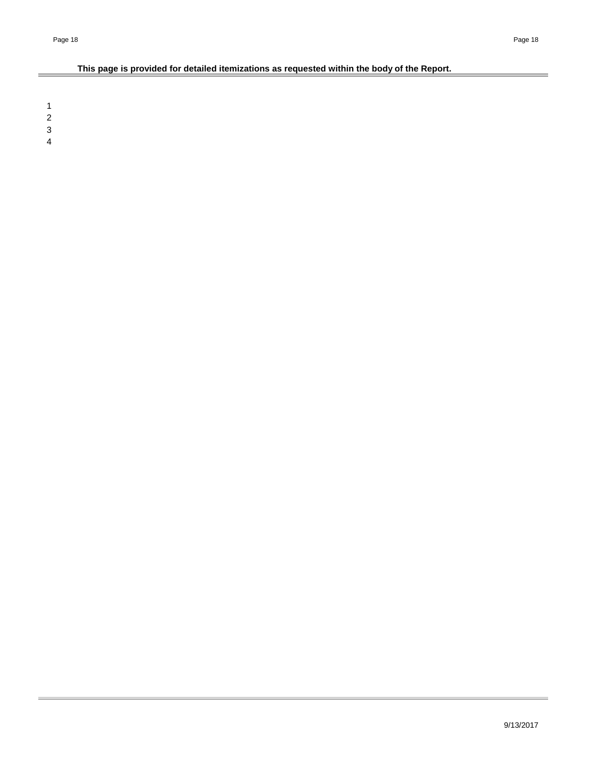# **This page is provided for detailed itemizations as requested within the body of the Report.**

1 2

3

4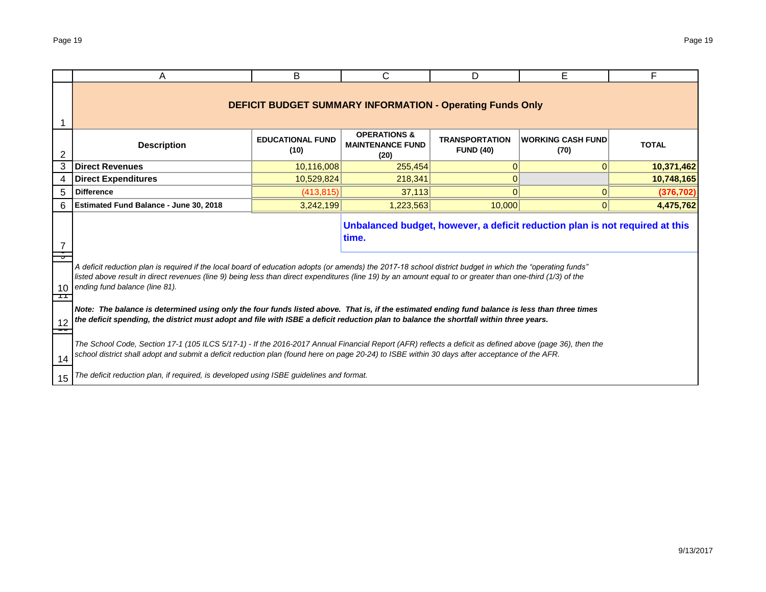|    | A                                                                                                                                                                                                                                                                                                                                                         | В                               | С                                                                | D                                         | E.                                                                           | F            |  |  |  |  |  |  |  |
|----|-----------------------------------------------------------------------------------------------------------------------------------------------------------------------------------------------------------------------------------------------------------------------------------------------------------------------------------------------------------|---------------------------------|------------------------------------------------------------------|-------------------------------------------|------------------------------------------------------------------------------|--------------|--|--|--|--|--|--|--|
|    |                                                                                                                                                                                                                                                                                                                                                           |                                 | <b>DEFICIT BUDGET SUMMARY INFORMATION - Operating Funds Only</b> |                                           |                                                                              |              |  |  |  |  |  |  |  |
| 2  | <b>Description</b>                                                                                                                                                                                                                                                                                                                                        | <b>EDUCATIONAL FUND</b><br>(10) | <b>OPERATIONS &amp;</b><br><b>MAINTENANCE FUND</b><br>(20)       | <b>TRANSPORTATION</b><br><b>FUND (40)</b> | <b>WORKING CASH FUND</b><br>(70)                                             | <b>TOTAL</b> |  |  |  |  |  |  |  |
| 3  | <b>Direct Revenues</b><br>10,116,008<br>10,371,462<br>$\Omega$<br>255,454<br>$\overline{0}$                                                                                                                                                                                                                                                               |                                 |                                                                  |                                           |                                                                              |              |  |  |  |  |  |  |  |
| 4  | <b>Direct Expenditures</b><br>10,529,824<br>218,341<br>0<br>10,748,165                                                                                                                                                                                                                                                                                    |                                 |                                                                  |                                           |                                                                              |              |  |  |  |  |  |  |  |
| 5  | <b>Difference</b>                                                                                                                                                                                                                                                                                                                                         | 0<br>$\Omega$                   | (376, 702)                                                       |                                           |                                                                              |              |  |  |  |  |  |  |  |
| 6  | 10.000<br>Estimated Fund Balance - June 30, 2018<br>3,242,199<br>1,223,563<br>$\overline{0}$<br>4,475,762                                                                                                                                                                                                                                                 |                                 |                                                                  |                                           |                                                                              |              |  |  |  |  |  |  |  |
| 10 | A deficit reduction plan is required if the local board of education adopts (or amends) the 2017-18 school district budget in which the "operating funds"<br>listed above result in direct revenues (line 9) being less than direct expenditures (line 19) by an amount equal to or greater than one-third (1/3) of the<br>ending fund balance (line 81). |                                 | time.                                                            |                                           | Unbalanced budget, however, a deficit reduction plan is not required at this |              |  |  |  |  |  |  |  |
| 12 | Note: The balance is determined using only the four funds listed above. That is, if the estimated ending fund balance is less than three times<br>the deficit spending, the district must adopt and file with ISBE a deficit reduction plan to balance the shortfall within three years.                                                                  |                                 |                                                                  |                                           |                                                                              |              |  |  |  |  |  |  |  |
| 14 | The School Code, Section 17-1 (105 ILCS 5/17-1) - If the 2016-2017 Annual Financial Report (AFR) reflects a deficit as defined above (page 36), then the<br>school district shall adopt and submit a deficit reduction plan (found here on page 20-24) to ISBE within 30 days after acceptance of the AFR.                                                |                                 |                                                                  |                                           |                                                                              |              |  |  |  |  |  |  |  |
| 15 | The deficit reduction plan, if required, is developed using ISBE guidelines and format.                                                                                                                                                                                                                                                                   |                                 |                                                                  |                                           |                                                                              |              |  |  |  |  |  |  |  |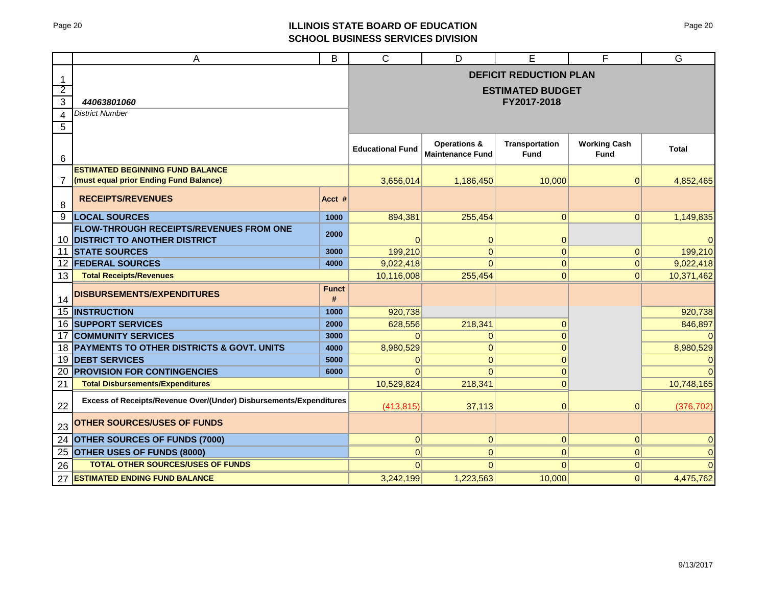# Page 20 **ILLINOIS STATE BOARD OF EDUCATION SCHOOL BUSINESS SERVICES DIVISION**

|                | Α                                                                  | B                 | $\mathsf{C}$            | D                                                  | Е                             | F                           | G                         |
|----------------|--------------------------------------------------------------------|-------------------|-------------------------|----------------------------------------------------|-------------------------------|-----------------------------|---------------------------|
| -1             |                                                                    |                   |                         |                                                    | <b>DEFICIT REDUCTION PLAN</b> |                             |                           |
| $\overline{2}$ |                                                                    |                   |                         |                                                    | <b>ESTIMATED BUDGET</b>       |                             |                           |
| $\overline{3}$ | 44063801060                                                        |                   |                         |                                                    | FY2017-2018                   |                             |                           |
| 4              | <b>District Number</b>                                             |                   |                         |                                                    |                               |                             |                           |
| $\sqrt{5}$     |                                                                    |                   |                         |                                                    |                               |                             |                           |
| 6              |                                                                    |                   | <b>Educational Fund</b> | <b>Operations &amp;</b><br><b>Maintenance Fund</b> | <b>Transportation</b><br>Fund | <b>Working Cash</b><br>Fund | <b>Total</b>              |
|                | <b>ESTIMATED BEGINNING FUND BALANCE</b>                            |                   |                         |                                                    |                               |                             |                           |
| 7              | (must equal prior Ending Fund Balance)                             |                   | 3,656,014               | 1,186,450                                          | 10,000                        | 0                           | 4,852,465                 |
| 8              | <b>RECEIPTS/REVENUES</b>                                           | Acct #            |                         |                                                    |                               |                             |                           |
| 9              | <b>LOCAL SOURCES</b>                                               | 1000              | 894,381                 | 255,454                                            | $\vert 0 \vert$               | 0                           | 1,149,835                 |
|                | <b>FLOW-THROUGH RECEIPTS/REVENUES FROM ONE</b>                     | 2000              |                         |                                                    |                               |                             |                           |
| 10<br>11       | <b>DISTRICT TO ANOTHER DISTRICT</b><br><b>STATE SOURCES</b>        | 3000              | $\Omega$<br>199,210     | $\mathbf{0}$<br>$\overline{0}$                     | 0 <br>$\Omega$                | $\overline{0}$              | $\overline{0}$<br>199,210 |
| 12             | <b>FEDERAL SOURCES</b>                                             | 4000              | 9,022,418               | $\Omega$                                           | $\overline{0}$                | 0                           | 9,022,418                 |
| 13             | <b>Total Receipts/Revenues</b>                                     |                   | 10,116,008              | 255,454                                            | $\Omega$                      | 0                           | 10,371,462                |
| 14             | <b>DISBURSEMENTS/EXPENDITURES</b>                                  | <b>Funct</b><br># |                         |                                                    |                               |                             |                           |
| 15             | <b>INSTRUCTION</b>                                                 | 1000              | 920,738                 |                                                    |                               |                             | 920,738                   |
|                | <b>16 SUPPORT SERVICES</b>                                         | 2000              | 628,556                 | 218,341                                            | $\Omega$                      |                             | 846,897                   |
| 17             | <b>COMMUNITY SERVICES</b>                                          | 3000              | $\Omega$                | $\overline{0}$                                     | $\Omega$                      |                             | $\Omega$                  |
|                | 18 PAYMENTS TO OTHER DISTRICTS & GOVT. UNITS                       | 4000              | 8,980,529               | $\overline{0}$                                     | $\Omega$                      |                             | 8,980,529                 |
| 19             | <b>DEBT SERVICES</b>                                               | 5000              | $\mathbf{0}$            | $\overline{0}$                                     | $\Omega$                      |                             | $\overline{0}$            |
| 20             | <b>PROVISION FOR CONTINGENCIES</b>                                 | 6000              | $\Omega$                | $\Omega$                                           | $\Omega$                      |                             | $\Omega$                  |
| 21             | <b>Total Disbursements/Expenditures</b>                            |                   | 10,529,824              | 218,341                                            | $\mathbf{0}$                  |                             | 10,748,165                |
| 22             | Excess of Receipts/Revenue Over/(Under) Disbursements/Expenditures |                   | (413, 815)              | 37,113                                             | 0                             | $\overline{0}$              | (376, 702)                |
| 23             | <b>OTHER SOURCES/USES OF FUNDS</b>                                 |                   |                         |                                                    |                               |                             |                           |
| 24             | OTHER SOURCES OF FUNDS (7000)                                      |                   | $\overline{0}$          | $\overline{0}$                                     | $\overline{0}$                | 0                           | $\overline{O}$            |
| 25             | OTHER USES OF FUNDS (8000)                                         |                   | $\Omega$                | $\Omega$                                           | $\Omega$                      | 0                           | $\overline{0}$            |
| 26             | <b>TOTAL OTHER SOURCES/USES OF FUNDS</b>                           |                   | $\Omega$                | $\Omega$                                           | $\Omega$                      | $\overline{0}$              | $\Omega$                  |
| 27             | <b>ESTIMATED ENDING FUND BALANCE</b>                               |                   | 3,242,199               | 1,223,563                                          | 10,000                        | 0                           | 4,475,762                 |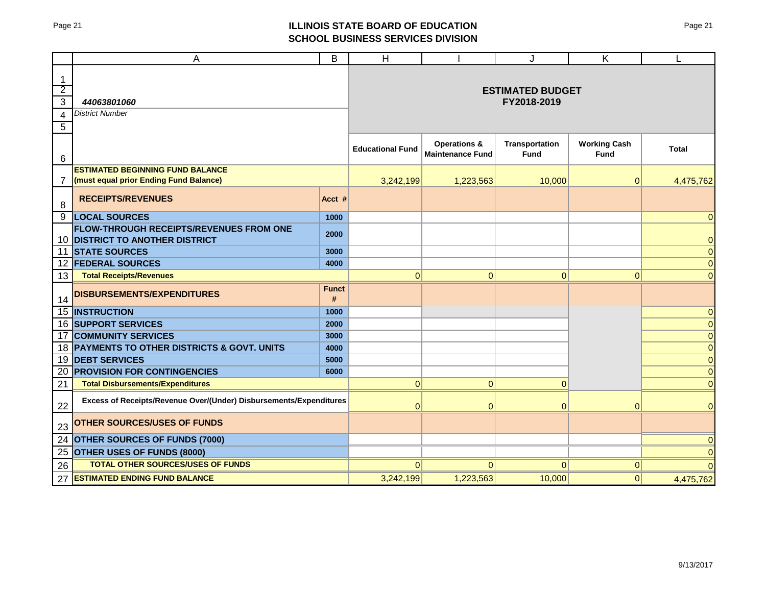# Page 21 **ILLINOIS STATE BOARD OF EDUCATION SCHOOL BUSINESS SERVICES DIVISION**

|                                                                       | A                                                                                 | B                 | H                       |                                                    | J                                      | Κ                           | L              |
|-----------------------------------------------------------------------|-----------------------------------------------------------------------------------|-------------------|-------------------------|----------------------------------------------------|----------------------------------------|-----------------------------|----------------|
| $\mathbf{1}$<br>$\overline{2}$<br>$\mathbf{3}$<br>$\overline{4}$<br>5 | 44063801060<br><b>District Number</b>                                             |                   |                         |                                                    | <b>ESTIMATED BUDGET</b><br>FY2018-2019 |                             |                |
| 6                                                                     |                                                                                   |                   | <b>Educational Fund</b> | <b>Operations &amp;</b><br><b>Maintenance Fund</b> | Transportation<br><b>Fund</b>          | <b>Working Cash</b><br>Fund | <b>Total</b>   |
|                                                                       | <b>ESTIMATED BEGINNING FUND BALANCE</b>                                           |                   |                         |                                                    |                                        |                             |                |
| $\overline{7}$                                                        | (must equal prior Ending Fund Balance)                                            |                   | 3,242,199               | 1,223,563                                          | 10,000                                 | 0                           | 4,475,762      |
| 8                                                                     | <b>RECEIPTS/REVENUES</b>                                                          | Acct #            |                         |                                                    |                                        |                             |                |
| 9                                                                     | <b>LOCAL SOURCES</b>                                                              | 1000              |                         |                                                    |                                        |                             | $\Omega$       |
|                                                                       | <b>FLOW-THROUGH RECEIPTS/REVENUES FROM ONE</b><br>10 DISTRICT TO ANOTHER DISTRICT | 2000              |                         |                                                    |                                        |                             | $\pmb{0}$      |
|                                                                       | 11 STATE SOURCES                                                                  | 3000              |                         |                                                    |                                        |                             | $\mathbf 0$    |
|                                                                       | 12 <b>FEDERAL SOURCES</b>                                                         | 4000              |                         |                                                    |                                        |                             | $\mathbf 0$    |
| 13                                                                    | <b>Total Receipts/Revenues</b>                                                    |                   | $\mathbf{0}$            | $\overline{0}$                                     | $\overline{0}$                         | $\mathbf{0}$                | $\mathbf{0}$   |
| 14                                                                    | DISBURSEMENTS/EXPENDITURES                                                        | <b>Funct</b><br># |                         |                                                    |                                        |                             |                |
| 15                                                                    | <b>INSTRUCTION</b>                                                                | 1000              |                         |                                                    |                                        |                             | $\mathbf 0$    |
|                                                                       | <b>16 SUPPORT SERVICES</b>                                                        | 2000              |                         |                                                    |                                        |                             | $\pmb{0}$      |
| 17                                                                    | <b>COMMUNITY SERVICES</b>                                                         | 3000              |                         |                                                    |                                        |                             | $\mathbf 0$    |
|                                                                       | 18 PAYMENTS TO OTHER DISTRICTS & GOVT. UNITS                                      | 4000              |                         |                                                    |                                        |                             | $\mathbf 0$    |
| 19                                                                    | <b>DEBT SERVICES</b>                                                              | 5000              |                         |                                                    |                                        |                             | $\overline{0}$ |
| 20                                                                    | <b>PROVISION FOR CONTINGENCIES</b>                                                | 6000              |                         |                                                    |                                        |                             | $\overline{0}$ |
| 21                                                                    | <b>Total Disbursements/Expenditures</b>                                           |                   | 0                       | $\overline{0}$                                     | $\overline{0}$                         |                             | $\overline{0}$ |
| 22                                                                    | Excess of Receipts/Revenue Over/(Under) Disbursements/Expenditures                |                   | $\mathbf 0$             | $\overline{0}$                                     | $\mathbf 0$                            | $\Omega$                    | $\mathbf 0$    |
| 23                                                                    | <b>OTHER SOURCES/USES OF FUNDS</b>                                                |                   |                         |                                                    |                                        |                             |                |
| 24                                                                    | <b>OTHER SOURCES OF FUNDS (7000)</b>                                              |                   |                         |                                                    |                                        |                             | $\Omega$       |
| 25                                                                    | <b>OTHER USES OF FUNDS (8000)</b>                                                 |                   |                         |                                                    |                                        |                             | $\Omega$       |
| 26                                                                    | <b>TOTAL OTHER SOURCES/USES OF FUNDS</b>                                          |                   | 0                       | $\Omega$                                           | $\Omega$                               | 0                           | $\Omega$       |
| 27                                                                    | <b>ESTIMATED ENDING FUND BALANCE</b>                                              |                   | 3,242,199               | 1,223,563                                          | 10,000                                 | 0                           | 4,475,762      |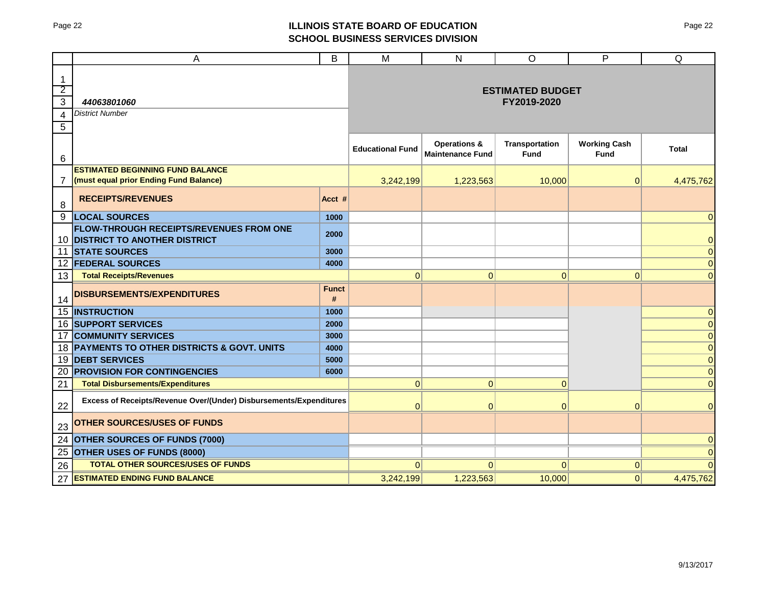# Page 22 **ILLINOIS STATE BOARD OF EDUCATION SCHOOL BUSINESS SERVICES DIVISION**

|                                                            | Α                                                                                 | B                 | M                       | N                                                  | $\circ$                                | P                                  | Q              |
|------------------------------------------------------------|-----------------------------------------------------------------------------------|-------------------|-------------------------|----------------------------------------------------|----------------------------------------|------------------------------------|----------------|
| $\mathbf{1}$<br>$\overline{2}$<br>$\overline{3}$<br>4<br>5 | 44063801060<br><b>District Number</b>                                             |                   |                         |                                                    | <b>ESTIMATED BUDGET</b><br>FY2019-2020 |                                    |                |
| 6                                                          |                                                                                   |                   | <b>Educational Fund</b> | <b>Operations &amp;</b><br><b>Maintenance Fund</b> | <b>Transportation</b><br><b>Fund</b>   | <b>Working Cash</b><br><b>Fund</b> | <b>Total</b>   |
| 7                                                          | <b>ESTIMATED BEGINNING FUND BALANCE</b><br>(must equal prior Ending Fund Balance) |                   | 3,242,199               | 1,223,563                                          | 10,000                                 | 0                                  | 4,475,762      |
| 8                                                          | <b>RECEIPTS/REVENUES</b>                                                          | Acct #            |                         |                                                    |                                        |                                    |                |
| 9                                                          | <b>LOCAL SOURCES</b>                                                              | 1000              |                         |                                                    |                                        |                                    | $\Omega$       |
|                                                            | <b>FLOW-THROUGH RECEIPTS/REVENUES FROM ONE</b><br>10 DISTRICT TO ANOTHER DISTRICT | 2000              |                         |                                                    |                                        |                                    | $\pmb{0}$      |
|                                                            | <b>11 STATE SOURCES</b>                                                           | 3000              |                         |                                                    |                                        |                                    | $\overline{0}$ |
|                                                            | 12 FEDERAL SOURCES                                                                | 4000              |                         |                                                    |                                        |                                    | $\mathbf 0$    |
| 13                                                         | <b>Total Receipts/Revenues</b>                                                    |                   | 0                       | $\overline{0}$                                     | $\mathbf 0$                            | $\mathbf 0$                        | $\bf 0$        |
| 14                                                         | <b>DISBURSEMENTS/EXPENDITURES</b>                                                 | <b>Funct</b><br># |                         |                                                    |                                        |                                    |                |
| 15                                                         | <b>INSTRUCTION</b>                                                                | 1000              |                         |                                                    |                                        |                                    | 0              |
|                                                            | <b>16 SUPPORT SERVICES</b>                                                        | 2000              |                         |                                                    |                                        |                                    | $\pmb{0}$      |
| 17                                                         | <b>COMMUNITY SERVICES</b>                                                         | 3000              |                         |                                                    |                                        |                                    | $\mathbf 0$    |
|                                                            | 18 PAYMENTS TO OTHER DISTRICTS & GOVT. UNITS                                      | 4000              |                         |                                                    |                                        |                                    | $\mathbf 0$    |
| 19                                                         | <b>DEBT SERVICES</b>                                                              | 5000              |                         |                                                    |                                        |                                    | $\overline{0}$ |
| 20                                                         | <b>PROVISION FOR CONTINGENCIES</b>                                                | 6000              |                         |                                                    |                                        |                                    | $\overline{0}$ |
| 21                                                         | <b>Total Disbursements/Expenditures</b>                                           |                   | 0                       | $\overline{0}$                                     | $\overline{0}$                         |                                    | $\mathbf{0}$   |
| 22                                                         | Excess of Receipts/Revenue Over/(Under) Disbursements/Expenditures                |                   | $\mathbf 0$             | $\overline{0}$                                     | $\overline{0}$                         | $\Omega$                           | $\overline{0}$ |
| 23                                                         | <b>OTHER SOURCES/USES OF FUNDS</b>                                                |                   |                         |                                                    |                                        |                                    |                |
| 24                                                         | <b>OTHER SOURCES OF FUNDS (7000)</b>                                              |                   |                         |                                                    |                                        |                                    | $\mathbf{0}$   |
| 25                                                         | <b>OTHER USES OF FUNDS (8000)</b>                                                 |                   |                         |                                                    |                                        |                                    | $\Omega$       |
| 26                                                         | <b>TOTAL OTHER SOURCES/USES OF FUNDS</b>                                          |                   | 0                       | $\Omega$                                           | $\Omega$                               | 0                                  | $\Omega$       |
| 27                                                         | <b>ESTIMATED ENDING FUND BALANCE</b>                                              |                   | 3,242,199               | 1,223,563                                          | 10,000                                 | 0                                  | 4,475,762      |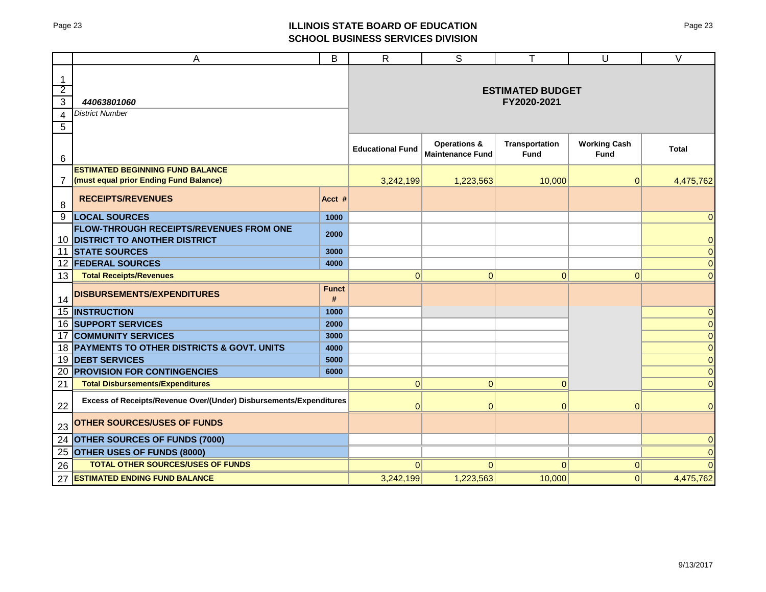# Page 23 **ILLINOIS STATE BOARD OF EDUCATION SCHOOL BUSINESS SERVICES DIVISION**

|                                                            | Α                                                                                 | B                 | $\mathsf{R}$            | S                                                  | т                                      | U                                  | $\vee$         |
|------------------------------------------------------------|-----------------------------------------------------------------------------------|-------------------|-------------------------|----------------------------------------------------|----------------------------------------|------------------------------------|----------------|
| $\mathbf{1}$<br>$\overline{2}$<br>$\overline{3}$<br>4<br>5 | 44063801060<br><b>District Number</b>                                             |                   |                         |                                                    | <b>ESTIMATED BUDGET</b><br>FY2020-2021 |                                    |                |
| 6                                                          |                                                                                   |                   | <b>Educational Fund</b> | <b>Operations &amp;</b><br><b>Maintenance Fund</b> | <b>Transportation</b><br><b>Fund</b>   | <b>Working Cash</b><br><b>Fund</b> | <b>Total</b>   |
| 7                                                          | <b>ESTIMATED BEGINNING FUND BALANCE</b><br>(must equal prior Ending Fund Balance) |                   | 3,242,199               | 1,223,563                                          | 10,000                                 | 0                                  | 4,475,762      |
| 8                                                          | <b>RECEIPTS/REVENUES</b>                                                          | Acct #            |                         |                                                    |                                        |                                    |                |
| 9                                                          | <b>LOCAL SOURCES</b>                                                              | 1000              |                         |                                                    |                                        |                                    | $\Omega$       |
|                                                            | <b>FLOW-THROUGH RECEIPTS/REVENUES FROM ONE</b><br>10 DISTRICT TO ANOTHER DISTRICT | 2000              |                         |                                                    |                                        |                                    | $\pmb{0}$      |
|                                                            | <b>11 STATE SOURCES</b>                                                           | 3000              |                         |                                                    |                                        |                                    | $\overline{0}$ |
|                                                            | 12 FEDERAL SOURCES                                                                | 4000              |                         |                                                    |                                        |                                    | $\mathbf 0$    |
| 13                                                         | <b>Total Receipts/Revenues</b>                                                    |                   | 0                       | $\overline{0}$                                     | $\mathbf 0$                            | $\mathbf 0$                        | $\bf 0$        |
| 14                                                         | <b>DISBURSEMENTS/EXPENDITURES</b>                                                 | <b>Funct</b><br># |                         |                                                    |                                        |                                    |                |
| 15                                                         | <b>INSTRUCTION</b>                                                                | 1000              |                         |                                                    |                                        |                                    | $\mathbf 0$    |
|                                                            | <b>16 SUPPORT SERVICES</b>                                                        | 2000              |                         |                                                    |                                        |                                    | $\pmb{0}$      |
| 17                                                         | <b>COMMUNITY SERVICES</b>                                                         | 3000              |                         |                                                    |                                        |                                    | $\mathbf 0$    |
|                                                            | 18 PAYMENTS TO OTHER DISTRICTS & GOVT. UNITS                                      | 4000              |                         |                                                    |                                        |                                    | $\mathbf 0$    |
| 19                                                         | <b>DEBT SERVICES</b>                                                              | 5000              |                         |                                                    |                                        |                                    | $\overline{0}$ |
| 20                                                         | <b>PROVISION FOR CONTINGENCIES</b>                                                | 6000              |                         |                                                    |                                        |                                    | $\overline{0}$ |
| 21                                                         | <b>Total Disbursements/Expenditures</b>                                           |                   | 0                       | $\overline{0}$                                     | $\overline{0}$                         |                                    | $\mathbf{0}$   |
| 22                                                         | Excess of Receipts/Revenue Over/(Under) Disbursements/Expenditures                |                   | $\mathbf 0$             | $\overline{0}$                                     | $\overline{0}$                         | $\Omega$                           | $\mathbf{0}$   |
| 23                                                         | <b>OTHER SOURCES/USES OF FUNDS</b>                                                |                   |                         |                                                    |                                        |                                    |                |
| 24                                                         | <b>OTHER SOURCES OF FUNDS (7000)</b>                                              |                   |                         |                                                    |                                        |                                    | $\overline{0}$ |
| 25                                                         | <b>OTHER USES OF FUNDS (8000)</b>                                                 |                   |                         |                                                    |                                        |                                    | $\Omega$       |
| 26                                                         | <b>TOTAL OTHER SOURCES/USES OF FUNDS</b>                                          |                   | 0                       | $\Omega$                                           | $\Omega$                               | 0                                  | $\Omega$       |
| 27                                                         | <b>ESTIMATED ENDING FUND BALANCE</b>                                              |                   | 3,242,199               | 1,223,563                                          | 10,000                                 | 0                                  | 4,475,762      |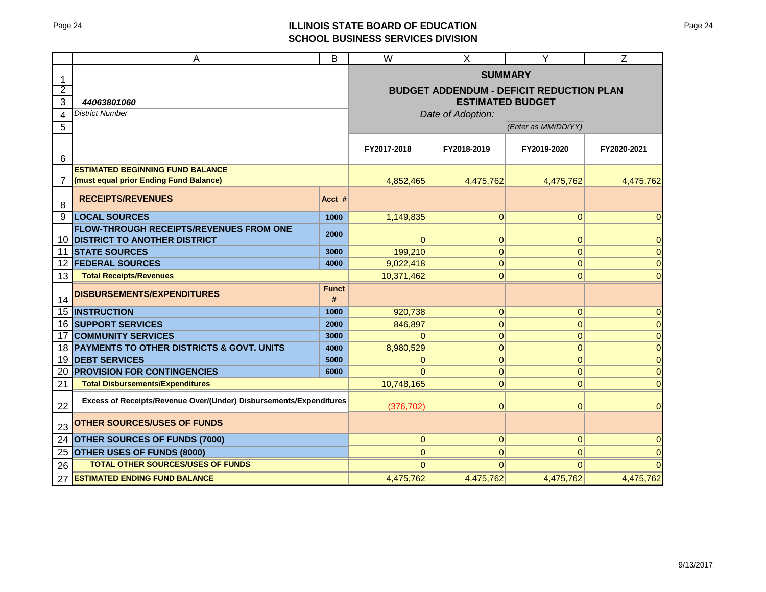# Page 24 **ILLINOIS STATE BOARD OF EDUCATION SCHOOL BUSINESS SERVICES DIVISION**

|                | A                                                                                 | B                                                                          | $\overline{\mathsf{W}}$ | X              | Y              | $\overline{Z}$ |
|----------------|-----------------------------------------------------------------------------------|----------------------------------------------------------------------------|-------------------------|----------------|----------------|----------------|
| 1              |                                                                                   | <b>SUMMARY</b>                                                             |                         |                |                |                |
| $\overline{2}$ |                                                                                   | <b>BUDGET ADDENDUM - DEFICIT REDUCTION PLAN</b><br><b>ESTIMATED BUDGET</b> |                         |                |                |                |
| 3              | 44063801060                                                                       |                                                                            |                         |                |                |                |
| $\overline{4}$ | <b>District Number</b>                                                            | Date of Adoption:                                                          |                         |                |                |                |
| 5              |                                                                                   | (Enter as MM/DD/YY)                                                        |                         |                |                |                |
| 6              |                                                                                   | FY2017-2018                                                                | FY2018-2019             | FY2019-2020    | FY2020-2021    |                |
|                | <b>ESTIMATED BEGINNING FUND BALANCE</b>                                           |                                                                            |                         |                |                |                |
| 7              | (must equal prior Ending Fund Balance)                                            | 4.852.465                                                                  | 4,475,762               | 4,475,762      | 4,475,762      |                |
| 8              | <b>RECEIPTS/REVENUES</b>                                                          | Acct #                                                                     |                         |                |                |                |
| 9              | <b>LOCAL SOURCES</b>                                                              | 1000                                                                       | 1,149,835               | 0              | $\mathbf{0}$   | 0              |
|                | <b>FLOW-THROUGH RECEIPTS/REVENUES FROM ONE</b><br>10 DISTRICT TO ANOTHER DISTRICT | 2000                                                                       | 0                       | $\mathbf 0$    | $\mathbf 0$    | 0              |
|                | 11 STATE SOURCES                                                                  | 3000                                                                       | 199,210                 | $\overline{0}$ | $\mathbf{0}$   | $\overline{0}$ |
|                | <b>12 FEDERAL SOURCES</b>                                                         | 4000                                                                       | 9,022,418               | $\Omega$       | $\mathbf{0}$   | $\overline{0}$ |
| 13             | <b>Total Receipts/Revenues</b>                                                    |                                                                            | 10,371,462              | $\overline{0}$ | $\mathbf{0}$   | 0              |
| 14             | <b>DISBURSEMENTS/EXPENDITURES</b>                                                 | <b>Funct</b><br>#                                                          |                         |                |                |                |
|                | 15 <b>INSTRUCTION</b>                                                             | 1000                                                                       | 920,738                 | 0              | $\pmb{0}$      | $\overline{0}$ |
|                | <b>16 SUPPORT SERVICES</b>                                                        | 2000                                                                       | 846,897                 | 0              | $\mathbf 0$    | $\overline{0}$ |
|                | <b>17 COMMUNITY SERVICES</b>                                                      | 3000                                                                       | $\Omega$                | 0              | $\pmb{0}$      | $\overline{0}$ |
|                | 18 PAYMENTS TO OTHER DISTRICTS & GOVT. UNITS                                      | 4000                                                                       | 8,980,529               | $\mathbf{0}$   | $\pmb{0}$      | $\mathbf 0$    |
|                | 19 DEBT SERVICES                                                                  | 5000                                                                       | $\mathbf 0$             | 0              | $\pmb{0}$      | $\mathbf 0$    |
| 20             | <b>PROVISION FOR CONTINGENCIES</b>                                                | 6000                                                                       | $\Omega$                | 0              | $\pmb{0}$      | $\overline{0}$ |
| 21             | <b>Total Disbursements/Expenditures</b>                                           | 10,748,165                                                                 | $\overline{0}$          | $\mathbf 0$    | $\overline{0}$ |                |
| 22             | Excess of Receipts/Revenue Over/(Under) Disbursements/Expenditures                | (376, 702)                                                                 | $\Omega$                | $\mathbf{0}$   | $\overline{0}$ |                |
| 23             | <b>OTHER SOURCES/USES OF FUNDS</b>                                                |                                                                            |                         |                |                |                |
| 24             | <b>OTHER SOURCES OF FUNDS (7000)</b>                                              | 0                                                                          | 0                       | $\mathbf 0$    | 0              |                |
| 25             | <b>OTHER USES OF FUNDS (8000)</b>                                                 | $\overline{0}$                                                             | 0                       | $\mathbf{0}$   | 0              |                |
| 26             | <b>TOTAL OTHER SOURCES/USES OF FUNDS</b>                                          | $\Omega$                                                                   | $\Omega$                | $\Omega$       |                |                |
| 27             | <b>ESTIMATED ENDING FUND BALANCE</b>                                              | 4,475,762                                                                  | 4,475,762               | 4,475,762      | 4,475,762      |                |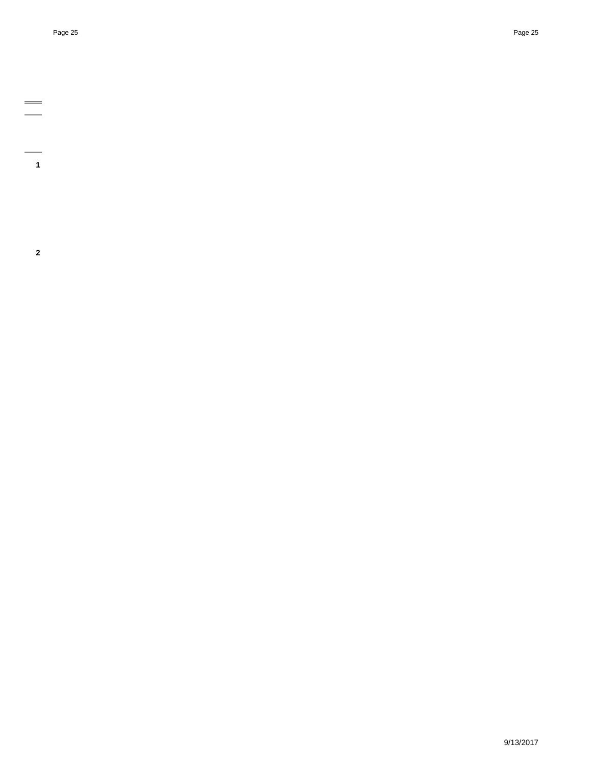- 
- $\equiv$
- 
- $\frac{1}{1}$
- 
- 
- **2**
- 
- 
- 
- 
- 
- 
- 
- 
- 
- 
- 
- 
- -

9/13/2017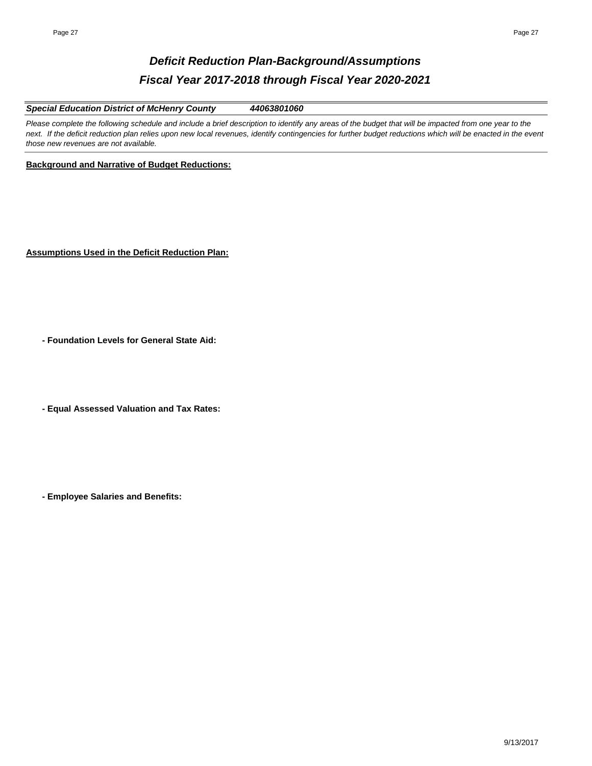# *Deficit Reduction Plan-Background/Assumptions Fiscal Year 2017-2018 through Fiscal Year 2020-2021*

*Special Education District of McHenry County 44063801060*

Please complete the following schedule and include a brief description to identify any areas of the budget that will be impacted from one year to the next. If the deficit reduction plan relies upon new local revenues, identify contingencies for further budget reductions which will be enacted in the event *those new revenues are not available.* 

**Background and Narrative of Budget Reductions:**

**Assumptions Used in the Deficit Reduction Plan:**

**- Foundation Levels for General State Aid:**

**- Equal Assessed Valuation and Tax Rates:**

**- Employee Salaries and Benefits:**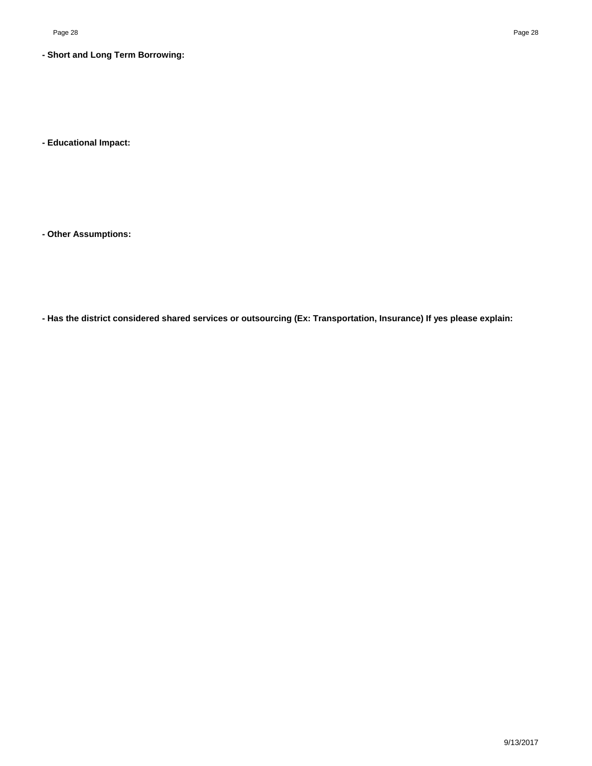### **- Short and Long Term Borrowing:**

**- Educational Impact:**

**- Other Assumptions:**

**- Has the district considered shared services or outsourcing (Ex: Transportation, Insurance) If yes please explain:**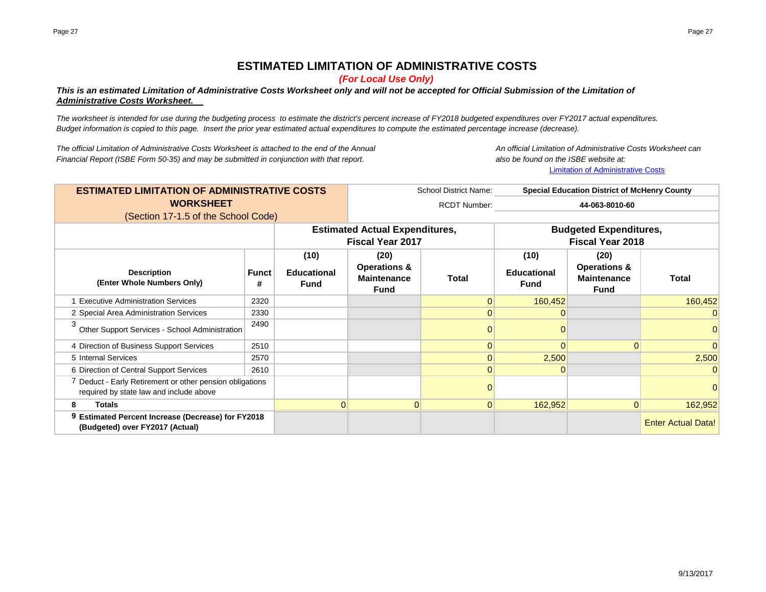# **ESTIMATED LIMITATION OF ADMINISTRATIVE COSTS**

*(For Local Use Only)*

### *This is an estimated Limitation of Administrative Costs Worksheet only and will not be accepted for Official Submission of the Limitation of Administrative Costs Worksheet.*

*The worksheet is intended for use during the budgeting process to estimate the district's percent increase of FY2018 budgeted expenditures over FY2017 actual expenditures. Budget information is copied to this page. Insert the prior year estimated actual expenditures to compute the estimated percentage increase (decrease).*

*The official Limitation of Administrative Costs Worksheet is attached to the end of the Annual An official Limitation of Administrative Costs Worksheet can Financial Report (ISBE Form 50-35) and may be submitted in conjunction with that report. also be found on the ISBE website at:*

Limitation of Administrative Costs

| <b>ESTIMATED LIMITATION OF ADMINISTRATIVE COSTS</b>                                                 |                   | School District Name:                     | <b>Special Education District of McHenry County</b>                  |                     |                                                          |                                                                      |                           |  |
|-----------------------------------------------------------------------------------------------------|-------------------|-------------------------------------------|----------------------------------------------------------------------|---------------------|----------------------------------------------------------|----------------------------------------------------------------------|---------------------------|--|
| <b>WORKSHEET</b>                                                                                    |                   |                                           |                                                                      | <b>RCDT Number:</b> | 44-063-8010-60                                           |                                                                      |                           |  |
| (Section 17-1.5 of the School Code)                                                                 |                   |                                           |                                                                      |                     |                                                          |                                                                      |                           |  |
|                                                                                                     |                   |                                           | <b>Estimated Actual Expenditures,</b><br><b>Fiscal Year 2017</b>     |                     | <b>Budgeted Expenditures,</b><br><b>Fiscal Year 2018</b> |                                                                      |                           |  |
| <b>Description</b><br>(Enter Whole Numbers Only)                                                    | <b>Funct</b><br># | (10)<br><b>Educational</b><br><b>Fund</b> | (20)<br><b>Operations &amp;</b><br><b>Maintenance</b><br><b>Fund</b> | Total               | (10)<br><b>Educational</b><br><b>Fund</b>                | (20)<br><b>Operations &amp;</b><br><b>Maintenance</b><br><b>Fund</b> | Total                     |  |
| <b>Executive Administration Services</b>                                                            | 2320              |                                           |                                                                      |                     | 160,452                                                  |                                                                      | 160,452                   |  |
| 2 Special Area Administration Services                                                              | 2330              |                                           |                                                                      |                     |                                                          |                                                                      | $\Omega$                  |  |
| 3<br>Other Support Services - School Administration                                                 | 2490              |                                           |                                                                      |                     |                                                          |                                                                      |                           |  |
| 4 Direction of Business Support Services                                                            | 2510              |                                           |                                                                      |                     |                                                          | $\Omega$                                                             | $\Omega$                  |  |
| 5 Internal Services                                                                                 | 2570              |                                           |                                                                      |                     | 2,500                                                    |                                                                      | 2,500                     |  |
| 6 Direction of Central Support Services                                                             | 2610              |                                           |                                                                      | $\Omega$            | 0                                                        |                                                                      | $\Omega$                  |  |
| 7 Deduct - Early Retirement or other pension obligations<br>required by state law and include above |                   |                                           |                                                                      |                     |                                                          |                                                                      |                           |  |
| 8<br><b>Totals</b>                                                                                  |                   | $\overline{0}$                            | $\Omega$                                                             | $\Omega$            | 162,952                                                  | $\Omega$                                                             | 162,952                   |  |
| 9 Estimated Percent Increase (Decrease) for FY2018<br>(Budgeted) over FY2017 (Actual)               |                   |                                           |                                                                      |                     |                                                          |                                                                      | <b>Enter Actual Data!</b> |  |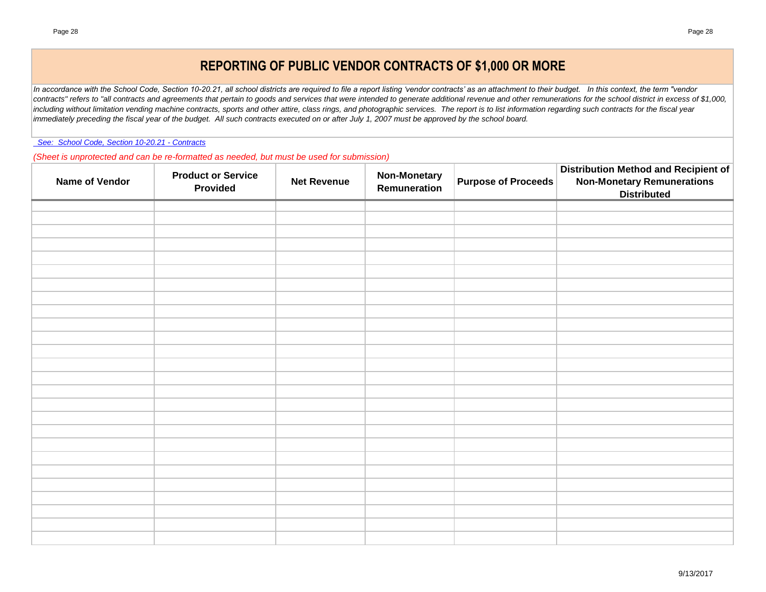# **REPORTING OF PUBLIC VENDOR CONTRACTS OF \$1,000 OR MORE**

*In accordance with the School Code, Section 10-20.21, all school districts are required to file a report listing 'vendor contracts' as an attachment to their budget. In this context, the term "vendor*  contracts" refers to "all contracts and agreements that pertain to goods and services that were intended to generate additional revenue and other remunerations for the school district in excess of \$1,000, including without limitation vending machine contracts, sports and other attire, class rings, and photographic services. The report is to list information regarding such contracts for the fiscal year *immediately preceding the fiscal year of the budget. All such contracts executed on or after July 1, 2007 must be approved by the school board.*

 *See: School Code, Section 10-20.21 - Contracts*

*(Sheet is unprotected and can be re-formatted as needed, but must be used for submission)*

| Name of Vendor | <b>Product or Service</b><br>Provided | <b>Net Revenue</b> | <b>Non-Monetary</b><br>Remuneration | <b>Purpose of Proceeds</b> | <b>Distribution Method and Recipient of</b><br><b>Non-Monetary Remunerations</b><br><b>Distributed</b> |
|----------------|---------------------------------------|--------------------|-------------------------------------|----------------------------|--------------------------------------------------------------------------------------------------------|
|                |                                       |                    |                                     |                            |                                                                                                        |
|                |                                       |                    |                                     |                            |                                                                                                        |
|                |                                       |                    |                                     |                            |                                                                                                        |
|                |                                       |                    |                                     |                            |                                                                                                        |
|                |                                       |                    |                                     |                            |                                                                                                        |
|                |                                       |                    |                                     |                            |                                                                                                        |
|                |                                       |                    |                                     |                            |                                                                                                        |
|                |                                       |                    |                                     |                            |                                                                                                        |
|                |                                       |                    |                                     |                            |                                                                                                        |
|                |                                       |                    |                                     |                            |                                                                                                        |
|                |                                       |                    |                                     |                            |                                                                                                        |
|                |                                       |                    |                                     |                            |                                                                                                        |
|                |                                       |                    |                                     |                            |                                                                                                        |
|                |                                       |                    |                                     |                            |                                                                                                        |
|                |                                       |                    |                                     |                            |                                                                                                        |
|                |                                       |                    |                                     |                            |                                                                                                        |
|                |                                       |                    |                                     |                            |                                                                                                        |
|                |                                       |                    |                                     |                            |                                                                                                        |
|                |                                       |                    |                                     |                            |                                                                                                        |
|                |                                       |                    |                                     |                            |                                                                                                        |
|                |                                       |                    |                                     |                            |                                                                                                        |
|                |                                       |                    |                                     |                            |                                                                                                        |
|                |                                       |                    |                                     |                            |                                                                                                        |
|                |                                       |                    |                                     |                            |                                                                                                        |
|                |                                       |                    |                                     |                            |                                                                                                        |
|                |                                       |                    |                                     |                            |                                                                                                        |